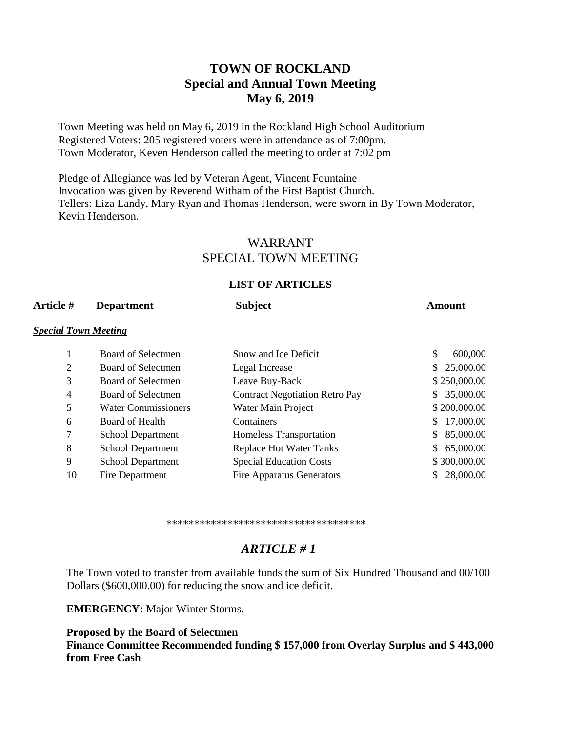# **TOWN OF ROCKLAND Special and Annual Town Meeting May 6, 2019**

Town Meeting was held on May 6, 2019 in the Rockland High School Auditorium Registered Voters: 205 registered voters were in attendance as of 7:00pm. Town Moderator, Keven Henderson called the meeting to order at 7:02 pm

Pledge of Allegiance was led by Veteran Agent, Vincent Fountaine Invocation was given by Reverend Witham of the First Baptist Church. Tellers: Liza Landy, Mary Ryan and Thomas Henderson, were sworn in By Town Moderator, Kevin Henderson.

### WARRANT SPECIAL TOWN MEETING

#### **LIST OF ARTICLES**

# **Article # Department Subject Amount**  *Special Town Meeting*  $\frac{1}{2}$  Board of Selectmen Snow and Ice Deficit  $\frac{1}{2}$  600,000

|                | Doard of Selectifield      | SHOW and Ice Deficit                  | D<br><b>OUU.UUU</b> |
|----------------|----------------------------|---------------------------------------|---------------------|
| 2              | Board of Selectmen         | Legal Increase                        | \$25,000.00         |
| 3              | Board of Selectmen         | Leave Buy-Back                        | \$250,000.00        |
| $\overline{4}$ | Board of Selectmen         | <b>Contract Negotiation Retro Pay</b> | \$35,000.00         |
| 5              | <b>Water Commissioners</b> | Water Main Project                    | \$200,000.00        |
| 6              | Board of Health            | Containers                            | \$17,000.00         |
| $\tau$         | <b>School Department</b>   | Homeless Transportation               | \$85,000.00         |
| 8              | <b>School Department</b>   | <b>Replace Hot Water Tanks</b>        | \$65,000.00         |
| 9              | <b>School Department</b>   | <b>Special Education Costs</b>        | \$300,000.00        |
| 10             | Fire Department            | <b>Fire Apparatus Generators</b>      | \$28,000.00         |
|                |                            |                                       |                     |

\*\*\*\*\*\*\*\*\*\*\*\*\*\*\*\*\*\*\*\*\*\*\*\*\*\*\*\*\*\*\*\*\*\*\*\*

# *ARTICLE # 1*

The Town voted to transfer from available funds the sum of Six Hundred Thousand and 00/100 Dollars (\$600,000.00) for reducing the snow and ice deficit.

**EMERGENCY:** Major Winter Storms.

#### **Proposed by the Board of Selectmen Finance Committee Recommended funding \$ 157,000 from Overlay Surplus and \$ 443,000 from Free Cash**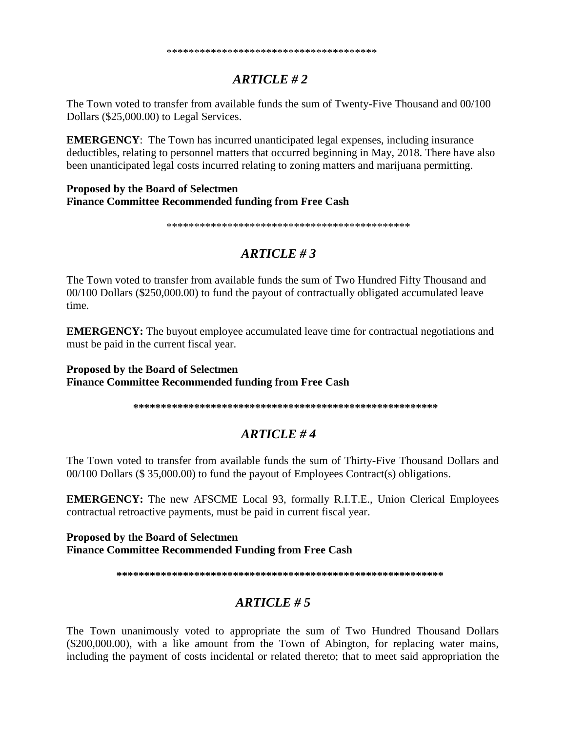### $ARTICLE$ #2

The Town voted to transfer from available funds the sum of Twenty-Five Thousand and 00/100 Dollars (\$25,000.00) to Legal Services.

**EMERGENCY:** The Town has incurred unanticipated legal expenses, including insurance deductibles, relating to personnel matters that occurred beginning in May, 2018. There have also been unanticipated legal costs incurred relating to zoning matters and marijuana permitting.

#### **Proposed by the Board of Selectmen Finance Committee Recommended funding from Free Cash**

### $ARTICLE #3$

The Town voted to transfer from available funds the sum of Two Hundred Fifty Thousand and 00/100 Dollars (\$250,000.00) to fund the payout of contractually obligated accumulated leave time.

**EMERGENCY:** The buyout employee accumulated leave time for contractual negotiations and must be paid in the current fiscal year.

#### Proposed by the Board of Selectmen **Finance Committee Recommended funding from Free Cash**

### $ARTICLE$ #4

The Town voted to transfer from available funds the sum of Thirty-Five Thousand Dollars and  $00/100$  Dollars (\$35,000.00) to fund the payout of Employees Contract(s) obligations.

**EMERGENCY:** The new AFSCME Local 93, formally R.I.T.E., Union Clerical Employees contractual retroactive payments, must be paid in current fiscal year.

#### Proposed by the Board of Selectmen **Finance Committee Recommended Funding from Free Cash**

# $ARTICLE#5$

The Town unanimously voted to appropriate the sum of Two Hundred Thousand Dollars (\$200,000.00), with a like amount from the Town of Abington, for replacing water mains, including the payment of costs incidental or related thereto; that to meet said appropriation the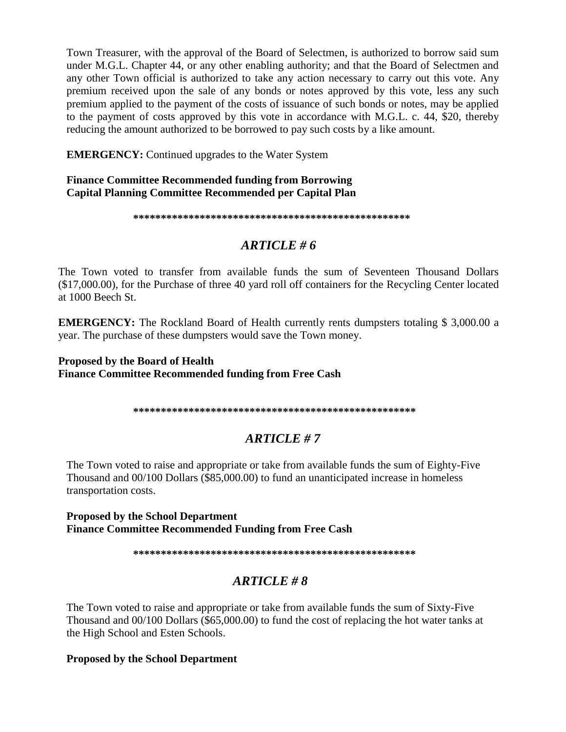Town Treasurer, with the approval of the Board of Selectmen, is authorized to borrow said sum under M.G.L. Chapter 44, or any other enabling authority; and that the Board of Selectmen and any other Town official is authorized to take any action necessary to carry out this vote. Any premium received upon the sale of any bonds or notes approved by this vote, less any such premium applied to the payment of the costs of issuance of such bonds or notes, may be applied to the payment of costs approved by this vote in accordance with M.G.L. c. 44, \$20, thereby reducing the amount authorized to be borrowed to pay such costs by a like amount.

**EMERGENCY:** Continued upgrades to the Water System

#### **Finance Committee Recommended funding from Borrowing Capital Planning Committee Recommended per Capital Plan**

# $ARTICLE # 6$

The Town voted to transfer from available funds the sum of Seventeen Thousand Dollars (\$17,000.00), for the Purchase of three 40 yard roll off containers for the Recycling Center located at 1000 Beech St.

**EMERGENCY:** The Rockland Board of Health currently rents dumpsters totaling \$3,000.00 a year. The purchase of these dumpsters would save the Town money.

#### **Proposed by the Board of Health Finance Committee Recommended funding from Free Cash**

# $ARTICLE$ #7

The Town voted to raise and appropriate or take from available funds the sum of Eighty-Five Thousand and 00/100 Dollars (\$85,000.00) to fund an unanticipated increase in homeless transportation costs.

#### **Proposed by the School Department Finance Committee Recommended Funding from Free Cash**

# $ARTICLE # 8$

The Town voted to raise and appropriate or take from available funds the sum of Sixty-Five Thousand and 00/100 Dollars (\$65,000.00) to fund the cost of replacing the hot water tanks at the High School and Esten Schools.

#### **Proposed by the School Department**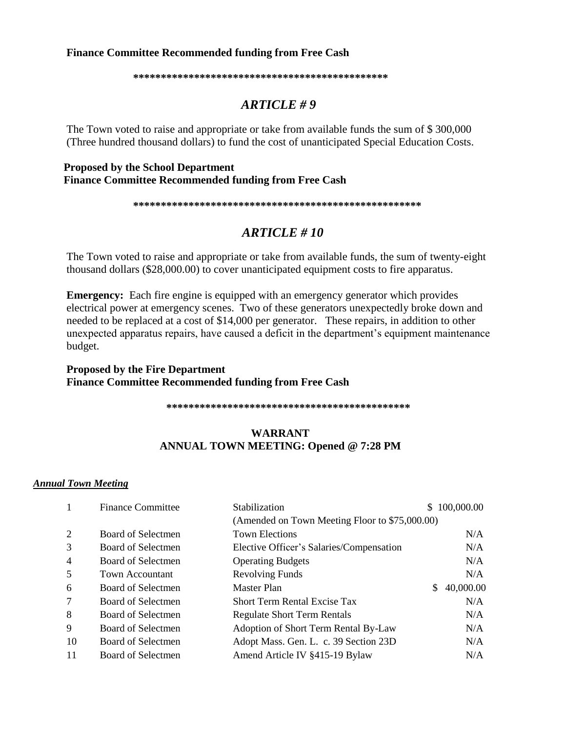#### **Finance Committee Recommended funding from Free Cash**

#### **\*\*\*\*\*\*\*\*\*\*\*\*\*\*\*\*\*\*\*\*\*\*\*\*\*\*\*\*\*\*\*\*\*\*\*\*\*\*\*\*\*\*\*\*\*\***

### *ARTICLE # 9*

The Town voted to raise and appropriate or take from available funds the sum of \$ 300,000 (Three hundred thousand dollars) to fund the cost of unanticipated Special Education Costs.

#### **Proposed by the School Department Finance Committee Recommended funding from Free Cash**

**\*\*\*\*\*\*\*\*\*\*\*\*\*\*\*\*\*\*\*\*\*\*\*\*\*\*\*\*\*\*\*\*\*\*\*\*\*\*\*\*\*\*\*\*\*\*\*\*\*\*\*\***

### *ARTICLE # 10*

The Town voted to raise and appropriate or take from available funds, the sum of twenty-eight thousand dollars (\$28,000.00) to cover unanticipated equipment costs to fire apparatus.

**Emergency:** Each fire engine is equipped with an emergency generator which provides electrical power at emergency scenes. Two of these generators unexpectedly broke down and needed to be replaced at a cost of \$14,000 per generator. These repairs, in addition to other unexpected apparatus repairs, have caused a deficit in the department's equipment maintenance budget.

#### **Proposed by the Fire Department Finance Committee Recommended funding from Free Cash**

**\*\*\*\*\*\*\*\*\*\*\*\*\*\*\*\*\*\*\*\*\*\*\*\*\*\*\*\*\*\*\*\*\*\*\*\*\*\*\*\*\*\*\*\***

#### **WARRANT ANNUAL TOWN MEETING: Opened @ 7:28 PM**

#### *Annual Town Meeting*

| 1              | <b>Finance Committee</b> | Stabilization                                  | \$. | 100,000.00 |
|----------------|--------------------------|------------------------------------------------|-----|------------|
|                |                          | (Amended on Town Meeting Floor to \$75,000.00) |     |            |
| 2              | Board of Selectmen       | <b>Town Elections</b>                          |     | N/A        |
| 3              | Board of Selectmen       | Elective Officer's Salaries/Compensation       |     | N/A        |
| $\overline{4}$ | Board of Selectmen       | <b>Operating Budgets</b>                       |     | N/A        |
| 5              | <b>Town Accountant</b>   | <b>Revolving Funds</b>                         |     | N/A        |
| 6              | Board of Selectmen       | <b>Master Plan</b>                             | \$. | 40,000.00  |
| 7              | Board of Selectmen       | <b>Short Term Rental Excise Tax</b>            |     | N/A        |
| 8              | Board of Selectmen       | <b>Regulate Short Term Rentals</b>             |     | N/A        |
| 9              | Board of Selectmen       | Adoption of Short Term Rental By-Law           |     | N/A        |
| 10             | Board of Selectmen       | Adopt Mass. Gen. L. c. 39 Section 23D          |     | N/A        |
| 11             | Board of Selectmen       | Amend Article IV §415-19 Bylaw                 |     | N/A        |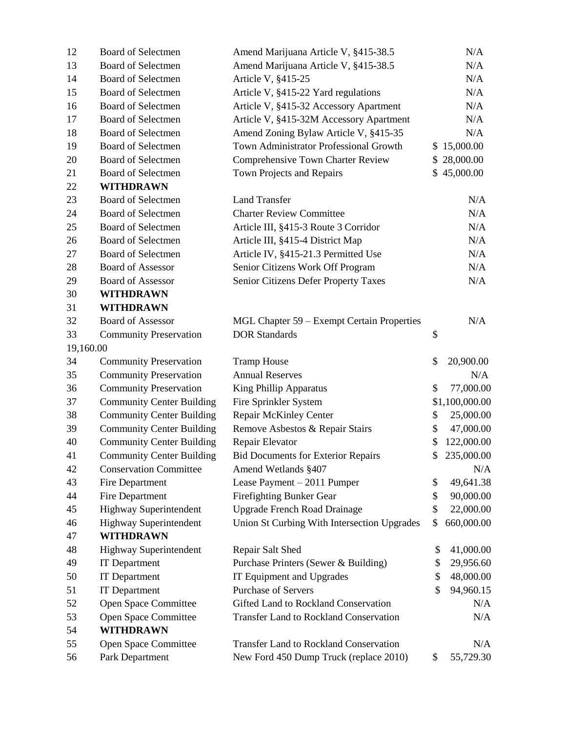| 12        | <b>Board of Selectmen</b>        | Amend Marijuana Article V, §415-38.5          | N/A              |
|-----------|----------------------------------|-----------------------------------------------|------------------|
| 13        | <b>Board of Selectmen</b>        | Amend Marijuana Article V, §415-38.5          | N/A              |
| 14        | <b>Board of Selectmen</b>        | Article V, §415-25                            | N/A              |
| 15        | <b>Board of Selectmen</b>        | Article V, §415-22 Yard regulations           | N/A              |
| 16        | <b>Board of Selectmen</b>        | Article V, §415-32 Accessory Apartment        | N/A              |
| 17        | <b>Board of Selectmen</b>        | Article V, §415-32M Accessory Apartment       | N/A              |
| 18        | <b>Board of Selectmen</b>        | Amend Zoning Bylaw Article V, §415-35         | N/A              |
| 19        | <b>Board of Selectmen</b>        | Town Administrator Professional Growth        | \$15,000.00      |
| 20        | <b>Board of Selectmen</b>        | Comprehensive Town Charter Review             | \$<br>28,000.00  |
| 21        | Board of Selectmen               | Town Projects and Repairs                     | \$45,000.00      |
| 22        | <b>WITHDRAWN</b>                 |                                               |                  |
| 23        | <b>Board of Selectmen</b>        | <b>Land Transfer</b>                          | N/A              |
| 24        | <b>Board of Selectmen</b>        | <b>Charter Review Committee</b>               | N/A              |
| 25        | <b>Board of Selectmen</b>        | Article III, §415-3 Route 3 Corridor          | N/A              |
| 26        | <b>Board of Selectmen</b>        | Article III, §415-4 District Map              | N/A              |
| 27        | <b>Board of Selectmen</b>        | Article IV, §415-21.3 Permitted Use           | N/A              |
| 28        | <b>Board of Assessor</b>         | Senior Citizens Work Off Program              | N/A              |
| 29        | <b>Board of Assessor</b>         | <b>Senior Citizens Defer Property Taxes</b>   | N/A              |
| 30        | <b>WITHDRAWN</b>                 |                                               |                  |
| 31        | <b>WITHDRAWN</b>                 |                                               |                  |
| 32        | <b>Board of Assessor</b>         | MGL Chapter 59 – Exempt Certain Properties    | N/A              |
| 33        | <b>Community Preservation</b>    | <b>DOR Standards</b>                          | \$               |
| 19,160.00 |                                  |                                               |                  |
| 34        | <b>Community Preservation</b>    | <b>Tramp House</b>                            | \$<br>20,900.00  |
| 35        | <b>Community Preservation</b>    | <b>Annual Reserves</b>                        | N/A              |
| 36        | <b>Community Preservation</b>    | King Phillip Apparatus                        | \$<br>77,000.00  |
| 37        | <b>Community Center Building</b> | Fire Sprinkler System                         | \$1,100,000.00   |
| 38        | <b>Community Center Building</b> | Repair McKinley Center                        | \$<br>25,000.00  |
| 39        | <b>Community Center Building</b> | Remove Asbestos & Repair Stairs               | \$<br>47,000.00  |
| 40        | <b>Community Center Building</b> | Repair Elevator                               | \$<br>122,000.00 |
| 41        | <b>Community Center Building</b> | <b>Bid Documents for Exterior Repairs</b>     | \$<br>235,000.00 |
| 42        | <b>Conservation Committee</b>    | Amend Wetlands §407                           | N/A              |
| 43        | Fire Department                  | Lease Payment - 2011 Pumper                   | \$<br>49,641.38  |
| 44        | Fire Department                  | <b>Firefighting Bunker Gear</b>               | \$<br>90,000.00  |
| 45        | Highway Superintendent           | <b>Upgrade French Road Drainage</b>           | \$<br>22,000.00  |
| 46        | <b>Highway Superintendent</b>    | Union St Curbing With Intersection Upgrades   | \$<br>660,000.00 |
| 47        | <b>WITHDRAWN</b>                 |                                               |                  |
| 48        | <b>Highway Superintendent</b>    | Repair Salt Shed                              | \$<br>41,000.00  |
| 49        | <b>IT</b> Department             | Purchase Printers (Sewer & Building)          | \$<br>29,956.60  |
| 50        | <b>IT</b> Department             | IT Equipment and Upgrades                     | \$<br>48,000.00  |
| 51        | <b>IT</b> Department             | Purchase of Servers                           | \$<br>94,960.15  |
| 52        | Open Space Committee             | Gifted Land to Rockland Conservation          | N/A              |
| 53        | Open Space Committee             | <b>Transfer Land to Rockland Conservation</b> | N/A              |
| 54        | <b>WITHDRAWN</b>                 |                                               |                  |
| 55        | Open Space Committee             | <b>Transfer Land to Rockland Conservation</b> | N/A              |
| 56        | Park Department                  | New Ford 450 Dump Truck (replace 2010)        | \$<br>55,729.30  |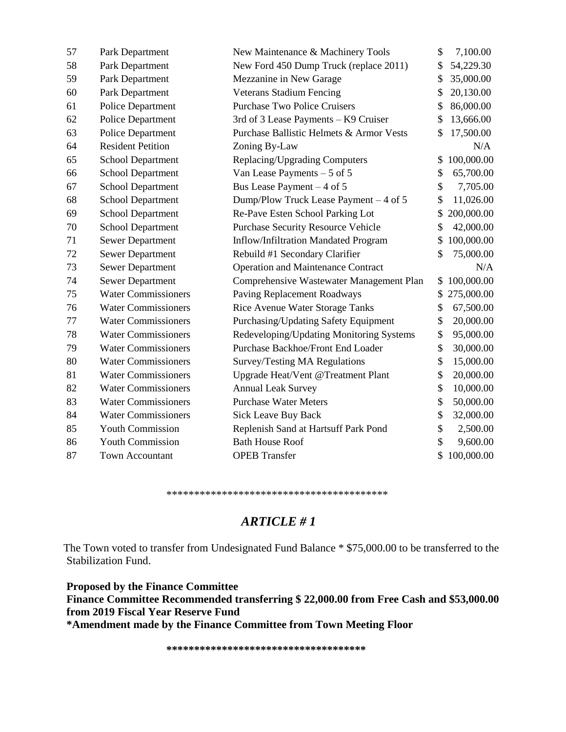| 57 | Park Department            | New Maintenance & Machinery Tools         | \$ | 7,100.00   |
|----|----------------------------|-------------------------------------------|----|------------|
| 58 | Park Department            | New Ford 450 Dump Truck (replace 2011)    | \$ | 54,229.30  |
| 59 | Park Department            | Mezzanine in New Garage                   | \$ | 35,000.00  |
| 60 | Park Department            | <b>Veterans Stadium Fencing</b>           | \$ | 20,130.00  |
| 61 | <b>Police Department</b>   | <b>Purchase Two Police Cruisers</b>       | \$ | 86,000.00  |
| 62 | <b>Police Department</b>   | 3rd of 3 Lease Payments - K9 Cruiser      | \$ | 13,666.00  |
| 63 | <b>Police Department</b>   | Purchase Ballistic Helmets & Armor Vests  | \$ | 17,500.00  |
| 64 | <b>Resident Petition</b>   | Zoning By-Law                             |    | N/A        |
| 65 | <b>School Department</b>   | Replacing/Upgrading Computers             | \$ | 100,000.00 |
| 66 | <b>School Department</b>   | Van Lease Payments $-5$ of 5              | \$ | 65,700.00  |
| 67 | <b>School Department</b>   | Bus Lease Payment $-4$ of 5               | \$ | 7,705.00   |
| 68 | <b>School Department</b>   | Dump/Plow Truck Lease Payment - 4 of 5    | \$ | 11,026.00  |
| 69 | <b>School Department</b>   | Re-Pave Esten School Parking Lot          | \$ | 200,000.00 |
| 70 | <b>School Department</b>   | Purchase Security Resource Vehicle        | \$ | 42,000.00  |
| 71 | <b>Sewer Department</b>    | Inflow/Infiltration Mandated Program      | S  | 100,000.00 |
| 72 | <b>Sewer Department</b>    | Rebuild #1 Secondary Clarifier            | \$ | 75,000.00  |
| 73 | <b>Sewer Department</b>    | <b>Operation and Maintenance Contract</b> |    | N/A        |
| 74 | <b>Sewer Department</b>    | Comprehensive Wastewater Management Plan  | \$ | 100,000.00 |
| 75 | <b>Water Commissioners</b> | Paving Replacement Roadways               | \$ | 275,000.00 |
| 76 | <b>Water Commissioners</b> | Rice Avenue Water Storage Tanks           | \$ | 67,500.00  |
| 77 | <b>Water Commissioners</b> | Purchasing/Updating Safety Equipment      | \$ | 20,000.00  |
| 78 | <b>Water Commissioners</b> | Redeveloping/Updating Monitoring Systems  | \$ | 95,000.00  |
| 79 | <b>Water Commissioners</b> | Purchase Backhoe/Front End Loader         | \$ | 30,000.00  |
| 80 | <b>Water Commissioners</b> | Survey/Testing MA Regulations             | \$ | 15,000.00  |
| 81 | <b>Water Commissioners</b> | Upgrade Heat/Vent @Treatment Plant        | \$ | 20,000.00  |
| 82 | <b>Water Commissioners</b> | <b>Annual Leak Survey</b>                 | \$ | 10,000.00  |
| 83 | <b>Water Commissioners</b> | <b>Purchase Water Meters</b>              | \$ | 50,000.00  |
| 84 | <b>Water Commissioners</b> | <b>Sick Leave Buy Back</b>                | \$ | 32,000.00  |
| 85 | <b>Youth Commission</b>    | Replenish Sand at Hartsuff Park Pond      | \$ | 2,500.00   |
| 86 | <b>Youth Commission</b>    | <b>Bath House Roof</b>                    | \$ | 9,600.00   |
| 87 | <b>Town Accountant</b>     | <b>OPEB</b> Transfer                      | \$ | 100,000.00 |

\*\*\*\*\*\*\*\*\*\*\*\*\*\*\*\*\*\*\*\*\*\*\*\*\*\*\*\*\*\*\*\*\*\*\*\*\*\*\*\*

# *ARTICLE # 1*

 The Town voted to transfer from Undesignated Fund Balance \* \$75,000.00 to be transferred to the Stabilization Fund.

**Proposed by the Finance Committee Finance Committee Recommended transferring \$ 22,000.00 from Free Cash and \$53,000.00 from 2019 Fiscal Year Reserve Fund \*Amendment made by the Finance Committee from Town Meeting Floor** 

**\*\*\*\*\*\*\*\*\*\*\*\*\*\*\*\*\*\*\*\*\*\*\*\*\*\*\*\*\*\*\*\*\*\*\*\***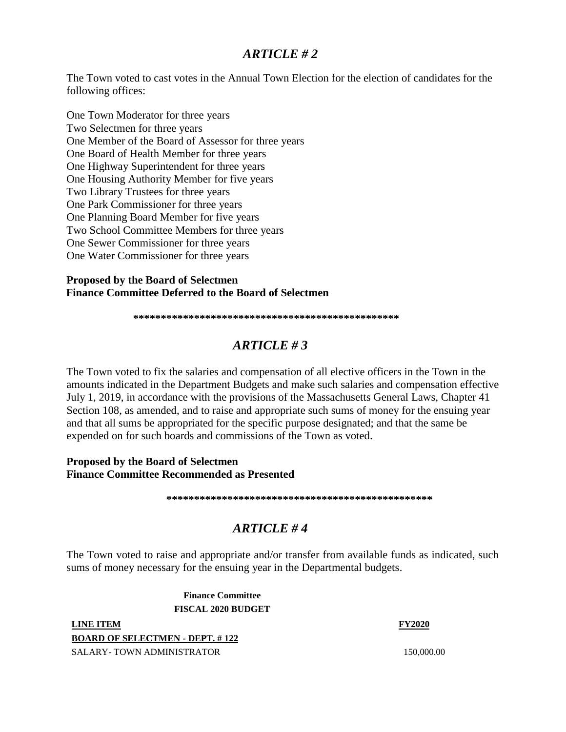# $ARTICLE \# 2$

The Town voted to cast votes in the Annual Town Election for the election of candidates for the following offices:

One Town Moderator for three years Two Selectmen for three years One Member of the Board of Assessor for three years One Board of Health Member for three years One Highway Superintendent for three years One Housing Authority Member for five years Two Library Trustees for three years One Park Commissioner for three years One Planning Board Member for five years Two School Committee Members for three years One Sewer Commissioner for three years One Water Commissioner for three years

#### **Proposed by the Board of Selectmen** Finance Committee Deferred to the Board of Selectmen

# $ARTICLE # 3$

The Town voted to fix the salaries and compensation of all elective officers in the Town in the amounts indicated in the Department Budgets and make such salaries and compensation effective July 1, 2019, in accordance with the provisions of the Massachusetts General Laws, Chapter 41 Section 108, as amended, and to raise and appropriate such sums of money for the ensuing year and that all sums be appropriated for the specific purpose designated; and that the same be expended on for such boards and commissions of the Town as voted.

#### Proposed by the Board of Selectmen Finance Committee Recommended as Presented

### **ARTICLE #4**

The Town voted to raise and appropriate and/or transfer from available funds as indicated, such sums of money necessary for the ensuing year in the Departmental budgets.

#### **Finance Committee FISCAL 2020 BUDGET**

**LINE ITEM BOARD OF SELECTMEN - DEPT. #122 SALARY-TOWN ADMINISTRATOR** 

**FY2020** 

150,000.00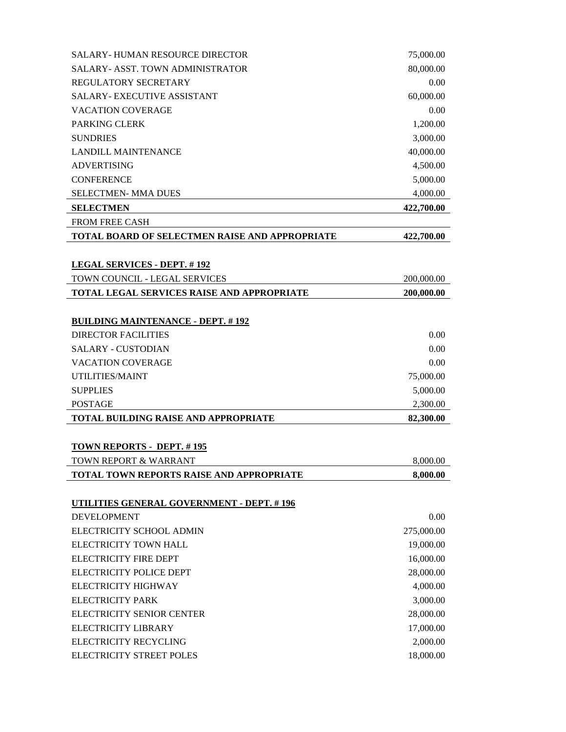| <b>SALARY-HUMAN RESOURCE DIRECTOR</b>             | 75,000.00  |
|---------------------------------------------------|------------|
| SALARY- ASST. TOWN ADMINISTRATOR                  | 80,000.00  |
| REGULATORY SECRETARY                              | 0.00       |
| <b>SALARY- EXECUTIVE ASSISTANT</b>                | 60,000.00  |
| <b>VACATION COVERAGE</b>                          | 0.00       |
| <b>PARKING CLERK</b>                              | 1,200.00   |
| <b>SUNDRIES</b>                                   | 3,000.00   |
| <b>LANDILL MAINTENANCE</b>                        | 40,000.00  |
| <b>ADVERTISING</b>                                | 4,500.00   |
| <b>CONFERENCE</b>                                 | 5,000.00   |
| SELECTMEN-MMA DUES                                | 4,000.00   |
| <b>SELECTMEN</b>                                  | 422,700.00 |
| <b>FROM FREE CASH</b>                             |            |
| TOTAL BOARD OF SELECTMEN RAISE AND APPROPRIATE    | 422,700.00 |
|                                                   |            |
| <b>LEGAL SERVICES - DEPT. #192</b>                |            |
| TOWN COUNCIL - LEGAL SERVICES                     | 200,000.00 |
| <b>TOTAL LEGAL SERVICES RAISE AND APPROPRIATE</b> | 200,000.00 |
|                                                   |            |
| <b>BUILDING MAINTENANCE - DEPT. #192</b>          |            |
| <b>DIRECTOR FACILITIES</b>                        | 0.00       |
| <b>SALARY - CUSTODIAN</b>                         | 0.00       |
| <b>VACATION COVERAGE</b>                          | 0.00       |
| UTILITIES/MAINT                                   | 75,000.00  |
| <b>SUPPLIES</b>                                   | 5,000.00   |
| <b>POSTAGE</b>                                    | 2,300.00   |
| <b>TOTAL BUILDING RAISE AND APPROPRIATE</b>       | 82,300.00  |
|                                                   |            |
| <b>TOWN REPORTS - DEPT. #195</b>                  |            |
| TOWN REPORT & WARRANT                             | 8,000.00   |
| TOTAL TOWN REPORTS RAISE AND APPROPRIATE          | 8,000.00   |
|                                                   |            |
| UTILITIES GENERAL GOVERNMENT - DEPT. #196         |            |
| <b>DEVELOPMENT</b>                                | 0.00       |
| ELECTRICITY SCHOOL ADMIN                          | 275,000.00 |
| ELECTRICITY TOWN HALL                             | 19,000.00  |
| <b>ELECTRICITY FIRE DEPT</b>                      | 16,000.00  |
| <b>ELECTRICITY POLICE DEPT</b>                    | 28,000.00  |
| <b>ELECTRICITY HIGHWAY</b>                        | 4,000.00   |
| <b>ELECTRICITY PARK</b>                           | 3,000.00   |
| <b>ELECTRICITY SENIOR CENTER</b>                  | 28,000.00  |
| <b>ELECTRICITY LIBRARY</b>                        | 17,000.00  |
| ELECTRICITY RECYCLING                             | 2,000.00   |
| <b>ELECTRICITY STREET POLES</b>                   |            |
|                                                   | 18,000.00  |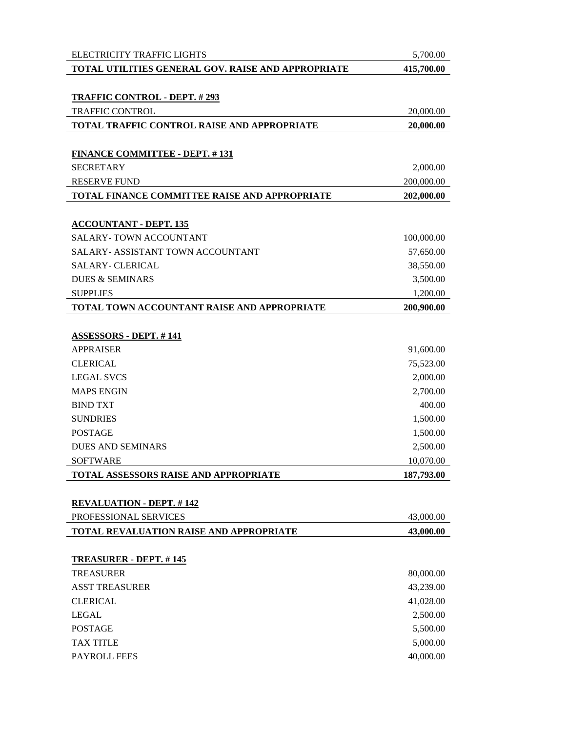| ELECTRICITY TRAFFIC LIGHTS                                | 5,700.00   |
|-----------------------------------------------------------|------------|
| <b>TOTAL UTILITIES GENERAL GOV. RAISE AND APPROPRIATE</b> | 415,700.00 |
|                                                           |            |
| <b>TRAFFIC CONTROL - DEPT. #293</b>                       |            |
| <b>TRAFFIC CONTROL</b>                                    | 20,000.00  |
| TOTAL TRAFFIC CONTROL RAISE AND APPROPRIATE               | 20,000.00  |
|                                                           |            |
| <b>FINANCE COMMITTEE - DEPT. #131</b>                     |            |
| <b>SECRETARY</b>                                          | 2,000.00   |
| <b>RESERVE FUND</b>                                       | 200,000.00 |
| TOTAL FINANCE COMMITTEE RAISE AND APPROPRIATE             | 202,000.00 |
|                                                           |            |
| <b>ACCOUNTANT - DEPT. 135</b>                             |            |
| <b>SALARY-TOWN ACCOUNTANT</b>                             | 100,000.00 |
| <b>SALARY- ASSISTANT TOWN ACCOUNTANT</b>                  | 57,650.00  |
| <b>SALARY- CLERICAL</b>                                   | 38,550.00  |
| <b>DUES &amp; SEMINARS</b>                                | 3,500.00   |
| <b>SUPPLIES</b>                                           | 1,200.00   |
| TOTAL TOWN ACCOUNTANT RAISE AND APPROPRIATE               | 200,900.00 |
|                                                           |            |
| <b>ASSESSORS - DEPT. #141</b>                             |            |
| <b>APPRAISER</b>                                          | 91,600.00  |
| <b>CLERICAL</b>                                           | 75,523.00  |
| <b>LEGAL SVCS</b>                                         | 2,000.00   |
| <b>MAPS ENGIN</b>                                         | 2,700.00   |
| <b>BIND TXT</b>                                           | 400.00     |
| <b>SUNDRIES</b>                                           | 1,500.00   |
| <b>POSTAGE</b>                                            | 1,500.00   |
| <b>DUES AND SEMINARS</b>                                  | 2,500.00   |
| <b>SOFTWARE</b>                                           | 10,070.00  |
| TOTAL ASSESSORS RAISE AND APPROPRIATE                     | 187,793.00 |
|                                                           |            |
| <b>REVALUATION - DEPT. #142</b>                           |            |
| PROFESSIONAL SERVICES                                     | 43,000.00  |
| TOTAL REVALUATION RAISE AND APPROPRIATE                   | 43,000.00  |
|                                                           |            |
| <b>TREASURER - DEPT. #145</b>                             |            |
| <b>TREASURER</b>                                          | 80,000.00  |
| <b>ASST TREASURER</b>                                     | 43,239.00  |
| <b>CLERICAL</b>                                           | 41,028.00  |
| <b>LEGAL</b>                                              | 2,500.00   |
| <b>POSTAGE</b>                                            | 5,500.00   |
| <b>TAX TITLE</b>                                          | 5,000.00   |
| PAYROLL FEES                                              | 40,000.00  |
|                                                           |            |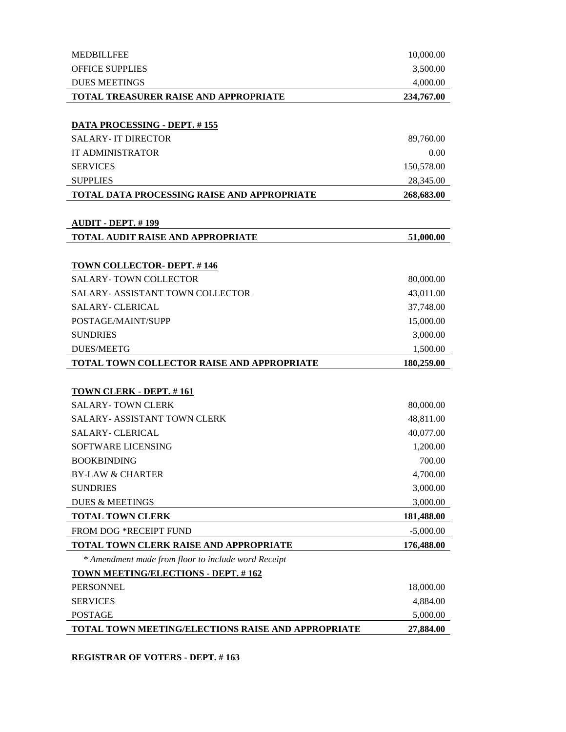| <b>MEDBILLFEE</b>                                          | 10,000.00   |
|------------------------------------------------------------|-------------|
| <b>OFFICE SUPPLIES</b>                                     | 3,500.00    |
| <b>DUES MEETINGS</b>                                       | 4,000.00    |
| <b>TOTAL TREASURER RAISE AND APPROPRIATE</b>               | 234,767.00  |
|                                                            |             |
| <b>DATA PROCESSING - DEPT. #155</b>                        |             |
| <b>SALARY-IT DIRECTOR</b>                                  | 89,760.00   |
| IT ADMINISTRATOR                                           | 0.00        |
| <b>SERVICES</b>                                            | 150,578.00  |
| <b>SUPPLIES</b>                                            | 28,345.00   |
| <b>TOTAL DATA PROCESSING RAISE AND APPROPRIATE</b>         | 268,683.00  |
|                                                            |             |
| <b>AUDIT - DEPT. #199</b>                                  |             |
| <b>TOTAL AUDIT RAISE AND APPROPRIATE</b>                   | 51,000.00   |
|                                                            |             |
| <b>TOWN COLLECTOR- DEPT. #146</b>                          |             |
| <b>SALARY-TOWN COLLECTOR</b>                               | 80,000.00   |
| <b>SALARY- ASSISTANT TOWN COLLECTOR</b>                    | 43,011.00   |
| <b>SALARY- CLERICAL</b>                                    | 37,748.00   |
| POSTAGE/MAINT/SUPP                                         | 15,000.00   |
| <b>SUNDRIES</b>                                            | 3,000.00    |
| <b>DUES/MEETG</b>                                          | 1,500.00    |
| TOTAL TOWN COLLECTOR RAISE AND APPROPRIATE                 | 180,259.00  |
|                                                            |             |
| <b>TOWN CLERK - DEPT. #161</b><br><b>SALARY-TOWN CLERK</b> |             |
| <b>SALARY- ASSISTANT TOWN CLERK</b>                        | 80,000.00   |
|                                                            | 48,811.00   |
| <b>SALARY- CLERICAL</b>                                    | 40,077.00   |
| SOFTWARE LICENSING                                         | 1,200.00    |
| <b>BOOKBINDING</b>                                         | 700.00      |
| <b>BY-LAW &amp; CHARTER</b>                                | 4,700.00    |
| <b>SUNDRIES</b>                                            | 3,000.00    |
| <b>DUES &amp; MEETINGS</b>                                 | 3,000.00    |
| <b>TOTAL TOWN CLERK</b>                                    | 181,488.00  |
| FROM DOG *RECEIPT FUND                                     | $-5,000.00$ |
| TOTAL TOWN CLERK RAISE AND APPROPRIATE                     | 176,488.00  |
| * Amendment made from floor to include word Receipt        |             |
| TOWN MEETING/ELECTIONS - DEPT. #162<br><b>PERSONNEL</b>    | 18,000.00   |
| <b>SERVICES</b>                                            | 4,884.00    |
| <b>POSTAGE</b>                                             |             |
|                                                            | 5,000.00    |
| TOTAL TOWN MEETING/ELECTIONS RAISE AND APPROPRIATE         | 27,884.00   |

**REGISTRAR OF VOTERS - DEPT. # 163**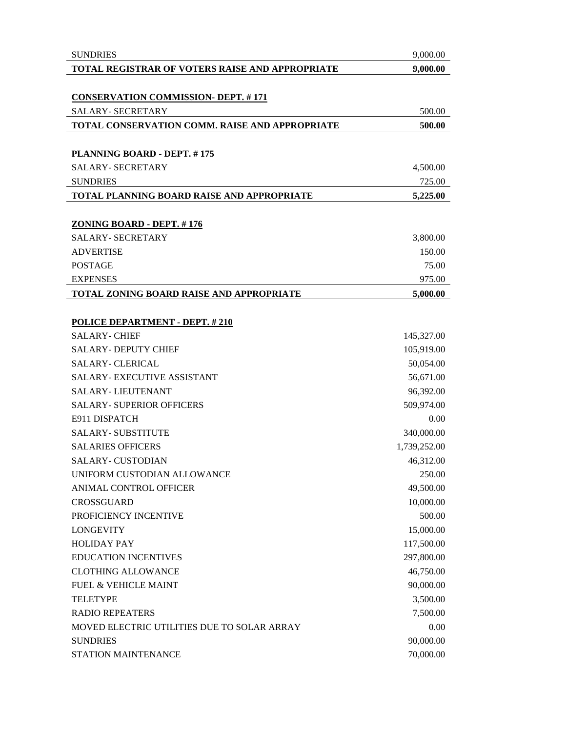| <b>SUNDRIES</b>                                       | 9,000.00     |
|-------------------------------------------------------|--------------|
| TOTAL REGISTRAR OF VOTERS RAISE AND APPROPRIATE       | 9,000.00     |
|                                                       |              |
| <b>CONSERVATION COMMISSION- DEPT. #171</b>            |              |
| SALARY- SECRETARY                                     | 500.00       |
| <b>TOTAL CONSERVATION COMM. RAISE AND APPROPRIATE</b> | 500.00       |
|                                                       |              |
| PLANNING BOARD - DEPT. #175                           |              |
| <b>SALARY- SECRETARY</b>                              | 4,500.00     |
| <b>SUNDRIES</b>                                       | 725.00       |
| TOTAL PLANNING BOARD RAISE AND APPROPRIATE            | 5,225.00     |
|                                                       |              |
| <b>ZONING BOARD - DEPT. #176</b>                      |              |
| <b>SALARY- SECRETARY</b>                              | 3,800.00     |
| <b>ADVERTISE</b>                                      | 150.00       |
| <b>POSTAGE</b>                                        | 75.00        |
| <b>EXPENSES</b>                                       | 975.00       |
| <b>TOTAL ZONING BOARD RAISE AND APPROPRIATE</b>       | 5,000.00     |
|                                                       |              |
| <b>POLICE DEPARTMENT - DEPT. #210</b>                 |              |
| <b>SALARY-CHIEF</b>                                   | 145,327.00   |
| <b>SALARY- DEPUTY CHIEF</b>                           | 105,919.00   |
| <b>SALARY- CLERICAL</b>                               | 50,054.00    |
| <b>SALARY- EXECUTIVE ASSISTANT</b>                    | 56,671.00    |
| <b>SALARY-LIEUTENANT</b>                              | 96,392.00    |
| <b>SALARY- SUPERIOR OFFICERS</b>                      | 509,974.00   |
| E911 DISPATCH                                         | 0.00         |
| <b>SALARY-SUBSTITUTE</b>                              | 340,000.00   |
| <b>SALARIES OFFICERS</b>                              | 1,739,252.00 |
| SALARY-CUSTODIAN                                      | 46,312.00    |
| UNIFORM CUSTODIAN ALLOWANCE                           | 250.00       |
| ANIMAL CONTROL OFFICER                                | 49,500.00    |
| <b>CROSSGUARD</b>                                     | 10,000.00    |
| PROFICIENCY INCENTIVE                                 | 500.00       |
| <b>LONGEVITY</b>                                      | 15,000.00    |
| <b>HOLIDAY PAY</b>                                    | 117,500.00   |
| <b>EDUCATION INCENTIVES</b>                           | 297,800.00   |
| <b>CLOTHING ALLOWANCE</b>                             | 46,750.00    |
| FUEL & VEHICLE MAINT                                  | 90,000.00    |
| <b>TELETYPE</b>                                       | 3,500.00     |
| <b>RADIO REPEATERS</b>                                | 7,500.00     |
| MOVED ELECTRIC UTILITIES DUE TO SOLAR ARRAY           | 0.00         |
| <b>SUNDRIES</b>                                       | 90,000.00    |
| STATION MAINTENANCE                                   | 70,000.00    |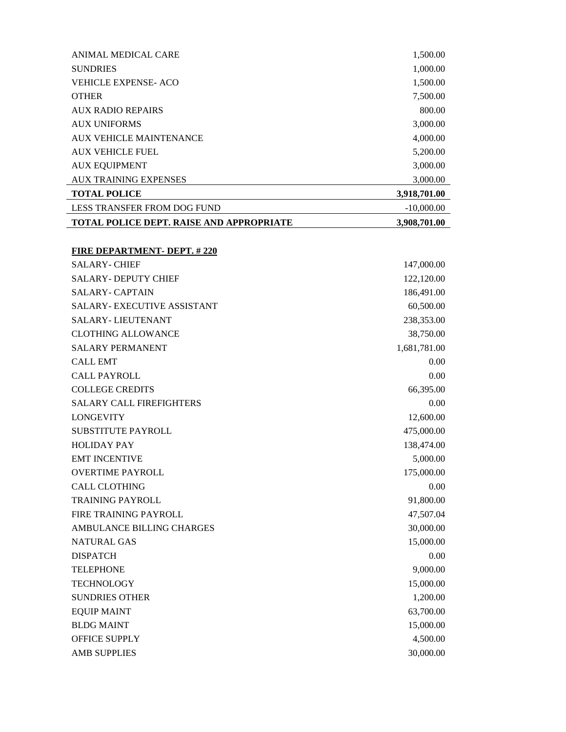| ANIMAL MEDICAL CARE                             | 1,500.00     |
|-------------------------------------------------|--------------|
| <b>SUNDRIES</b>                                 | 1,000.00     |
| <b>VEHICLE EXPENSE- ACO</b>                     | 1,500.00     |
| <b>OTHER</b>                                    | 7,500.00     |
| <b>AUX RADIO REPAIRS</b>                        | 800.00       |
| <b>AUX UNIFORMS</b>                             | 3,000.00     |
| <b>AUX VEHICLE MAINTENANCE</b>                  | 4,000.00     |
| <b>AUX VEHICLE FUEL</b>                         | 5,200.00     |
| <b>AUX EQUIPMENT</b>                            | 3,000.00     |
| <b>AUX TRAINING EXPENSES</b>                    | 3,000.00     |
| <b>TOTAL POLICE</b>                             | 3,918,701.00 |
| LESS TRANSFER FROM DOG FUND                     | $-10,000,00$ |
| <b>TOTAL POLICE DEPT. RAISE AND APPROPRIATE</b> | 3,908,701.00 |

#### **FIRE DEPARTMENT- DEPT. # 220**

| <b>SALARY-CHIEF</b>             | 147,000.00   |
|---------------------------------|--------------|
| <b>SALARY- DEPUTY CHIEF</b>     | 122,120.00   |
| <b>SALARY- CAPTAIN</b>          | 186,491.00   |
| SALARY- EXECUTIVE ASSISTANT     | 60,500.00    |
| <b>SALARY-LIEUTENANT</b>        | 238,353.00   |
| <b>CLOTHING ALLOWANCE</b>       | 38,750.00    |
| <b>SALARY PERMANENT</b>         | 1,681,781.00 |
| <b>CALL EMT</b>                 | 0.00         |
| <b>CALL PAYROLL</b>             | 0.00         |
| <b>COLLEGE CREDITS</b>          | 66,395.00    |
| <b>SALARY CALL FIREFIGHTERS</b> | 0.00         |
| <b>LONGEVITY</b>                | 12,600.00    |
| <b>SUBSTITUTE PAYROLL</b>       | 475,000.00   |
| <b>HOLIDAY PAY</b>              | 138,474.00   |
| <b>EMT INCENTIVE</b>            | 5,000.00     |
| <b>OVERTIME PAYROLL</b>         | 175,000.00   |
| <b>CALL CLOTHING</b>            | 0.00         |
| <b>TRAINING PAYROLL</b>         | 91,800.00    |
| <b>FIRE TRAINING PAYROLL</b>    | 47,507.04    |
| AMBULANCE BILLING CHARGES       | 30,000.00    |
| <b>NATURAL GAS</b>              | 15,000.00    |
| <b>DISPATCH</b>                 | 0.00         |
| <b>TELEPHONE</b>                | 9,000.00     |
| <b>TECHNOLOGY</b>               | 15,000.00    |
| <b>SUNDRIES OTHER</b>           | 1,200.00     |
| <b>EQUIP MAINT</b>              | 63,700.00    |
| <b>BLDG MAINT</b>               | 15,000.00    |
| <b>OFFICE SUPPLY</b>            | 4,500.00     |
| <b>AMB SUPPLIES</b>             | 30,000.00    |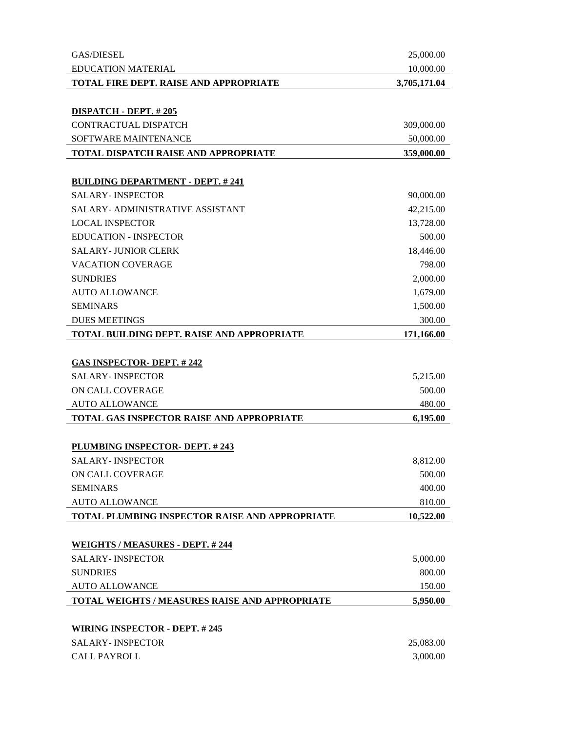| <b>GAS/DIESEL</b>                                     | 25,000.00    |
|-------------------------------------------------------|--------------|
| <b>EDUCATION MATERIAL</b>                             | 10,000.00    |
| <b>TOTAL FIRE DEPT. RAISE AND APPROPRIATE</b>         | 3,705,171.04 |
|                                                       |              |
| DISPATCH - DEPT. #205                                 |              |
| CONTRACTUAL DISPATCH                                  | 309,000.00   |
| SOFTWARE MAINTENANCE                                  | 50,000.00    |
| TOTAL DISPATCH RAISE AND APPROPRIATE                  | 359,000.00   |
|                                                       |              |
| <b>BUILDING DEPARTMENT - DEPT. #241</b>               |              |
| <b>SALARY-INSPECTOR</b>                               | 90,000.00    |
| SALARY- ADMINISTRATIVE ASSISTANT                      | 42,215.00    |
| <b>LOCAL INSPECTOR</b>                                | 13,728.00    |
| <b>EDUCATION - INSPECTOR</b>                          | 500.00       |
| <b>SALARY-JUNIOR CLERK</b>                            | 18,446.00    |
| <b>VACATION COVERAGE</b>                              | 798.00       |
| <b>SUNDRIES</b>                                       | 2,000.00     |
| <b>AUTO ALLOWANCE</b>                                 | 1,679.00     |
| <b>SEMINARS</b>                                       | 1,500.00     |
| <b>DUES MEETINGS</b>                                  | 300.00       |
| <b>TOTAL BUILDING DEPT. RAISE AND APPROPRIATE</b>     | 171,166.00   |
|                                                       |              |
| <b>GAS INSPECTOR- DEPT. #242</b>                      |              |
| <b>SALARY-INSPECTOR</b>                               | 5,215.00     |
| ON CALL COVERAGE                                      | 500.00       |
| <b>AUTO ALLOWANCE</b>                                 | 480.00       |
| TOTAL GAS INSPECTOR RAISE AND APPROPRIATE             | 6,195.00     |
|                                                       |              |
| PLUMBING INSPECTOR- DEPT. #243                        |              |
| <b>SALARY-INSPECTOR</b>                               | 8,812.00     |
| ON CALL COVERAGE                                      | 500.00       |
| <b>SEMINARS</b>                                       | 400.00       |
| <b>AUTO ALLOWANCE</b>                                 | 810.00       |
| <b>TOTAL PLUMBING INSPECTOR RAISE AND APPROPRIATE</b> | 10,522.00    |
|                                                       |              |
| <b>WEIGHTS/MEASURES - DEPT. #244</b>                  |              |
| <b>SALARY-INSPECTOR</b>                               | 5,000.00     |
| <b>SUNDRIES</b>                                       | 800.00       |
| <b>AUTO ALLOWANCE</b>                                 | 150.00       |
| <b>TOTAL WEIGHTS/MEASURES RAISE AND APPROPRIATE</b>   | 5,950.00     |
| <b>WIRING INSPECTOR - DEPT. #245</b>                  |              |
| <b>SALARY-INSPECTOR</b>                               | 25,083.00    |
| <b>CALL PAYROLL</b>                                   | 3,000.00     |
|                                                       |              |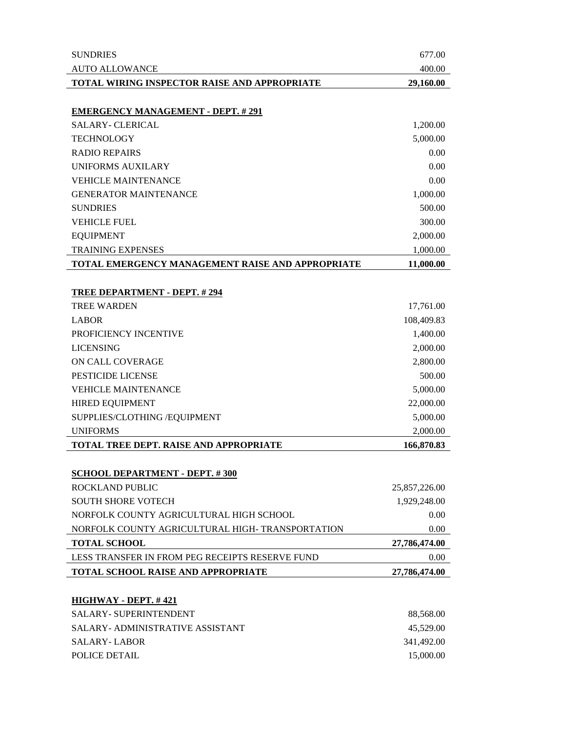| <b>SUNDRIES</b>                                  | 677.00        |
|--------------------------------------------------|---------------|
| <b>AUTO ALLOWANCE</b>                            | 400.00        |
| TOTAL WIRING INSPECTOR RAISE AND APPROPRIATE     | 29,160.00     |
|                                                  |               |
| <b>EMERGENCY MANAGEMENT - DEPT. #291</b>         |               |
| <b>SALARY- CLERICAL</b>                          | 1,200.00      |
| <b>TECHNOLOGY</b>                                | 5,000.00      |
| <b>RADIO REPAIRS</b>                             | 0.00          |
| <b>UNIFORMS AUXILARY</b>                         | 0.00          |
| <b>VEHICLE MAINTENANCE</b>                       | 0.00          |
| <b>GENERATOR MAINTENANCE</b>                     | 1,000.00      |
| <b>SUNDRIES</b>                                  | 500.00        |
| <b>VEHICLE FUEL</b>                              | 300.00        |
| <b>EQUIPMENT</b>                                 | 2,000.00      |
| <b>TRAINING EXPENSES</b>                         | 1,000.00      |
| TOTAL EMERGENCY MANAGEMENT RAISE AND APPROPRIATE | 11,000.00     |
|                                                  |               |
| <b>TREE DEPARTMENT - DEPT. #294</b>              |               |
| <b>TREE WARDEN</b>                               | 17,761.00     |
| <b>LABOR</b>                                     | 108,409.83    |
| PROFICIENCY INCENTIVE                            | 1,400.00      |
| <b>LICENSING</b>                                 | 2,000.00      |
| ON CALL COVERAGE                                 | 2,800.00      |
| <b>PESTICIDE LICENSE</b>                         | 500.00        |
| <b>VEHICLE MAINTENANCE</b>                       | 5,000.00      |
| HIRED EQUIPMENT                                  | 22,000.00     |
| SUPPLIES/CLOTHING /EQUIPMENT                     | 5,000.00      |
| <b>UNIFORMS</b>                                  | 2,000.00      |
| TOTAL TREE DEPT. RAISE AND APPROPRIATE           | 166,870.83    |
|                                                  |               |
| <b>SCHOOL DEPARTMENT - DEPT. #300</b>            |               |
| <b>ROCKLAND PUBLIC</b>                           | 25,857,226.00 |
| <b>SOUTH SHORE VOTECH</b>                        | 1,929,248.00  |
| NORFOLK COUNTY AGRICULTURAL HIGH SCHOOL          | 0.00          |
| NORFOLK COUNTY AGRICULTURAL HIGH-TRANSPORTATION  | 0.00          |
| <b>TOTAL SCHOOL</b>                              | 27,786,474.00 |
| LESS TRANSFER IN FROM PEG RECEIPTS RESERVE FUND  | 0.00          |
| <b>TOTAL SCHOOL RAISE AND APPROPRIATE</b>        | 27,786,474.00 |
|                                                  |               |
| <b>HIGHWAY - DEPT. #421</b>                      |               |
| <b>SALARY- SUPERINTENDENT</b>                    | 88,568.00     |
| SALARY- ADMINISTRATIVE ASSISTANT                 | 45,529.00     |
| <b>SALARY-LABOR</b>                              | 341,492.00    |
| POLICE DETAIL                                    | 15,000.00     |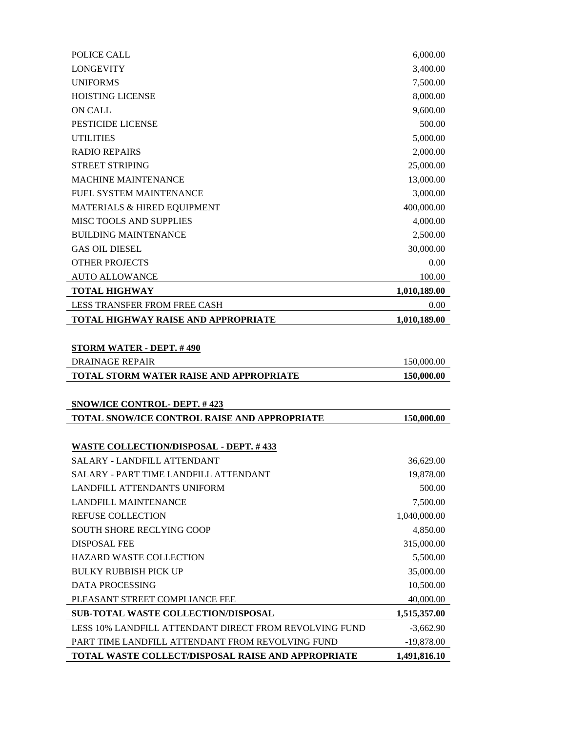| POLICE CALL                                                                                                                                                                                                                                                                                                                                                                                                                                                                                | 6,000.00                                                                                                                                                                                 |
|--------------------------------------------------------------------------------------------------------------------------------------------------------------------------------------------------------------------------------------------------------------------------------------------------------------------------------------------------------------------------------------------------------------------------------------------------------------------------------------------|------------------------------------------------------------------------------------------------------------------------------------------------------------------------------------------|
| <b>LONGEVITY</b>                                                                                                                                                                                                                                                                                                                                                                                                                                                                           | 3,400.00                                                                                                                                                                                 |
| <b>UNIFORMS</b>                                                                                                                                                                                                                                                                                                                                                                                                                                                                            | 7,500.00                                                                                                                                                                                 |
| <b>HOISTING LICENSE</b>                                                                                                                                                                                                                                                                                                                                                                                                                                                                    | 8,000.00                                                                                                                                                                                 |
| <b>ON CALL</b>                                                                                                                                                                                                                                                                                                                                                                                                                                                                             | 9,600.00                                                                                                                                                                                 |
| PESTICIDE LICENSE                                                                                                                                                                                                                                                                                                                                                                                                                                                                          | 500.00                                                                                                                                                                                   |
| <b>UTILITIES</b>                                                                                                                                                                                                                                                                                                                                                                                                                                                                           | 5,000.00                                                                                                                                                                                 |
| <b>RADIO REPAIRS</b>                                                                                                                                                                                                                                                                                                                                                                                                                                                                       | 2,000.00                                                                                                                                                                                 |
| <b>STREET STRIPING</b>                                                                                                                                                                                                                                                                                                                                                                                                                                                                     | 25,000.00                                                                                                                                                                                |
| <b>MACHINE MAINTENANCE</b>                                                                                                                                                                                                                                                                                                                                                                                                                                                                 | 13,000.00                                                                                                                                                                                |
| FUEL SYSTEM MAINTENANCE                                                                                                                                                                                                                                                                                                                                                                                                                                                                    | 3,000.00                                                                                                                                                                                 |
| MATERIALS & HIRED EQUIPMENT                                                                                                                                                                                                                                                                                                                                                                                                                                                                | 400,000.00                                                                                                                                                                               |
| <b>MISC TOOLS AND SUPPLIES</b>                                                                                                                                                                                                                                                                                                                                                                                                                                                             | 4,000.00                                                                                                                                                                                 |
| <b>BUILDING MAINTENANCE</b>                                                                                                                                                                                                                                                                                                                                                                                                                                                                | 2,500.00                                                                                                                                                                                 |
| <b>GAS OIL DIESEL</b>                                                                                                                                                                                                                                                                                                                                                                                                                                                                      | 30,000.00                                                                                                                                                                                |
| <b>OTHER PROJECTS</b>                                                                                                                                                                                                                                                                                                                                                                                                                                                                      | 0.00                                                                                                                                                                                     |
| <b>AUTO ALLOWANCE</b>                                                                                                                                                                                                                                                                                                                                                                                                                                                                      | 100.00                                                                                                                                                                                   |
| <b>TOTAL HIGHWAY</b>                                                                                                                                                                                                                                                                                                                                                                                                                                                                       | 1,010,189.00                                                                                                                                                                             |
| LESS TRANSFER FROM FREE CASH                                                                                                                                                                                                                                                                                                                                                                                                                                                               | 0.00                                                                                                                                                                                     |
|                                                                                                                                                                                                                                                                                                                                                                                                                                                                                            |                                                                                                                                                                                          |
|                                                                                                                                                                                                                                                                                                                                                                                                                                                                                            |                                                                                                                                                                                          |
| TOTAL HIGHWAY RAISE AND APPROPRIATE                                                                                                                                                                                                                                                                                                                                                                                                                                                        |                                                                                                                                                                                          |
|                                                                                                                                                                                                                                                                                                                                                                                                                                                                                            |                                                                                                                                                                                          |
| TOTAL SNOW/ICE CONTROL RAISE AND APPROPRIATE                                                                                                                                                                                                                                                                                                                                                                                                                                               | 1,010,189.00<br>150,000.00<br>150,000.00<br>150,000.00                                                                                                                                   |
| <b>STORM WATER - DEPT. #490</b><br>TOTAL STORM WATER RAISE AND APPROPRIATE                                                                                                                                                                                                                                                                                                                                                                                                                 |                                                                                                                                                                                          |
| <b>WASTE COLLECTION/DISPOSAL - DEPT. #433</b>                                                                                                                                                                                                                                                                                                                                                                                                                                              |                                                                                                                                                                                          |
| SALARY - LANDFILL ATTENDANT                                                                                                                                                                                                                                                                                                                                                                                                                                                                |                                                                                                                                                                                          |
|                                                                                                                                                                                                                                                                                                                                                                                                                                                                                            |                                                                                                                                                                                          |
|                                                                                                                                                                                                                                                                                                                                                                                                                                                                                            |                                                                                                                                                                                          |
|                                                                                                                                                                                                                                                                                                                                                                                                                                                                                            |                                                                                                                                                                                          |
|                                                                                                                                                                                                                                                                                                                                                                                                                                                                                            |                                                                                                                                                                                          |
|                                                                                                                                                                                                                                                                                                                                                                                                                                                                                            |                                                                                                                                                                                          |
|                                                                                                                                                                                                                                                                                                                                                                                                                                                                                            |                                                                                                                                                                                          |
|                                                                                                                                                                                                                                                                                                                                                                                                                                                                                            |                                                                                                                                                                                          |
|                                                                                                                                                                                                                                                                                                                                                                                                                                                                                            |                                                                                                                                                                                          |
|                                                                                                                                                                                                                                                                                                                                                                                                                                                                                            |                                                                                                                                                                                          |
|                                                                                                                                                                                                                                                                                                                                                                                                                                                                                            |                                                                                                                                                                                          |
|                                                                                                                                                                                                                                                                                                                                                                                                                                                                                            |                                                                                                                                                                                          |
| <b>DRAINAGE REPAIR</b><br><b>SNOW/ICE CONTROL- DEPT. #423</b><br>SALARY - PART TIME LANDFILL ATTENDANT<br>LANDFILL ATTENDANTS UNIFORM<br><b>LANDFILL MAINTENANCE</b><br><b>REFUSE COLLECTION</b><br><b>SOUTH SHORE RECLYING COOP</b><br><b>DISPOSAL FEE</b><br><b>HAZARD WASTE COLLECTION</b><br><b>BULKY RUBBISH PICK UP</b><br><b>DATA PROCESSING</b><br>PLEASANT STREET COMPLIANCE FEE<br>SUB-TOTAL WASTE COLLECTION/DISPOSAL<br>LESS 10% LANDFILL ATTENDANT DIRECT FROM REVOLVING FUND |                                                                                                                                                                                          |
| PART TIME LANDFILL ATTENDANT FROM REVOLVING FUND                                                                                                                                                                                                                                                                                                                                                                                                                                           | 36,629.00<br>19,878.00<br>500.00<br>7,500.00<br>1,040,000.00<br>4,850.00<br>315,000.00<br>5,500.00<br>35,000.00<br>10,500.00<br>40,000.00<br>1,515,357.00<br>$-3,662.90$<br>$-19,878.00$ |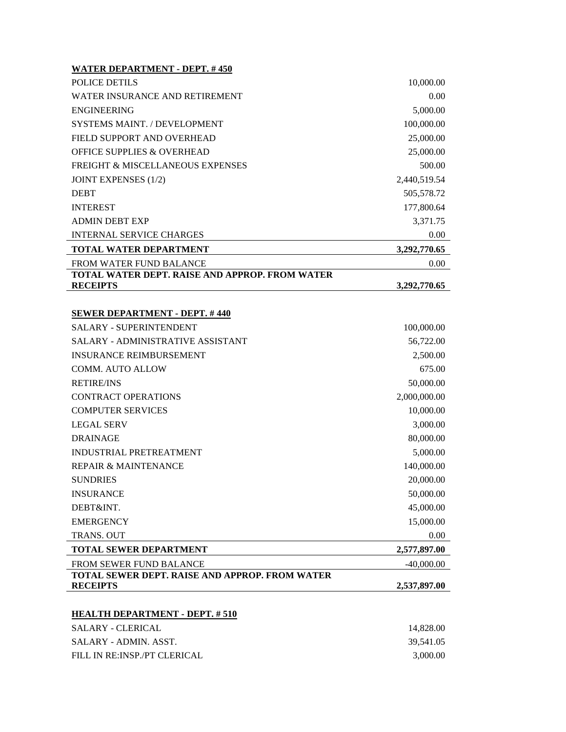|  |  | WATER DEPARTMENT - DEPT. #450 |  |
|--|--|-------------------------------|--|
|--|--|-------------------------------|--|

| <b>POLICE DETILS</b>                                              | 10,000.00    |
|-------------------------------------------------------------------|--------------|
| WATER INSURANCE AND RETIREMENT                                    | 0.00         |
| <b>ENGINEERING</b>                                                | 5,000.00     |
| <b>SYSTEMS MAINT. / DEVELOPMENT</b>                               | 100,000.00   |
| FIELD SUPPORT AND OVERHEAD                                        | 25,000.00    |
| <b>OFFICE SUPPLIES &amp; OVERHEAD</b>                             | 25,000.00    |
| <b>FREIGHT &amp; MISCELLANEOUS EXPENSES</b>                       | 500.00       |
| <b>JOINT EXPENSES (1/2)</b>                                       | 2,440,519.54 |
| <b>DEBT</b>                                                       | 505,578.72   |
| <b>INTEREST</b>                                                   | 177,800.64   |
| <b>ADMIN DEBT EXP</b>                                             | 3,371.75     |
| <b>INTERNAL SERVICE CHARGES</b>                                   | 0.00         |
| TOTAL WATER DEPARTMENT                                            | 3,292,770.65 |
| FROM WATER FUND BALANCE                                           | 0.00         |
| TOTAL WATER DEPT. RAISE AND APPROP. FROM WATER<br><b>RECEIPTS</b> | 3,292,770.65 |
|                                                                   |              |
| <b>SEWER DEPARTMENT - DEPT. #440</b>                              |              |
| SALARY - SUPERINTENDENT                                           | 100,000.00   |
|                                                                   |              |
| SALARY - ADMINISTRATIVE ASSISTANT                                 | 56,722.00    |
| <b>INSURANCE REIMBURSEMENT</b>                                    | 2,500.00     |
| <b>COMM. AUTO ALLOW</b>                                           | 675.00       |
| <b>RETIRE/INS</b>                                                 | 50,000.00    |
| <b>CONTRACT OPERATIONS</b>                                        | 2,000,000.00 |
| <b>COMPUTER SERVICES</b>                                          | 10,000.00    |
| <b>LEGAL SERV</b>                                                 | 3,000.00     |
| <b>DRAINAGE</b>                                                   | 80,000.00    |
| <b>INDUSTRIAL PRETREATMENT</b>                                    | 5,000.00     |
| <b>REPAIR &amp; MAINTENANCE</b>                                   | 140,000.00   |
| <b>SUNDRIES</b>                                                   | 20,000.00    |
| <b>INSURANCE</b>                                                  | 50,000.00    |
| DEBT&INT.                                                         | 45,000.00    |

| TRANS. OUT                                            | 0.00         |
|-------------------------------------------------------|--------------|
| <b>TOTAL SEWER DEPARTMENT</b>                         | 2,577,897.00 |
| <b>FROM SEWER FUND BALANCE</b>                        | $-40,000.00$ |
| <b>TOTAL SEWER DEPT. RAISE AND APPROP. FROM WATER</b> |              |
| <b>RECEIPTS</b>                                       | 2,537,897.00 |

#### **HEALTH DEPARTMENT - DEPT. # 510**

| SALARY - CLERICAL            | 14.828.00 |
|------------------------------|-----------|
| SALARY - ADMIN. ASST.        | 39.541.05 |
| FILL IN RE:INSP./PT CLERICAL | 3.000.00  |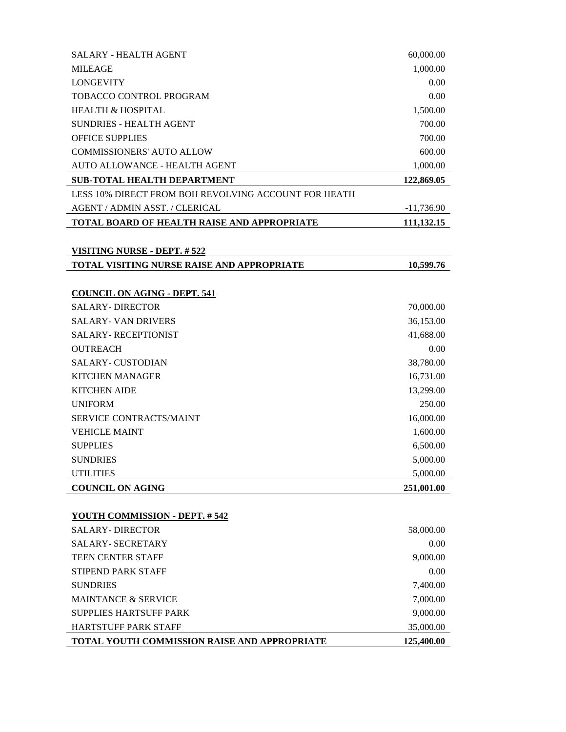| <b>SALARY - HEALTH AGENT</b>                         | 60,000.00    |
|------------------------------------------------------|--------------|
| <b>MILEAGE</b>                                       | 1,000.00     |
| <b>LONGEVITY</b>                                     | 0.00         |
| TOBACCO CONTROL PROGRAM                              | 0.00         |
| <b>HEALTH &amp; HOSPITAL</b>                         | 1,500.00     |
| <b>SUNDRIES - HEALTH AGENT</b>                       | 700.00       |
| <b>OFFICE SUPPLIES</b>                               | 700.00       |
| <b>COMMISSIONERS' AUTO ALLOW</b>                     | 600.00       |
| AUTO ALLOWANCE - HEALTH AGENT                        | 1,000.00     |
| <b>SUB-TOTAL HEALTH DEPARTMENT</b>                   | 122,869.05   |
| LESS 10% DIRECT FROM BOH REVOLVING ACCOUNT FOR HEATH |              |
| AGENT / ADMIN ASST. / CLERICAL                       | $-11,736.90$ |
| TOTAL BOARD OF HEALTH RAISE AND APPROPRIATE          | 111,132.15   |
|                                                      |              |
| <u>VISITING NURSE - DEPT. # 522</u>                  |              |
| TOTAL VISITING NURSE RAISE AND APPROPRIATE           | 10,599.76    |
|                                                      |              |
| <b>COUNCIL ON AGING - DEPT. 541</b>                  |              |
| <b>SALARY-DIRECTOR</b>                               | 70,000.00    |
| <b>SALARY-VAN DRIVERS</b>                            | 36,153.00    |
| <b>SALARY-RECEPTIONIST</b>                           | 41,688.00    |
| <b>OUTREACH</b>                                      | 0.00         |
| <b>SALARY-CUSTODIAN</b>                              | 38,780.00    |
| <b>KITCHEN MANAGER</b>                               | 16,731.00    |
| <b>KITCHEN AIDE</b>                                  | 13,299.00    |
| <b>UNIFORM</b>                                       | 250.00       |
| SERVICE CONTRACTS/MAINT                              | 16,000.00    |
| <b>VEHICLE MAINT</b>                                 | 1,600.00     |
| <b>SUPPLIES</b>                                      | 6,500.00     |
| <b>SUNDRIES</b>                                      | 5,000.00     |
| <b>UTILITIES</b>                                     | 5,000.00     |
| <b>COUNCIL ON AGING</b>                              | 251,001.00   |
|                                                      |              |
| YOUTH COMMISSION - DEPT. #542                        |              |
| <b>SALARY-DIRECTOR</b>                               | 58,000.00    |
| SALARY- SECRETARY                                    | 0.00         |
| TEEN CENTER STAFF                                    | 9,000.00     |
| STIPEND PARK STAFF                                   | 0.00         |
| <b>SUNDRIES</b>                                      | 7,400.00     |

MAINTANCE & SERVICE 7,000.00 SUPPLIES HARTSUFF PARK 9,000.00 HARTSTUFF PARK STAFF 35,000.00 **TOTAL YOUTH COMMISSION RAISE AND APPROPRIATE 125,400.00**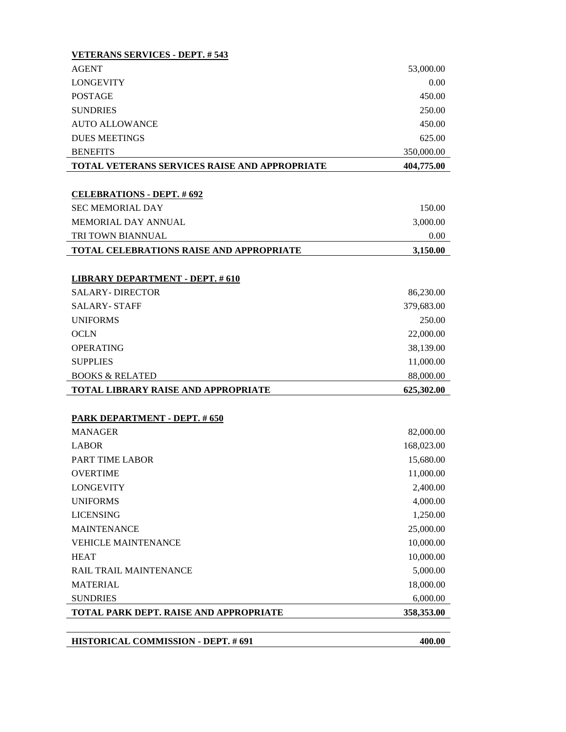|  | <b>VETERANS SERVICES - DEPT. # 543</b> |
|--|----------------------------------------|
|  |                                        |

| <b>AGENT</b>                                         | 53,000.00            |
|------------------------------------------------------|----------------------|
| <b>LONGEVITY</b>                                     | 0.00                 |
| <b>POSTAGE</b>                                       | 450.00               |
| <b>SUNDRIES</b>                                      | 250.00               |
| <b>AUTO ALLOWANCE</b>                                | 450.00               |
| <b>DUES MEETINGS</b>                                 | 625.00               |
| <b>BENEFITS</b>                                      | 350,000.00           |
| <b>TOTAL VETERANS SERVICES RAISE AND APPROPRIATE</b> | 404,775.00           |
|                                                      |                      |
| <b>CELEBRATIONS - DEPT. # 692</b>                    |                      |
| <b>SEC MEMORIAL DAY</b>                              | 150.00               |
| MEMORIAL DAY ANNUAL                                  | 3,000.00             |
| TRI TOWN BIANNUAL                                    | 0.00                 |
| TOTAL CELEBRATIONS RAISE AND APPROPRIATE             | 3,150.00             |
|                                                      |                      |
| <b>LIBRARY DEPARTMENT - DEPT. # 610</b>              |                      |
| <b>SALARY-DIRECTOR</b><br><b>SALARY-STAFF</b>        | 86,230.00            |
| <b>UNIFORMS</b>                                      | 379,683.00<br>250.00 |
| <b>OCLN</b>                                          |                      |
| <b>OPERATING</b>                                     | 22,000.00            |
| <b>SUPPLIES</b>                                      | 38,139.00            |
|                                                      | 11,000.00            |
| <b>BOOKS &amp; RELATED</b>                           | 88,000.00            |
| TOTAL LIBRARY RAISE AND APPROPRIATE                  | 625,302.00           |
| <b>PARK DEPARTMENT - DEPT. # 650</b>                 |                      |
| <b>MANAGER</b>                                       | 82,000.00            |
| <b>LABOR</b>                                         | 168,023.00           |
| PART TIME LABOR                                      | 15,680.00            |
| <b>OVERTIME</b>                                      | 11,000.00            |
| <b>LONGEVITY</b>                                     | 2,400.00             |
| <b>UNIFORMS</b>                                      | 4,000.00             |
| <b>LICENSING</b>                                     | 1,250.00             |
| <b>MAINTENANCE</b>                                   | 25,000.00            |
| <b>VEHICLE MAINTENANCE</b>                           | 10,000.00            |
| <b>HEAT</b>                                          | 10,000.00            |
| RAIL TRAIL MAINTENANCE                               | 5,000.00             |
| <b>MATERIAL</b>                                      | 18,000.00            |
| <b>SUNDRIES</b>                                      | 6,000.00             |
| TOTAL PARK DEPT. RAISE AND APPROPRIATE               | 358,353.00           |
|                                                      |                      |
| HISTORICAL COMMISSION - DEPT. # 691                  | 400.00               |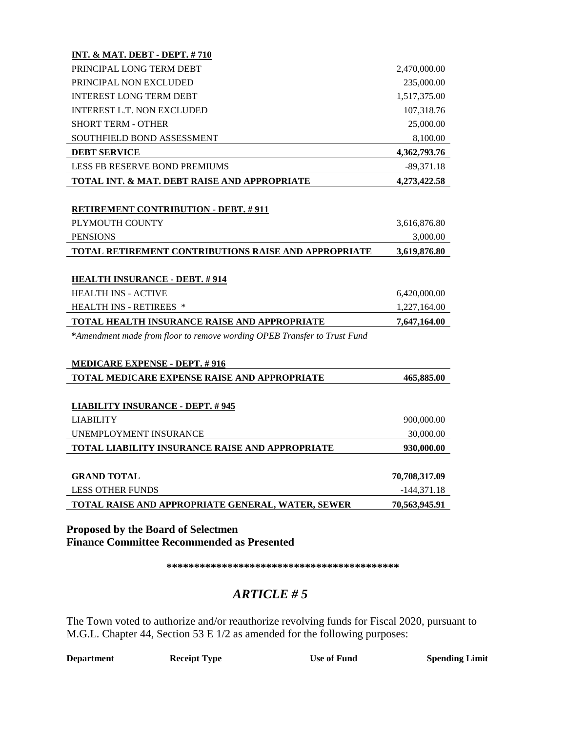#### **INT. & MAT. DEBT - DEPT. # 710**

| PRINCIPAL LONG TERM DEBT                                                 | 2,470,000.00  |
|--------------------------------------------------------------------------|---------------|
| PRINCIPAL NON EXCLUDED                                                   | 235,000.00    |
| <b>INTEREST LONG TERM DEBT</b>                                           | 1,517,375.00  |
| <b>INTEREST L.T. NON EXCLUDED</b>                                        | 107,318.76    |
| <b>SHORT TERM - OTHER</b>                                                | 25,000.00     |
| <b>SOUTHFIELD BOND ASSESSMENT</b>                                        | 8,100.00      |
| <b>DEBT SERVICE</b>                                                      | 4,362,793.76  |
| LESS FB RESERVE BOND PREMIUMS                                            | $-89,371.18$  |
| TOTAL INT. & MAT. DEBT RAISE AND APPROPRIATE                             | 4,273,422.58  |
|                                                                          |               |
| <b>RETIREMENT CONTRIBUTION - DEBT. #911</b>                              |               |
| PLYMOUTH COUNTY                                                          | 3,616,876.80  |
| <b>PENSIONS</b>                                                          | 3,000.00      |
| TOTAL RETIREMENT CONTRIBUTIONS RAISE AND APPROPRIATE                     | 3,619,876.80  |
|                                                                          |               |
| <b>HEALTH INSURANCE - DEBT. #914</b>                                     |               |
| <b>HEALTH INS - ACTIVE</b>                                               | 6,420,000.00  |
| HEALTH INS - RETIREES *                                                  | 1,227,164.00  |
| TOTAL HEALTH INSURANCE RAISE AND APPROPRIATE                             | 7,647,164.00  |
| *Amendment made from floor to remove wording OPEB Transfer to Trust Fund |               |
|                                                                          |               |
| <b>MEDICARE EXPENSE - DEPT. #916</b>                                     |               |
| TOTAL MEDICARE EXPENSE RAISE AND APPROPRIATE                             | 465,885.00    |
|                                                                          |               |
| <b>LIABILITY INSURANCE - DEPT. #945</b>                                  |               |
| <b>LIABILITY</b>                                                         | 900,000.00    |
| UNEMPLOYMENT INSURANCE                                                   | 30,000.00     |
| TOTAL LIABILITY INSURANCE RAISE AND APPROPRIATE                          | 930,000.00    |
|                                                                          |               |
| <b>GRAND TOTAL</b>                                                       | 70,708,317.09 |
| <b>LESS OTHER FUNDS</b>                                                  | $-144,371.18$ |
| TOTAL RAISE AND APPROPRIATE GENERAL, WATER, SEWER                        | 70,563,945.91 |

**Proposed by the Board of Selectmen Finance Committee Recommended as Presented**

**\*\*\*\*\*\*\*\*\*\*\*\*\*\*\*\*\*\*\*\*\*\*\*\*\*\*\*\*\*\*\*\*\*\*\*\*\*\*\*\*\*\***

# *ARTICLE # 5*

The Town voted to authorize and/or reauthorize revolving funds for Fiscal 2020, pursuant to M.G.L. Chapter 44, Section 53 E 1/2 as amended for the following purposes:

**Department Receipt Type Use of Fund Spending Limit**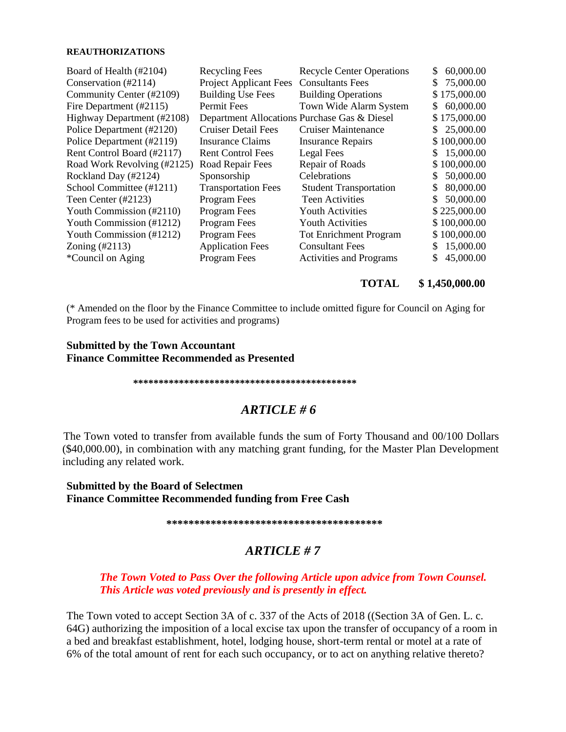#### **REAUTHORIZATIONS**

| Board of Health (#2104)     | Recycling Fees                               | <b>Recycle Center Operations</b> | 60,000.00<br>S  |
|-----------------------------|----------------------------------------------|----------------------------------|-----------------|
| Conservation (#2114)        | <b>Project Applicant Fees</b>                | <b>Consultants Fees</b>          | 75,000.00<br>S. |
| Community Center (#2109)    | <b>Building Use Fees</b>                     | <b>Building Operations</b>       | \$175,000.00    |
| Fire Department (#2115)     | Permit Fees                                  | Town Wide Alarm System           | 60,000.00<br>S  |
| Highway Department (#2108)  | Department Allocations Purchase Gas & Diesel |                                  | \$175,000.00    |
| Police Department (#2120)   | <b>Cruiser Detail Fees</b>                   | <b>Cruiser Maintenance</b>       | 25,000.00<br>S  |
| Police Department (#2119)   | <b>Insurance Claims</b>                      | <b>Insurance Repairs</b>         | \$100,000.00    |
| Rent Control Board (#2117)  | <b>Rent Control Fees</b>                     | Legal Fees                       | 15,000.00<br>S  |
| Road Work Revolving (#2125) | Road Repair Fees                             | Repair of Roads                  | \$100,000.00    |
| Rockland Day (#2124)        | Sponsorship                                  | Celebrations                     | 50,000.00       |
| School Committee (#1211)    | <b>Transportation Fees</b>                   | <b>Student Transportation</b>    | 80,000.00       |
| Teen Center $(\#2123)$      | Program Fees                                 | <b>Teen Activities</b>           | 50,000.00<br>S  |
| Youth Commission (#2110)    | Program Fees                                 | <b>Youth Activities</b>          | \$225,000.00    |
| Youth Commission (#1212)    | Program Fees                                 | <b>Youth Activities</b>          | \$100,000.00    |
| Youth Commission (#1212)    | Program Fees                                 | <b>Tot Enrichment Program</b>    | \$100,000.00    |
| Zoning (#2113)              | <b>Application Fees</b>                      | <b>Consultant Fees</b>           | 15,000.00       |
| *Council on Aging           | Program Fees                                 | <b>Activities and Programs</b>   | 45,000.00       |
|                             |                                              |                                  |                 |

#### **TOTAL \$ 1,450,000.00**

(\* Amended on the floor by the Finance Committee to include omitted figure for Council on Aging for Program fees to be used for activities and programs)

#### **Submitted by the Town Accountant Finance Committee Recommended as Presented**

#### **\*\*\*\*\*\*\*\*\*\*\*\*\*\*\*\*\*\*\*\*\*\*\*\*\*\*\*\*\*\*\*\*\*\*\*\*\*\*\*\*\*\*\*\***

### *ARTICLE # 6*

The Town voted to transfer from available funds the sum of Forty Thousand and 00/100 Dollars (\$40,000.00), in combination with any matching grant funding, for the Master Plan Development including any related work.

#### **Submitted by the Board of Selectmen Finance Committee Recommended funding from Free Cash**

**\*\*\*\*\*\*\*\*\*\*\*\*\*\*\*\*\*\*\*\*\*\*\*\*\*\*\*\*\*\*\*\*\*\*\*\*\*\*\***

# *ARTICLE # 7*

#### *The Town Voted to Pass Over the following Article upon advice from Town Counsel. This Article was voted previously and is presently in effect.*

The Town voted to accept Section 3A of c. 337 of the Acts of 2018 ((Section 3A of Gen. L. c. 64G) authorizing the imposition of a local excise tax upon the transfer of occupancy of a room in a bed and breakfast establishment, hotel, lodging house, short-term rental or motel at a rate of 6% of the total amount of rent for each such occupancy, or to act on anything relative thereto?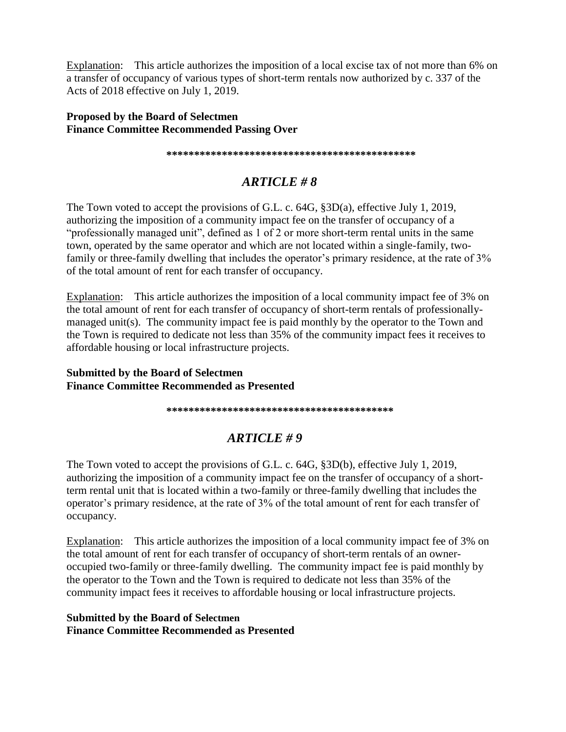Explanation: This article authorizes the imposition of a local excise tax of not more than 6% on a transfer of occupancy of various types of short-term rentals now authorized by c. 337 of the Acts of 2018 effective on July 1, 2019.

#### **Proposed by the Board of Selectmen Finance Committee Recommended Passing Over**

**\*\*\*\*\*\*\*\*\*\*\*\*\*\*\*\*\*\*\*\*\*\*\*\*\*\*\*\*\*\*\*\*\*\*\*\*\*\*\*\*\*\*\*\*\***

# *ARTICLE # 8*

The Town voted to accept the provisions of G.L. c. 64G, §3D(a), effective July 1, 2019, authorizing the imposition of a community impact fee on the transfer of occupancy of a "professionally managed unit", defined as 1 of 2 or more short-term rental units in the same town, operated by the same operator and which are not located within a single-family, twofamily or three-family dwelling that includes the operator's primary residence, at the rate of 3% of the total amount of rent for each transfer of occupancy.

Explanation: This article authorizes the imposition of a local community impact fee of 3% on the total amount of rent for each transfer of occupancy of short-term rentals of professionallymanaged unit(s). The community impact fee is paid monthly by the operator to the Town and the Town is required to dedicate not less than 35% of the community impact fees it receives to affordable housing or local infrastructure projects.

#### **Submitted by the Board of Selectmen Finance Committee Recommended as Presented**

**\*\*\*\*\*\*\*\*\*\*\*\*\*\*\*\*\*\*\*\*\*\*\*\*\*\*\*\*\*\*\*\*\*\*\*\*\*\*\*\*\***

# *ARTICLE # 9*

The Town voted to accept the provisions of G.L. c. 64G, §3D(b), effective July 1, 2019, authorizing the imposition of a community impact fee on the transfer of occupancy of a shortterm rental unit that is located within a two-family or three-family dwelling that includes the operator's primary residence, at the rate of 3% of the total amount of rent for each transfer of occupancy.

Explanation: This article authorizes the imposition of a local community impact fee of 3% on the total amount of rent for each transfer of occupancy of short-term rentals of an owneroccupied two-family or three-family dwelling. The community impact fee is paid monthly by the operator to the Town and the Town is required to dedicate not less than 35% of the community impact fees it receives to affordable housing or local infrastructure projects.

#### **Submitted by the Board of Selectmen Finance Committee Recommended as Presented**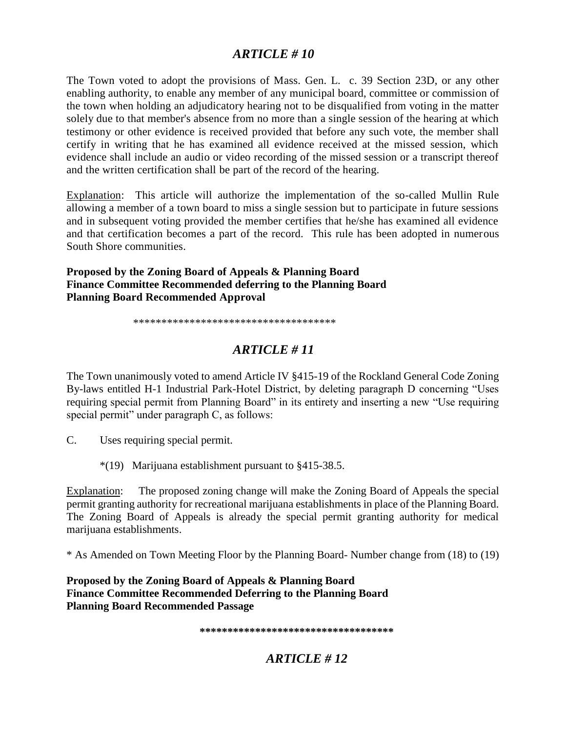### *ARTICLE # 10*

The Town voted to adopt the provisions of Mass. Gen. L. c. 39 Section 23D, or any other enabling authority, to enable any member of any municipal board, committee or commission of the town when holding an adjudicatory hearing not to be disqualified from voting in the matter solely due to that member's absence from no more than a single session of the hearing at which testimony or other evidence is received provided that before any such vote, the member shall certify in writing that he has examined all evidence received at the missed session, which evidence shall include an audio or video recording of the missed session or a transcript thereof and the written certification shall be part of the record of the hearing.

Explanation: This article will authorize the implementation of the so-called Mullin Rule allowing a member of a town board to miss a single session but to participate in future sessions and in subsequent voting provided the member certifies that he/she has examined all evidence and that certification becomes a part of the record. This rule has been adopted in numerous South Shore communities.

**Proposed by the Zoning Board of Appeals & Planning Board Finance Committee Recommended deferring to the Planning Board Planning Board Recommended Approval** 

\*\*\*\*\*\*\*\*\*\*\*\*\*\*\*\*\*\*\*\*\*\*\*\*\*\*\*\*\*\*\*\*\*\*\*\*

# *ARTICLE # 11*

The Town unanimously voted to amend Article IV §415-19 of the Rockland General Code Zoning By-laws entitled H-1 Industrial Park-Hotel District, by deleting paragraph D concerning "Uses requiring special permit from Planning Board" in its entirety and inserting a new "Use requiring special permit" under paragraph C, as follows:

C. Uses requiring special permit.

\*(19) Marijuana establishment pursuant to §415-38.5.

Explanation: The proposed zoning change will make the Zoning Board of Appeals the special permit granting authority for recreational marijuana establishments in place of the Planning Board. The Zoning Board of Appeals is already the special permit granting authority for medical marijuana establishments.

\* As Amended on Town Meeting Floor by the Planning Board- Number change from (18) to (19)

**Proposed by the Zoning Board of Appeals & Planning Board Finance Committee Recommended Deferring to the Planning Board Planning Board Recommended Passage**

**\*\*\*\*\*\*\*\*\*\*\*\*\*\*\*\*\*\*\*\*\*\*\*\*\*\*\*\*\*\*\*\*\*\*\***

# *ARTICLE # 12*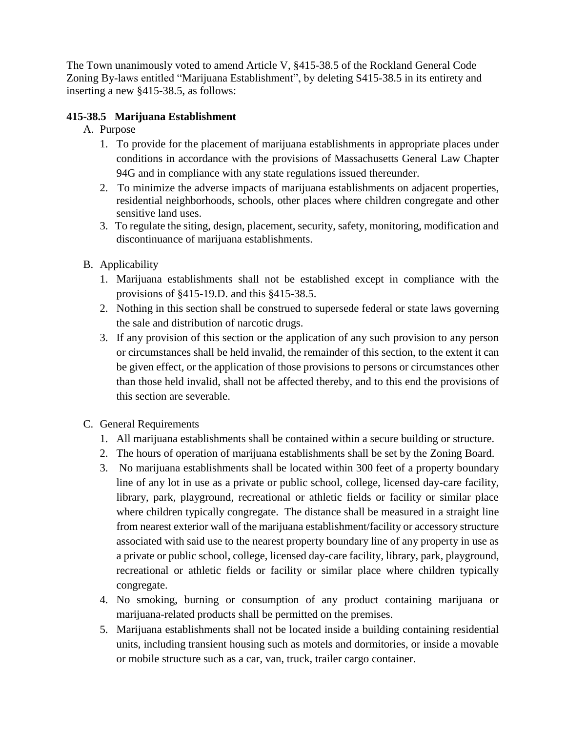The Town unanimously voted to amend Article V, §415-38.5 of the Rockland General Code Zoning By-laws entitled "Marijuana Establishment", by deleting S415-38.5 in its entirety and inserting a new §415-38.5, as follows:

### **415-38.5 Marijuana Establishment**

- A. Purpose
	- 1. To provide for the placement of marijuana establishments in appropriate places under conditions in accordance with the provisions of Massachusetts General Law Chapter 94G and in compliance with any state regulations issued thereunder.
	- 2. To minimize the adverse impacts of marijuana establishments on adjacent properties, residential neighborhoods, schools, other places where children congregate and other sensitive land uses.
	- 3. To regulate the siting, design, placement, security, safety, monitoring, modification and discontinuance of marijuana establishments.
- B. Applicability
	- 1. Marijuana establishments shall not be established except in compliance with the provisions of §415-19.D. and this §415-38.5.
	- 2. Nothing in this section shall be construed to supersede federal or state laws governing the sale and distribution of narcotic drugs.
	- 3. If any provision of this section or the application of any such provision to any person or circumstances shall be held invalid, the remainder of this section, to the extent it can be given effect, or the application of those provisions to persons or circumstances other than those held invalid, shall not be affected thereby, and to this end the provisions of this section are severable.
- C. General Requirements
	- 1. All marijuana establishments shall be contained within a secure building or structure.
	- 2. The hours of operation of marijuana establishments shall be set by the Zoning Board.
	- 3. No marijuana establishments shall be located within 300 feet of a property boundary line of any lot in use as a private or public school, college, licensed day-care facility, library, park, playground, recreational or athletic fields or facility or similar place where children typically congregate. The distance shall be measured in a straight line from nearest exterior wall of the marijuana establishment/facility or accessory structure associated with said use to the nearest property boundary line of any property in use as a private or public school, college, licensed day-care facility, library, park, playground, recreational or athletic fields or facility or similar place where children typically congregate.
	- 4. No smoking, burning or consumption of any product containing marijuana or marijuana-related products shall be permitted on the premises.
	- 5. Marijuana establishments shall not be located inside a building containing residential units, including transient housing such as motels and dormitories, or inside a movable or mobile structure such as a car, van, truck, trailer cargo container.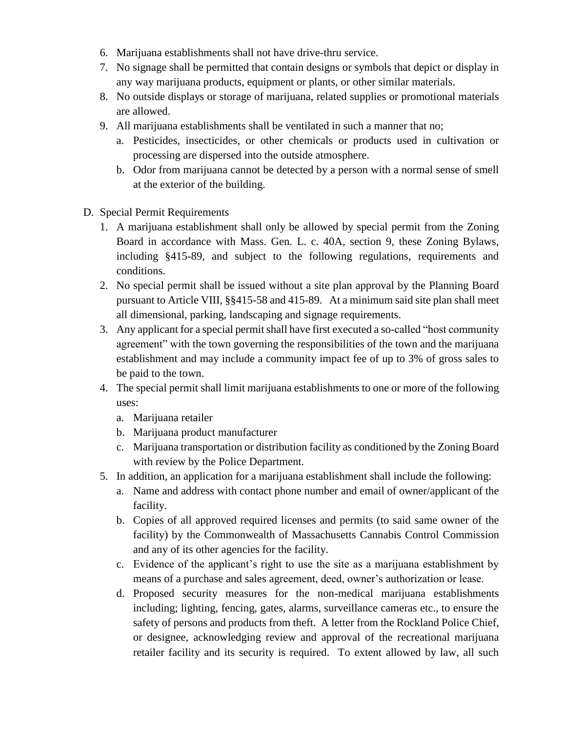- 6. Marijuana establishments shall not have drive-thru service.
- 7. No signage shall be permitted that contain designs or symbols that depict or display in any way marijuana products, equipment or plants, or other similar materials.
- 8. No outside displays or storage of marijuana, related supplies or promotional materials are allowed.
- 9. All marijuana establishments shall be ventilated in such a manner that no;
	- a. Pesticides, insecticides, or other chemicals or products used in cultivation or processing are dispersed into the outside atmosphere.
	- b. Odor from marijuana cannot be detected by a person with a normal sense of smell at the exterior of the building.
- D. Special Permit Requirements
	- 1. A marijuana establishment shall only be allowed by special permit from the Zoning Board in accordance with Mass. Gen. L. c. 40A, section 9, these Zoning Bylaws, including §415-89, and subject to the following regulations, requirements and conditions.
	- 2. No special permit shall be issued without a site plan approval by the Planning Board pursuant to Article VIII, §§415-58 and 415-89. At a minimum said site plan shall meet all dimensional, parking, landscaping and signage requirements.
	- 3. Any applicant for a special permit shall have first executed a so-called "host community agreement" with the town governing the responsibilities of the town and the marijuana establishment and may include a community impact fee of up to 3% of gross sales to be paid to the town.
	- 4. The special permit shall limit marijuana establishments to one or more of the following uses:
		- a. Marijuana retailer
		- b. Marijuana product manufacturer
		- c. Marijuana transportation or distribution facility as conditioned by the Zoning Board with review by the Police Department.
	- 5. In addition, an application for a marijuana establishment shall include the following:
		- a. Name and address with contact phone number and email of owner/applicant of the facility.
		- b. Copies of all approved required licenses and permits (to said same owner of the facility) by the Commonwealth of Massachusetts Cannabis Control Commission and any of its other agencies for the facility.
		- c. Evidence of the applicant's right to use the site as a marijuana establishment by means of a purchase and sales agreement, deed, owner's authorization or lease.
		- d. Proposed security measures for the non-medical marijuana establishments including; lighting, fencing, gates, alarms, surveillance cameras etc., to ensure the safety of persons and products from theft. A letter from the Rockland Police Chief, or designee, acknowledging review and approval of the recreational marijuana retailer facility and its security is required. To extent allowed by law, all such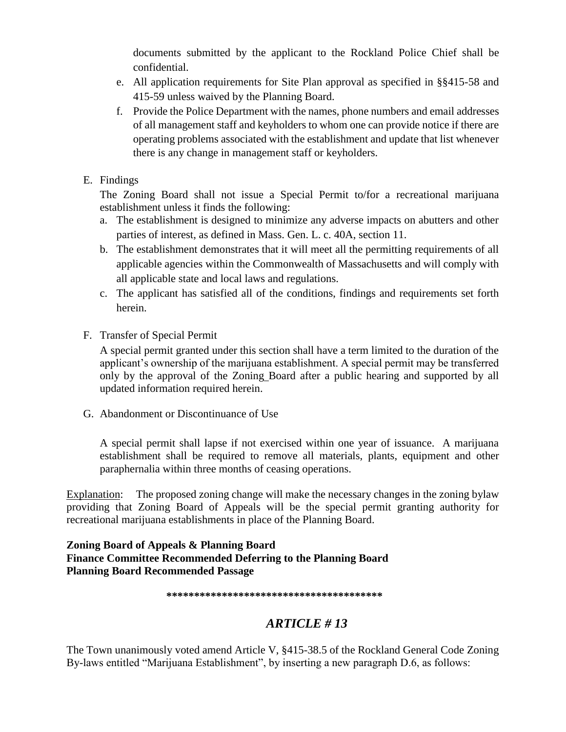documents submitted by the applicant to the Rockland Police Chief shall be confidential.

- e. All application requirements for Site Plan approval as specified in §§415-58 and 415-59 unless waived by the Planning Board.
- f. Provide the Police Department with the names, phone numbers and email addresses of all management staff and keyholders to whom one can provide notice if there are operating problems associated with the establishment and update that list whenever there is any change in management staff or keyholders.
- E. Findings

The Zoning Board shall not issue a Special Permit to/for a recreational marijuana establishment unless it finds the following:

- a. The establishment is designed to minimize any adverse impacts on abutters and other parties of interest, as defined in Mass. Gen. L. c. 40A, section 11.
- b. The establishment demonstrates that it will meet all the permitting requirements of all applicable agencies within the Commonwealth of Massachusetts and will comply with all applicable state and local laws and regulations.
- c. The applicant has satisfied all of the conditions, findings and requirements set forth herein.
- F. Transfer of Special Permit

A special permit granted under this section shall have a term limited to the duration of the applicant's ownership of the marijuana establishment. A special permit may be transferred only by the approval of the Zoning Board after a public hearing and supported by all updated information required herein.

G. Abandonment or Discontinuance of Use

A special permit shall lapse if not exercised within one year of issuance. A marijuana establishment shall be required to remove all materials, plants, equipment and other paraphernalia within three months of ceasing operations.

Explanation: The proposed zoning change will make the necessary changes in the zoning bylaw providing that Zoning Board of Appeals will be the special permit granting authority for recreational marijuana establishments in place of the Planning Board.

#### **Zoning Board of Appeals & Planning Board Finance Committee Recommended Deferring to the Planning Board Planning Board Recommended Passage**

**\*\*\*\*\*\*\*\*\*\*\*\*\*\*\*\*\*\*\*\*\*\*\*\*\*\*\*\*\*\*\*\*\*\*\*\*\*\*\***

# *ARTICLE # 13*

The Town unanimously voted amend Article V, §415-38.5 of the Rockland General Code Zoning By-laws entitled "Marijuana Establishment", by inserting a new paragraph D.6, as follows: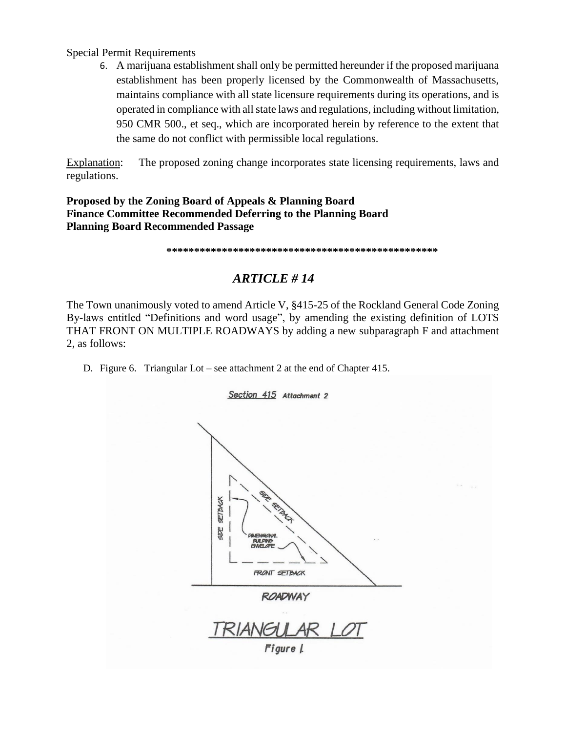Special Permit Requirements

6. A marijuana establishment shall only be permitted hereunder if the proposed marijuana establishment has been properly licensed by the Commonwealth of Massachusetts, maintains compliance with all state licensure requirements during its operations, and is operated in compliance with all state laws and regulations, including without limitation, 950 CMR 500., et seq., which are incorporated herein by reference to the extent that the same do not conflict with permissible local regulations.

Explanation: The proposed zoning change incorporates state licensing requirements, laws and regulations.

**Proposed by the Zoning Board of Appeals & Planning Board Finance Committee Recommended Deferring to the Planning Board Planning Board Recommended Passage**

**\*\*\*\*\*\*\*\*\*\*\*\*\*\*\*\*\*\*\*\*\*\*\*\*\*\*\*\*\*\*\*\*\*\*\*\*\*\*\*\*\*\*\*\*\*\*\*\*\***

# *ARTICLE # 14*

The Town unanimously voted to amend Article V, §415-25 of the Rockland General Code Zoning By-laws entitled "Definitions and word usage", by amending the existing definition of LOTS THAT FRONT ON MULTIPLE ROADWAYS by adding a new subparagraph F and attachment 2, as follows:

Section 415 Attachment 2

D. Figure 6. Triangular Lot – see attachment 2 at the end of Chapter 415.



Figure 1.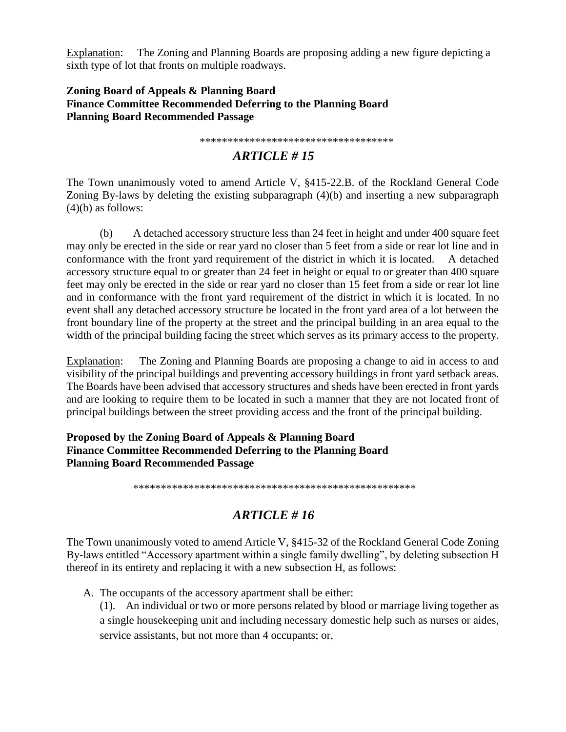Explanation: The Zoning and Planning Boards are proposing adding a new figure depicting a sixth type of lot that fronts on multiple roadways.

#### **Zoning Board of Appeals & Planning Board Finance Committee Recommended Deferring to the Planning Board Planning Board Recommended Passage**

#### \*\*\*\*\*\*\*\*\*\*\*\*\*\*\*\*\*\*\*\*\*\*\*\*\*\*\*\*\*\*\*\*\*\*\*

### *ARTICLE # 15*

The Town unanimously voted to amend Article V, §415-22.B. of the Rockland General Code Zoning By-laws by deleting the existing subparagraph (4)(b) and inserting a new subparagraph  $(4)(b)$  as follows:

(b) A detached accessory structure less than 24 feet in height and under 400 square feet may only be erected in the side or rear yard no closer than 5 feet from a side or rear lot line and in conformance with the front yard requirement of the district in which it is located. A detached accessory structure equal to or greater than 24 feet in height or equal to or greater than 400 square feet may only be erected in the side or rear yard no closer than 15 feet from a side or rear lot line and in conformance with the front yard requirement of the district in which it is located. In no event shall any detached accessory structure be located in the front yard area of a lot between the front boundary line of the property at the street and the principal building in an area equal to the width of the principal building facing the street which serves as its primary access to the property.

Explanation: The Zoning and Planning Boards are proposing a change to aid in access to and visibility of the principal buildings and preventing accessory buildings in front yard setback areas. The Boards have been advised that accessory structures and sheds have been erected in front yards and are looking to require them to be located in such a manner that they are not located front of principal buildings between the street providing access and the front of the principal building.

### **Proposed by the Zoning Board of Appeals & Planning Board Finance Committee Recommended Deferring to the Planning Board Planning Board Recommended Passage**

\*\*\*\*\*\*\*\*\*\*\*\*\*\*\*\*\*\*\*\*\*\*\*\*\*\*\*\*\*\*\*\*\*\*\*\*\*\*\*\*\*\*\*\*\*\*\*\*\*\*\*

# *ARTICLE # 16*

The Town unanimously voted to amend Article V, §415-32 of the Rockland General Code Zoning By-laws entitled "Accessory apartment within a single family dwelling", by deleting subsection H thereof in its entirety and replacing it with a new subsection H, as follows:

A. The occupants of the accessory apartment shall be either:

(1). An individual or two or more persons related by blood or marriage living together as a single housekeeping unit and including necessary domestic help such as nurses or aides, service assistants, but not more than 4 occupants; or,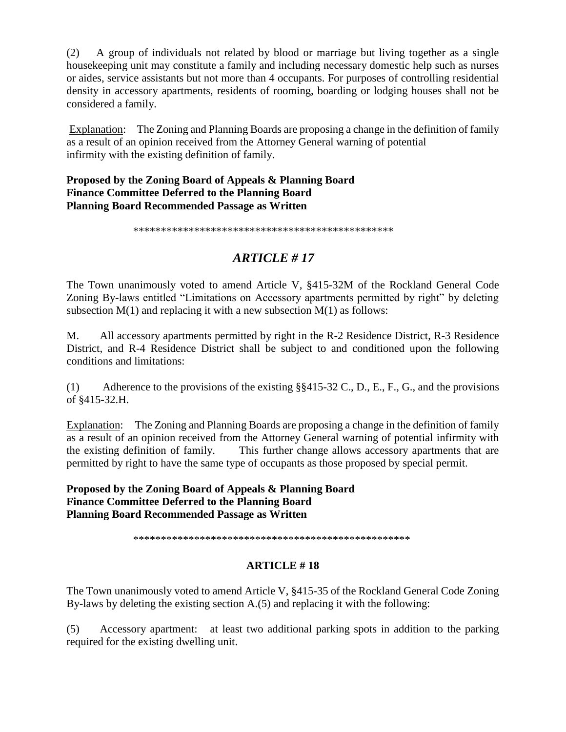A group of individuals not related by blood or marriage but living together as a single  $(2)$ housekeeping unit may constitute a family and including necessary domestic help such as nurses or aides, service assistants but not more than 4 occupants. For purposes of controlling residential density in accessory apartments, residents of rooming, boarding or lodging houses shall not be considered a family.

Explanation: The Zoning and Planning Boards are proposing a change in the definition of family as a result of an opinion received from the Attorney General warning of potential infirmity with the existing definition of family.

Proposed by the Zoning Board of Appeals & Planning Board **Finance Committee Deferred to the Planning Board Planning Board Recommended Passage as Written** 

# **ARTICLE #17**

The Town unanimously voted to amend Article V, §415-32M of the Rockland General Code Zoning By-laws entitled "Limitations on Accessory apartments permitted by right" by deleting subsection  $M(1)$  and replacing it with a new subsection  $M(1)$  as follows:

All accessory apartments permitted by right in the R-2 Residence District, R-3 Residence M. District, and R-4 Residence District shall be subject to and conditioned upon the following conditions and limitations:

Adherence to the provisions of the existing  $\S$ §415-32 C., D., E., F., G., and the provisions  $(1)$ of §415-32.H.

Explanation: The Zoning and Planning Boards are proposing a change in the definition of family as a result of an opinion received from the Attorney General warning of potential infirmity with This further change allows accessory apartments that are the existing definition of family. permitted by right to have the same type of occupants as those proposed by special permit.

Proposed by the Zoning Board of Appeals & Planning Board **Finance Committee Deferred to the Planning Board Planning Board Recommended Passage as Written** 

#### **ARTICLE #18**

The Town unanimously voted to amend Article V, §415-35 of the Rockland General Code Zoning By-laws by deleting the existing section  $A(5)$  and replacing it with the following:

 $(5)$ Accessory apartment: at least two additional parking spots in addition to the parking required for the existing dwelling unit.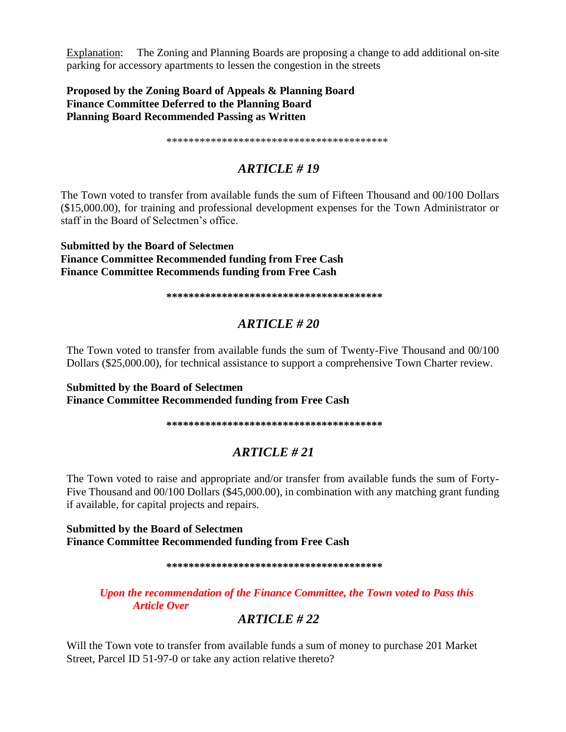Explanation: The Zoning and Planning Boards are proposing a change to add additional on-site parking for accessory apartments to lessen the congestion in the streets

#### **Proposed by the Zoning Board of Appeals & Planning Board Finance Committee Deferred to the Planning Board Planning Board Recommended Passing as Written**

\*\*\*\*\*\*\*\*\*\*\*\*\*\*\*\*\*\*\*\*\*\*\*\*\*\*\*\*\*\*\*\*\*\*\*\*\*\*\*\*

# *ARTICLE # 19*

The Town voted to transfer from available funds the sum of Fifteen Thousand and 00/100 Dollars (\$15,000.00), for training and professional development expenses for the Town Administrator or staff in the Board of Selectmen's office.

#### **Submitted by the Board of Selectmen Finance Committee Recommended funding from Free Cash Finance Committee Recommends funding from Free Cash**

**\*\*\*\*\*\*\*\*\*\*\*\*\*\*\*\*\*\*\*\*\*\*\*\*\*\*\*\*\*\*\*\*\*\*\*\*\*\*\***

# *ARTICLE # 20*

The Town voted to transfer from available funds the sum of Twenty-Five Thousand and 00/100 Dollars (\$25,000.00), for technical assistance to support a comprehensive Town Charter review.

#### **Submitted by the Board of Selectmen Finance Committee Recommended funding from Free Cash**

**\*\*\*\*\*\*\*\*\*\*\*\*\*\*\*\*\*\*\*\*\*\*\*\*\*\*\*\*\*\*\*\*\*\*\*\*\*\*\***

# *ARTICLE # 21*

The Town voted to raise and appropriate and/or transfer from available funds the sum of Forty-Five Thousand and 00/100 Dollars (\$45,000.00), in combination with any matching grant funding if available, for capital projects and repairs.

#### **Submitted by the Board of Selectmen Finance Committee Recommended funding from Free Cash**

**\*\*\*\*\*\*\*\*\*\*\*\*\*\*\*\*\*\*\*\*\*\*\*\*\*\*\*\*\*\*\*\*\*\*\*\*\*\*\***

*Upon the recommendation of the Finance Committee, the Town voted to Pass this Article Over*

# *ARTICLE # 22*

Will the Town vote to transfer from available funds a sum of money to purchase 201 Market Street, Parcel ID 51-97-0 or take any action relative thereto?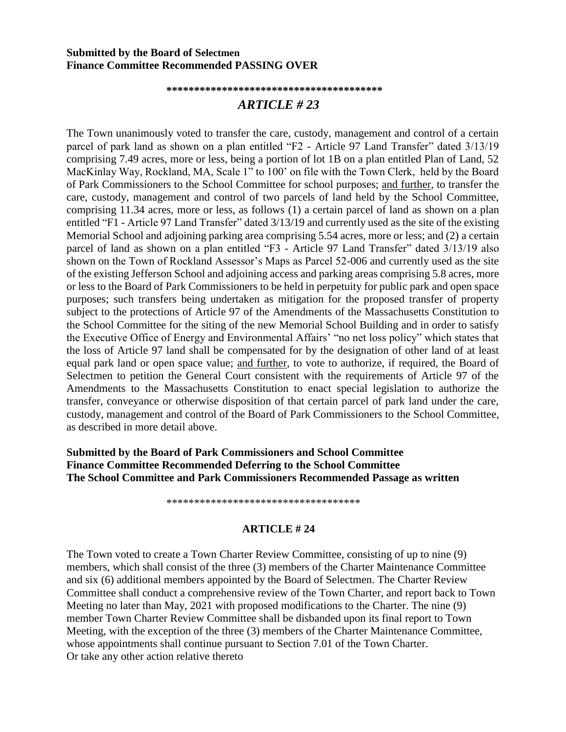#### **Submitted by the Board of Selectmen Finance Committee Recommended PASSING OVER**

#### **\*\*\*\*\*\*\*\*\*\*\*\*\*\*\*\*\*\*\*\*\*\*\*\*\*\*\*\*\*\*\*\*\*\*\*\*\*\*\***

#### *ARTICLE # 23*

The Town unanimously voted to transfer the care, custody, management and control of a certain parcel of park land as shown on a plan entitled "F2 - Article 97 Land Transfer" dated 3/13/19 comprising 7.49 acres, more or less, being a portion of lot 1B on a plan entitled Plan of Land, 52 MacKinlay Way, Rockland, MA, Scale 1" to 100' on file with the Town Clerk, held by the Board of Park Commissioners to the School Committee for school purposes; and further, to transfer the care, custody, management and control of two parcels of land held by the School Committee, comprising 11.34 acres, more or less, as follows (1) a certain parcel of land as shown on a plan entitled "F1 - Article 97 Land Transfer" dated 3/13/19 and currently used as the site of the existing Memorial School and adjoining parking area comprising 5.54 acres, more or less; and (2) a certain parcel of land as shown on a plan entitled "F3 - Article 97 Land Transfer" dated 3/13/19 also shown on the Town of Rockland Assessor's Maps as Parcel 52-006 and currently used as the site of the existing Jefferson School and adjoining access and parking areas comprising 5.8 acres, more or less to the Board of Park Commissioners to be held in perpetuity for public park and open space purposes; such transfers being undertaken as mitigation for the proposed transfer of property subject to the protections of Article 97 of the Amendments of the Massachusetts Constitution to the School Committee for the siting of the new Memorial School Building and in order to satisfy the Executive Office of Energy and Environmental Affairs' "no net loss policy" which states that the loss of Article 97 land shall be compensated for by the designation of other land of at least equal park land or open space value; and further, to vote to authorize, if required, the Board of Selectmen to petition the General Court consistent with the requirements of Article 97 of the Amendments to the Massachusetts Constitution to enact special legislation to authorize the transfer, conveyance or otherwise disposition of that certain parcel of park land under the care, custody, management and control of the Board of Park Commissioners to the School Committee, as described in more detail above.

**Submitted by the Board of Park Commissioners and School Committee Finance Committee Recommended Deferring to the School Committee The School Committee and Park Commissioners Recommended Passage as written**

\*\*\*\*\*\*\*\*\*\*\*\*\*\*\*\*\*\*\*\*\*\*\*\*\*\*\*\*\*\*\*\*\*\*\*

#### **ARTICLE # 24**

The Town voted to create a Town Charter Review Committee, consisting of up to nine (9) members, which shall consist of the three (3) members of the Charter Maintenance Committee and six (6) additional members appointed by the Board of Selectmen. The Charter Review Committee shall conduct a comprehensive review of the Town Charter, and report back to Town Meeting no later than May, 2021 with proposed modifications to the Charter. The nine (9) member Town Charter Review Committee shall be disbanded upon its final report to Town Meeting, with the exception of the three (3) members of the Charter Maintenance Committee, whose appointments shall continue pursuant to Section 7.01 of the Town Charter. Or take any other action relative thereto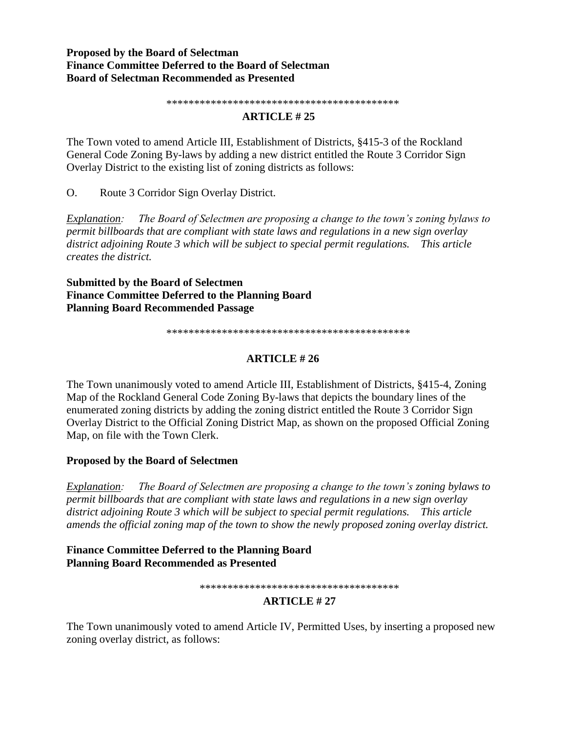#### **Proposed by the Board of Selectman Finance Committee Deferred to the Board of Selectman Board of Selectman Recommended as Presented**

#### 

#### $ARTICLE # 25$

The Town voted to amend Article III, Establishment of Districts, §415-3 of the Rockland General Code Zoning By-laws by adding a new district entitled the Route 3 Corridor Sign Overlay District to the existing list of zoning districts as follows:

O. Route 3 Corridor Sign Overlay District.

The Board of Selectmen are proposing a change to the town's zoning bylaws to *Explanation:* permit billboards that are compliant with state laws and regulations in a new sign overlay district adjoining Route 3 which will be subject to special permit regulations. This article creates the district.

**Submitted by the Board of Selectmen Finance Committee Deferred to the Planning Board Planning Board Recommended Passage** 

#### **ARTICLE #26**

The Town unanimously voted to amend Article III, Establishment of Districts, §415-4, Zoning Map of the Rockland General Code Zoning By-laws that depicts the boundary lines of the enumerated zoning districts by adding the zoning district entitled the Route 3 Corridor Sign Overlay District to the Official Zoning District Map, as shown on the proposed Official Zoning Map, on file with the Town Clerk.

#### **Proposed by the Board of Selectmen**

*Explanation:* The Board of Selectmen are proposing a change to the town's zoning bylaws to permit billboards that are compliant with state laws and regulations in a new sign overlay district adjoining Route 3 which will be subject to special permit regulations. This article amends the official zoning map of the town to show the newly proposed zoning overlay district.

#### **Finance Committee Deferred to the Planning Board Planning Board Recommended as Presented**

\*\*\*\*\*\*\*\*\*\*\*\*\*\*\*\*\*\*\*\*\*\*\*\*\*\*\*\*\*\*\*\*\*\*\*\*

#### **ARTICLE #27**

The Town unanimously voted to amend Article IV, Permitted Uses, by inserting a proposed new zoning overlay district, as follows: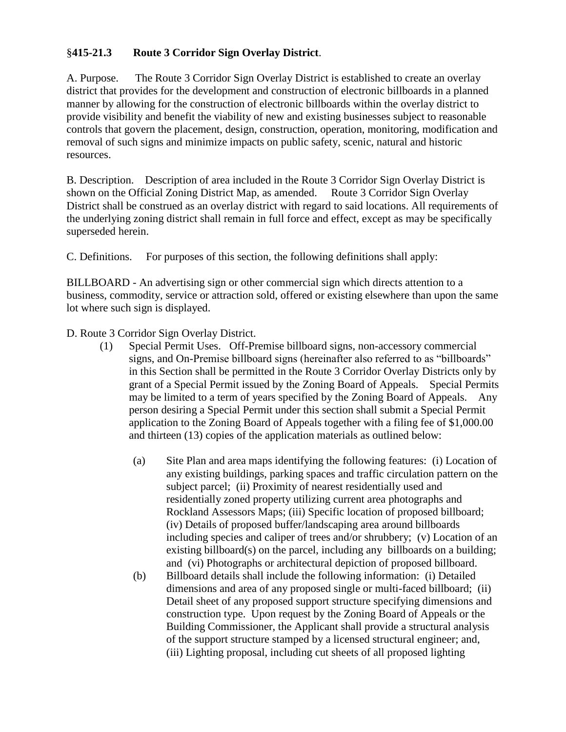### §**415-21.3 Route 3 Corridor Sign Overlay District**.

A. Purpose. The Route 3 Corridor Sign Overlay District is established to create an overlay district that provides for the development and construction of electronic billboards in a planned manner by allowing for the construction of electronic billboards within the overlay district to provide visibility and benefit the viability of new and existing businesses subject to reasonable controls that govern the placement, design, construction, operation, monitoring, modification and removal of such signs and minimize impacts on public safety, scenic, natural and historic resources.

B. Description. Description of area included in the Route 3 Corridor Sign Overlay District is shown on the Official Zoning District Map, as amended. Route 3 Corridor Sign Overlay District shall be construed as an overlay district with regard to said locations. All requirements of the underlying zoning district shall remain in full force and effect, except as may be specifically superseded herein.

C. Definitions. For purposes of this section, the following definitions shall apply:

BILLBOARD - An advertising sign or other commercial sign which directs attention to a business, commodity, service or attraction sold, offered or existing elsewhere than upon the same lot where such sign is displayed.

D. Route 3 Corridor Sign Overlay District.

- (1) Special Permit Uses. Off-Premise billboard signs, non-accessory commercial signs, and On-Premise billboard signs (hereinafter also referred to as "billboards" in this Section shall be permitted in the Route 3 Corridor Overlay Districts only by grant of a Special Permit issued by the Zoning Board of Appeals. Special Permits may be limited to a term of years specified by the Zoning Board of Appeals. Any person desiring a Special Permit under this section shall submit a Special Permit application to the Zoning Board of Appeals together with a filing fee of \$1,000.00 and thirteen (13) copies of the application materials as outlined below:
	- (a) Site Plan and area maps identifying the following features: (i) Location of any existing buildings, parking spaces and traffic circulation pattern on the subject parcel; (ii) Proximity of nearest residentially used and residentially zoned property utilizing current area photographs and Rockland Assessors Maps; (iii) Specific location of proposed billboard; (iv) Details of proposed buffer/landscaping area around billboards including species and caliper of trees and/or shrubbery; (v) Location of an existing billboard(s) on the parcel, including any billboards on a building; and (vi) Photographs or architectural depiction of proposed billboard.
	- (b) Billboard details shall include the following information: (i) Detailed dimensions and area of any proposed single or multi-faced billboard; (ii) Detail sheet of any proposed support structure specifying dimensions and construction type. Upon request by the Zoning Board of Appeals or the Building Commissioner, the Applicant shall provide a structural analysis of the support structure stamped by a licensed structural engineer; and, (iii) Lighting proposal, including cut sheets of all proposed lighting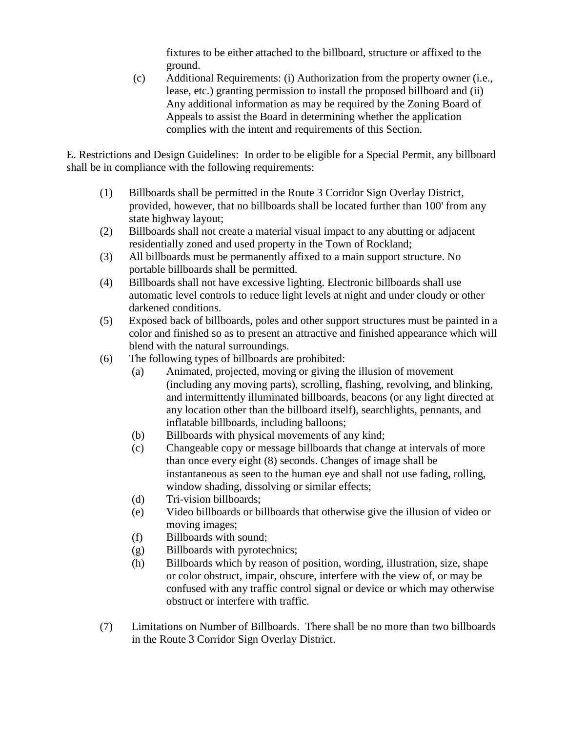fixtures to be either attached to the billboard, structure or affixed to the ground.

(c) Additional Requirements: (i) Authorization from the property owner (i.e., lease, etc.) granting permission to install the proposed billboard and (ii) Any additional information as may be required by the Zoning Board of Appeals to assist the Board in determining whether the application complies with the intent and requirements of this Section.

E. Restrictions and Design Guidelines: In order to be eligible for a Special Permit, any billboard shall be in compliance with the following requirements:

- (1) Billboards shall be permitted in the Route 3 Corridor Sign Overlay District, provided, however, that no billboards shall be located further than 100' from any state highway layout;
- (2) Billboards shall not create a material visual impact to any abutting or adjacent residentially zoned and used property in the Town of Rockland;
- (3) All billboards must be permanently affixed to a main support structure. No portable billboards shall be permitted.
- (4) Billboards shall not have excessive lighting. Electronic billboards shall use automatic level controls to reduce light levels at night and under cloudy or other darkened conditions.
- (5) Exposed back of billboards, poles and other support structures must be painted in a color and finished so as to present an attractive and finished appearance which will blend with the natural surroundings.
- (6) The following types of billboards are prohibited:
	- (a) Animated, projected, moving or giving the illusion of movement (including any moving parts), scrolling, flashing, revolving, and blinking, and intermittently illuminated billboards, beacons (or any light directed at any location other than the billboard itself), searchlights, pennants, and inflatable billboards, including balloons;
	- (b) Billboards with physical movements of any kind;
	- (c) Changeable copy or message billboards that change at intervals of more than once every eight (8) seconds. Changes of image shall be instantaneous as seen to the human eye and shall not use fading, rolling, window shading, dissolving or similar effects;
	- (d) Tri-vision billboards;
	- (e) Video billboards or billboards that otherwise give the illusion of video or moving images;
	- (f) Billboards with sound;
	- (g) Billboards with pyrotechnics;
	- (h) Billboards which by reason of position, wording, illustration, size, shape or color obstruct, impair, obscure, interfere with the view of, or may be confused with any traffic control signal or device or which may otherwise obstruct or interfere with traffic.
- (7) Limitations on Number of Billboards. There shall be no more than two billboards in the Route 3 Corridor Sign Overlay District.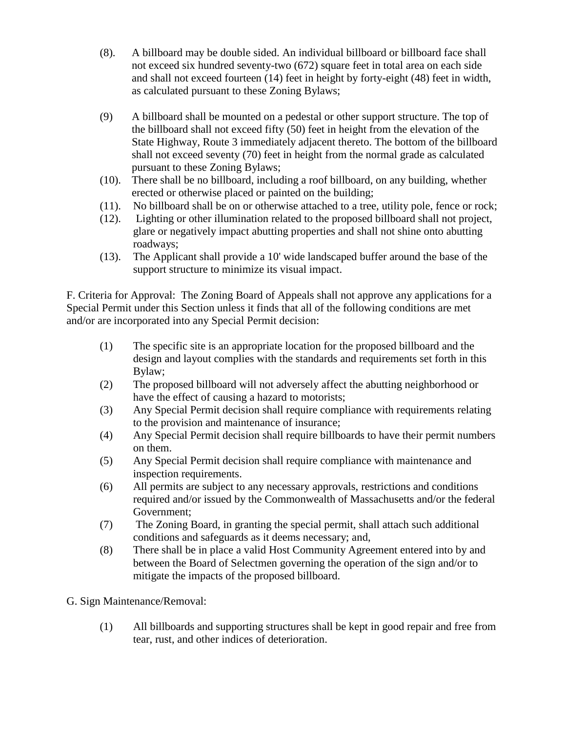- (8). A billboard may be double sided. An individual billboard or billboard face shall not exceed six hundred seventy-two (672) square feet in total area on each side and shall not exceed fourteen (14) feet in height by forty-eight (48) feet in width, as calculated pursuant to these Zoning Bylaws;
- (9) A billboard shall be mounted on a pedestal or other support structure. The top of the billboard shall not exceed fifty (50) feet in height from the elevation of the State Highway, Route 3 immediately adjacent thereto. The bottom of the billboard shall not exceed seventy (70) feet in height from the normal grade as calculated pursuant to these Zoning Bylaws;
- (10). There shall be no billboard, including a roof billboard, on any building, whether erected or otherwise placed or painted on the building;
- (11). No billboard shall be on or otherwise attached to a tree, utility pole, fence or rock;
- (12). Lighting or other illumination related to the proposed billboard shall not project, glare or negatively impact abutting properties and shall not shine onto abutting roadways;
- (13). The Applicant shall provide a 10' wide landscaped buffer around the base of the support structure to minimize its visual impact.

F. Criteria for Approval: The Zoning Board of Appeals shall not approve any applications for a Special Permit under this Section unless it finds that all of the following conditions are met and/or are incorporated into any Special Permit decision:

- (1) The specific site is an appropriate location for the proposed billboard and the design and layout complies with the standards and requirements set forth in this Bylaw;
- (2) The proposed billboard will not adversely affect the abutting neighborhood or have the effect of causing a hazard to motorists;
- (3) Any Special Permit decision shall require compliance with requirements relating to the provision and maintenance of insurance;
- (4) Any Special Permit decision shall require billboards to have their permit numbers on them.
- (5) Any Special Permit decision shall require compliance with maintenance and inspection requirements.
- (6) All permits are subject to any necessary approvals, restrictions and conditions required and/or issued by the Commonwealth of Massachusetts and/or the federal Government;
- (7) The Zoning Board, in granting the special permit, shall attach such additional conditions and safeguards as it deems necessary; and,
- (8) There shall be in place a valid Host Community Agreement entered into by and between the Board of Selectmen governing the operation of the sign and/or to mitigate the impacts of the proposed billboard.

G. Sign Maintenance/Removal:

(1) All billboards and supporting structures shall be kept in good repair and free from tear, rust, and other indices of deterioration.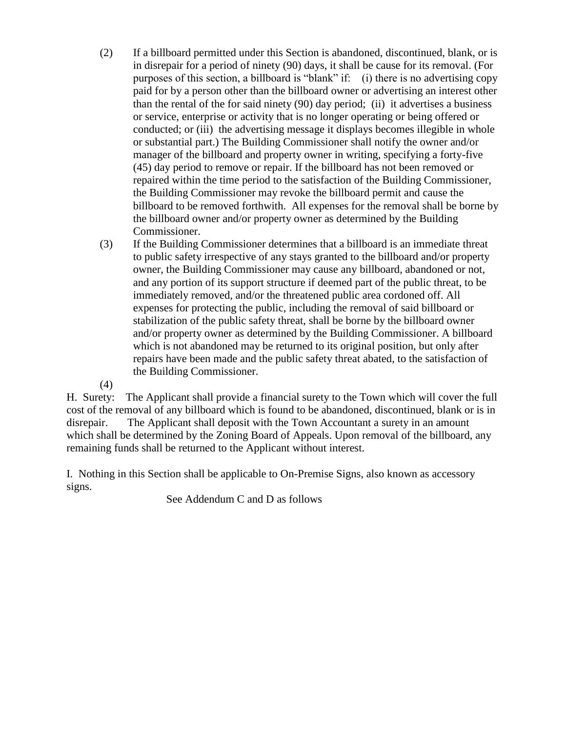- (2) If a billboard permitted under this Section is abandoned, discontinued, blank, or is in disrepair for a period of ninety (90) days, it shall be cause for its removal. (For purposes of this section, a billboard is "blank" if: (i) there is no advertising copy paid for by a person other than the billboard owner or advertising an interest other than the rental of the for said ninety (90) day period; (ii) it advertises a business or service, enterprise or activity that is no longer operating or being offered or conducted; or (iii) the advertising message it displays becomes illegible in whole or substantial part.) The Building Commissioner shall notify the owner and/or manager of the billboard and property owner in writing, specifying a forty-five (45) day period to remove or repair. If the billboard has not been removed or repaired within the time period to the satisfaction of the Building Commissioner, the Building Commissioner may revoke the billboard permit and cause the billboard to be removed forthwith. All expenses for the removal shall be borne by the billboard owner and/or property owner as determined by the Building Commissioner.
- (3) If the Building Commissioner determines that a billboard is an immediate threat to public safety irrespective of any stays granted to the billboard and/or property owner, the Building Commissioner may cause any billboard, abandoned or not, and any portion of its support structure if deemed part of the public threat, to be immediately removed, and/or the threatened public area cordoned off. All expenses for protecting the public, including the removal of said billboard or stabilization of the public safety threat, shall be borne by the billboard owner and/or property owner as determined by the Building Commissioner. A billboard which is not abandoned may be returned to its original position, but only after repairs have been made and the public safety threat abated, to the satisfaction of the Building Commissioner.

(4)

H. Surety: The Applicant shall provide a financial surety to the Town which will cover the full cost of the removal of any billboard which is found to be abandoned, discontinued, blank or is in disrepair. The Applicant shall deposit with the Town Accountant a surety in an amount which shall be determined by the Zoning Board of Appeals. Upon removal of the billboard, any remaining funds shall be returned to the Applicant without interest.

I. Nothing in this Section shall be applicable to On-Premise Signs, also known as accessory signs.

See Addendum C and D as follows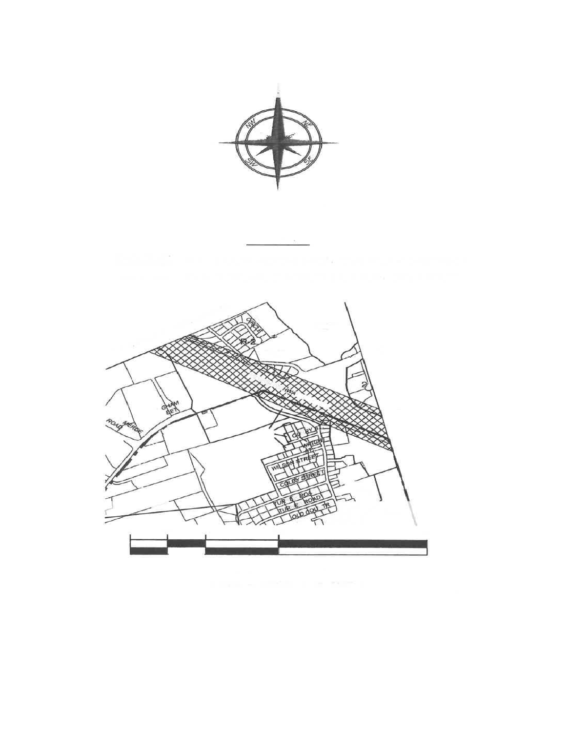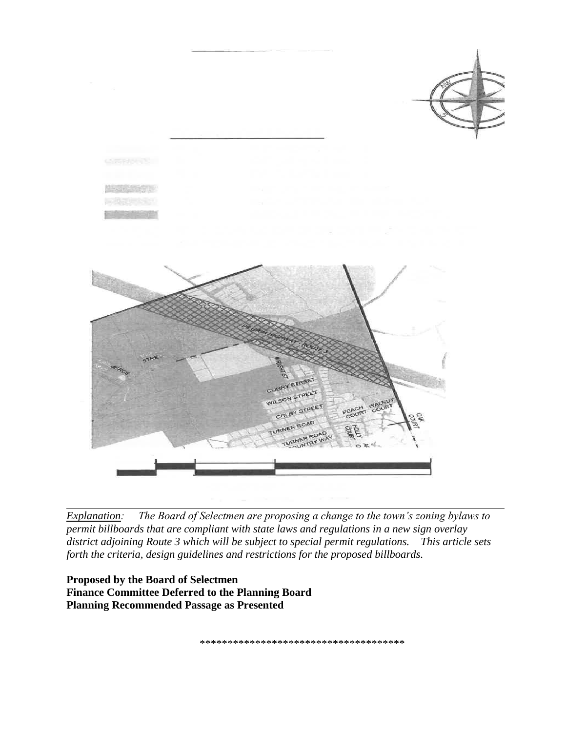

The Board of Selectmen are proposing a change to the town's zoning bylaws to *Explanation:* permit billboards that are compliant with state laws and regulations in a new sign overlay district adjoining Route 3 which will be subject to special permit regulations. This article sets forth the criteria, design guidelines and restrictions for the proposed billboards.

Proposed by the Board of Selectmen Finance Committee Deferred to the Planning Board **Planning Recommended Passage as Presented** 

\*\*\*\*\*\*\*\*\*\*\*\*\*\*\*\*\*\*\*\*\*\*\*\*\*\*\*\*\*\*\*\*\*\*\*\*\*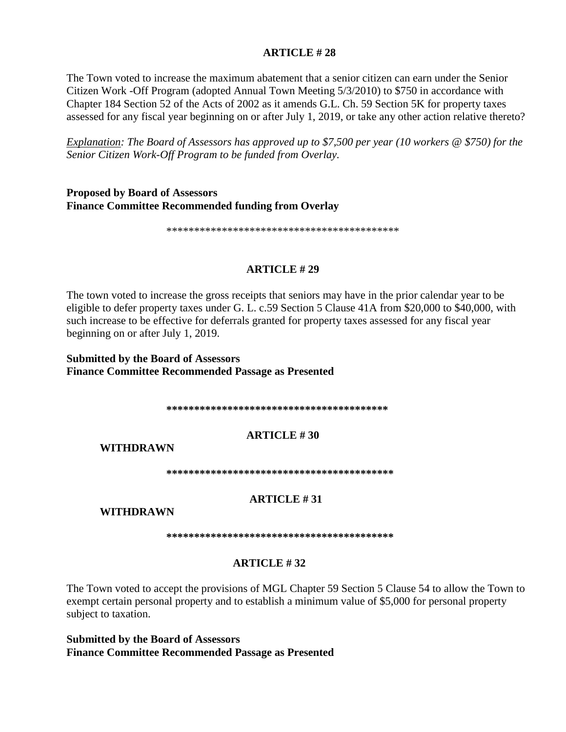#### $ARTICLE # 28$

The Town voted to increase the maximum abatement that a senior citizen can earn under the Senior Citizen Work -Off Program (adopted Annual Town Meeting 5/3/2010) to \$750 in accordance with Chapter 184 Section 52 of the Acts of 2002 as it amends G.L. Ch. 59 Section 5K for property taxes assessed for any fiscal year beginning on or after July 1, 2019, or take any other action relative thereto?

Explanation: The Board of Assessors has approved up to \$7,500 per year (10 workers  $\omega$  \$750) for the Senior Citizen Work-Off Program to be funded from Overlay.

**Proposed by Board of Assessors Finance Committee Recommended funding from Overlay** 

#### **ARTICLE #29**

The town voted to increase the gross receipts that seniors may have in the prior calendar year to be eligible to defer property taxes under G. L. c.59 Section 5 Clause 41A from \$20,000 to \$40,000, with such increase to be effective for deferrals granted for property taxes assessed for any fiscal year beginning on or after July 1, 2019.

**Submitted by the Board of Assessors Finance Committee Recommended Passage as Presented** 

#### **ARTICLE #30**

**WITHDRAWN** 

#### **ARTICLE #31**

**WITHDRAWN** 

#### **ARTICLE #32**

The Town voted to accept the provisions of MGL Chapter 59 Section 5 Clause 54 to allow the Town to exempt certain personal property and to establish a minimum value of \$5,000 for personal property subject to taxation.

**Submitted by the Board of Assessors Finance Committee Recommended Passage as Presented**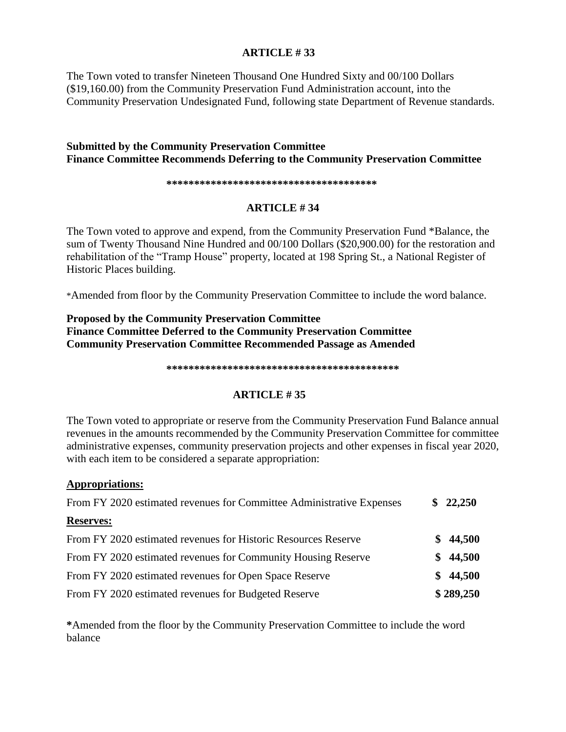#### **ARTICLE # 33**

The Town voted to transfer Nineteen Thousand One Hundred Sixty and 00/100 Dollars (\$19,160.00) from the Community Preservation Fund Administration account, into the Community Preservation Undesignated Fund, following state Department of Revenue standards.

#### **Submitted by the Community Preservation Committee Finance Committee Recommends Deferring to the Community Preservation Committee**

#### **\*\*\*\*\*\*\*\*\*\*\*\*\*\*\*\*\*\*\*\*\*\*\*\*\*\*\*\*\*\*\*\*\*\*\*\*\*\***

#### **ARTICLE # 34**

The Town voted to approve and expend, from the Community Preservation Fund \*Balance, the sum of Twenty Thousand Nine Hundred and 00/100 Dollars (\$20,900.00) for the restoration and rehabilitation of the "Tramp House" property, located at 198 Spring St., a National Register of Historic Places building.

\*Amended from floor by the Community Preservation Committee to include the word balance.

#### **Proposed by the Community Preservation Committee Finance Committee Deferred to the Community Preservation Committee Community Preservation Committee Recommended Passage as Amended**

**\*\*\*\*\*\*\*\*\*\*\*\*\*\*\*\*\*\*\*\*\*\*\*\*\*\*\*\*\*\*\*\*\*\*\*\*\*\*\*\*\*\***

#### **ARTICLE # 35**

The Town voted to appropriate or reserve from the Community Preservation Fund Balance annual revenues in the amounts recommended by the Community Preservation Committee for committee administrative expenses, community preservation projects and other expenses in fiscal year 2020, with each item to be considered a separate appropriation:

| <b>Appropriations:</b>                                                |     |           |
|-----------------------------------------------------------------------|-----|-----------|
| From FY 2020 estimated revenues for Committee Administrative Expenses |     | \$22,250  |
| <b>Reserves:</b>                                                      |     |           |
| From FY 2020 estimated revenues for Historic Resources Reserve        | SS. | 44,500    |
| From FY 2020 estimated revenues for Community Housing Reserve         | SS. | 44,500    |
| From FY 2020 estimated revenues for Open Space Reserve                |     | \$44,500  |
| From FY 2020 estimated revenues for Budgeted Reserve                  |     | \$289,250 |

**\***Amended from the floor by the Community Preservation Committee to include the word balance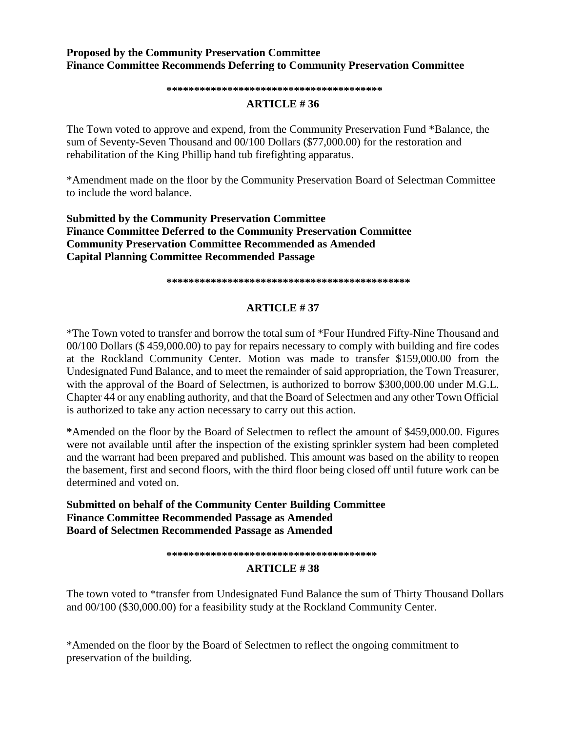#### **Proposed by the Community Preservation Committee Finance Committee Recommends Deferring to Community Preservation Committee**

#### **\*\*\*\*\*\*\*\*\*\*\*\*\*\*\*\*\*\*\*\*\*\*\*\*\*\*\*\*\*\*\*\*\*\*\*\*\*\*\***

#### **ARTICLE # 36**

The Town voted to approve and expend, from the Community Preservation Fund \*Balance, the sum of Seventy-Seven Thousand and 00/100 Dollars (\$77,000.00) for the restoration and rehabilitation of the King Phillip hand tub firefighting apparatus.

\*Amendment made on the floor by the Community Preservation Board of Selectman Committee to include the word balance.

**Submitted by the Community Preservation Committee Finance Committee Deferred to the Community Preservation Committee Community Preservation Committee Recommended as Amended Capital Planning Committee Recommended Passage**

**\*\*\*\*\*\*\*\*\*\*\*\*\*\*\*\*\*\*\*\*\*\*\*\*\*\*\*\*\*\*\*\*\*\*\*\*\*\*\*\*\*\*\*\***

#### **ARTICLE # 37**

\*The Town voted to transfer and borrow the total sum of \*Four Hundred Fifty-Nine Thousand and 00/100 Dollars (\$ 459,000.00) to pay for repairs necessary to comply with building and fire codes at the Rockland Community Center. Motion was made to transfer \$159,000.00 from the Undesignated Fund Balance, and to meet the remainder of said appropriation, the Town Treasurer, with the approval of the Board of Selectmen, is authorized to borrow \$300,000.00 under M.G.L. Chapter 44 or any enabling authority, and that the Board of Selectmen and any other Town Official is authorized to take any action necessary to carry out this action.

**\***Amended on the floor by the Board of Selectmen to reflect the amount of \$459,000.00. Figures were not available until after the inspection of the existing sprinkler system had been completed and the warrant had been prepared and published. This amount was based on the ability to reopen the basement, first and second floors, with the third floor being closed off until future work can be determined and voted on.

**Submitted on behalf of the Community Center Building Committee Finance Committee Recommended Passage as Amended Board of Selectmen Recommended Passage as Amended**

**\*\*\*\*\*\*\*\*\*\*\*\*\*\*\*\*\*\*\*\*\*\*\*\*\*\*\*\*\*\*\*\*\*\*\*\*\*\***

#### **ARTICLE # 38**

The town voted to \*transfer from Undesignated Fund Balance the sum of Thirty Thousand Dollars and 00/100 (\$30,000.00) for a feasibility study at the Rockland Community Center.

\*Amended on the floor by the Board of Selectmen to reflect the ongoing commitment to preservation of the building.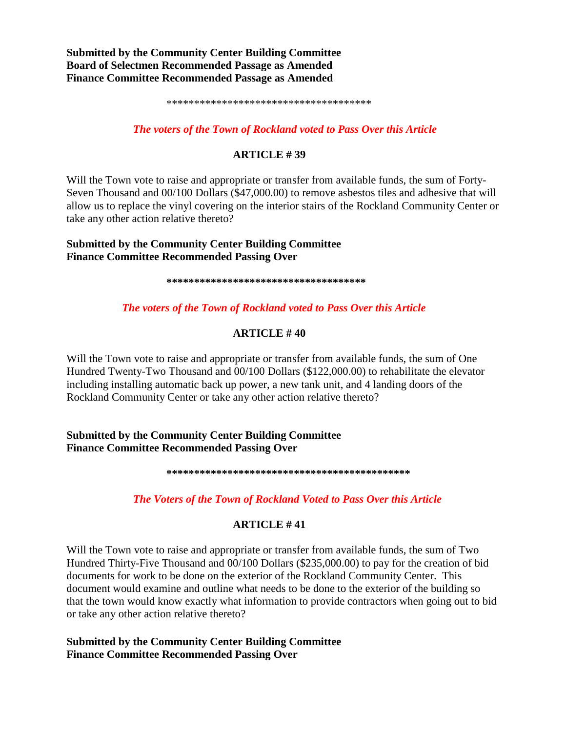**Submitted by the Community Center Building Committee Board of Selectmen Recommended Passage as Amended Finance Committee Recommended Passage as Amended**

\*\*\*\*\*\*\*\*\*\*\*\*\*\*\*\*\*\*\*\*\*\*\*\*\*\*\*\*\*\*\*\*\*\*\*\*\*

*The voters of the Town of Rockland voted to Pass Over this Article*

#### **ARTICLE # 39**

Will the Town vote to raise and appropriate or transfer from available funds, the sum of Forty-Seven Thousand and 00/100 Dollars (\$47,000.00) to remove asbestos tiles and adhesive that will allow us to replace the vinyl covering on the interior stairs of the Rockland Community Center or take any other action relative thereto?

#### **Submitted by the Community Center Building Committee Finance Committee Recommended Passing Over**

**\*\*\*\*\*\*\*\*\*\*\*\*\*\*\*\*\*\*\*\*\*\*\*\*\*\*\*\*\*\*\*\*\*\*\*\***

 *The voters of the Town of Rockland voted to Pass Over this Article*

#### **ARTICLE # 40**

Will the Town vote to raise and appropriate or transfer from available funds, the sum of One Hundred Twenty-Two Thousand and 00/100 Dollars (\$122,000.00) to rehabilitate the elevator including installing automatic back up power, a new tank unit, and 4 landing doors of the Rockland Community Center or take any other action relative thereto?

**Submitted by the Community Center Building Committee Finance Committee Recommended Passing Over**

**\*\*\*\*\*\*\*\*\*\*\*\*\*\*\*\*\*\*\*\*\*\*\*\*\*\*\*\*\*\*\*\*\*\*\*\*\*\*\*\*\*\*\*\***

*The Voters of the Town of Rockland Voted to Pass Over this Article*

#### **ARTICLE # 41**

Will the Town vote to raise and appropriate or transfer from available funds, the sum of Two Hundred Thirty-Five Thousand and 00/100 Dollars (\$235,000.00) to pay for the creation of bid documents for work to be done on the exterior of the Rockland Community Center. This document would examine and outline what needs to be done to the exterior of the building so that the town would know exactly what information to provide contractors when going out to bid or take any other action relative thereto?

**Submitted by the Community Center Building Committee Finance Committee Recommended Passing Over**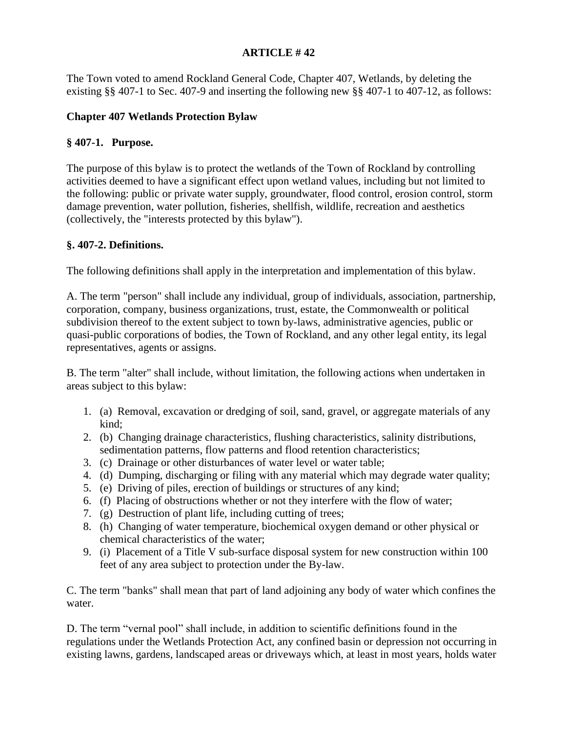### **ARTICLE # 42**

The Town voted to amend Rockland General Code, Chapter 407, Wetlands, by deleting the existing §§ 407-1 to Sec. 407-9 and inserting the following new §§ 407-1 to 407-12, as follows:

#### **Chapter 407 Wetlands Protection Bylaw**

#### **§ 407-1. Purpose.**

The purpose of this bylaw is to protect the wetlands of the Town of Rockland by controlling activities deemed to have a significant effect upon wetland values, including but not limited to the following: public or private water supply, groundwater, flood control, erosion control, storm damage prevention, water pollution, fisheries, shellfish, wildlife, recreation and aesthetics (collectively, the "interests protected by this bylaw").

### **§. 407-2. Definitions.**

The following definitions shall apply in the interpretation and implementation of this bylaw.

A. The term "person" shall include any individual, group of individuals, association, partnership, corporation, company, business organizations, trust, estate, the Commonwealth or political subdivision thereof to the extent subject to town by-laws, administrative agencies, public or quasi-public corporations of bodies, the Town of Rockland, and any other legal entity, its legal representatives, agents or assigns.

B. The term "alter" shall include, without limitation, the following actions when undertaken in areas subject to this bylaw:

- 1. (a) Removal, excavation or dredging of soil, sand, gravel, or aggregate materials of any kind;
- 2. (b) Changing drainage characteristics, flushing characteristics, salinity distributions, sedimentation patterns, flow patterns and flood retention characteristics;
- 3. (c) Drainage or other disturbances of water level or water table;
- 4. (d) Dumping, discharging or filing with any material which may degrade water quality;
- 5. (e) Driving of piles, erection of buildings or structures of any kind;
- 6. (f) Placing of obstructions whether or not they interfere with the flow of water;
- 7. (g) Destruction of plant life, including cutting of trees;
- 8. (h) Changing of water temperature, biochemical oxygen demand or other physical or chemical characteristics of the water;
- 9. (i) Placement of a Title V sub-surface disposal system for new construction within 100 feet of any area subject to protection under the By-law.

C. The term "banks" shall mean that part of land adjoining any body of water which confines the water.

D. The term "vernal pool" shall include, in addition to scientific definitions found in the regulations under the Wetlands Protection Act, any confined basin or depression not occurring in existing lawns, gardens, landscaped areas or driveways which, at least in most years, holds water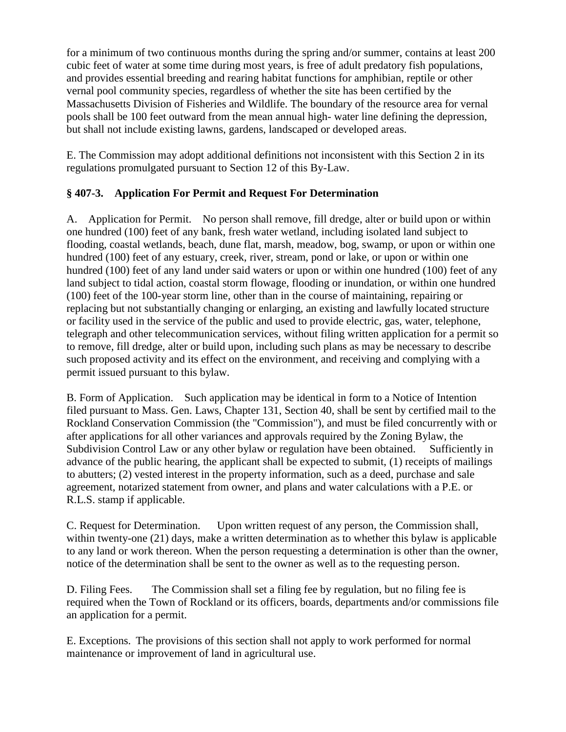for a minimum of two continuous months during the spring and/or summer, contains at least 200 cubic feet of water at some time during most years, is free of adult predatory fish populations, and provides essential breeding and rearing habitat functions for amphibian, reptile or other vernal pool community species, regardless of whether the site has been certified by the Massachusetts Division of Fisheries and Wildlife. The boundary of the resource area for vernal pools shall be 100 feet outward from the mean annual high- water line defining the depression, but shall not include existing lawns, gardens, landscaped or developed areas.

E. The Commission may adopt additional definitions not inconsistent with this Section 2 in its regulations promulgated pursuant to Section 12 of this By-Law.

### **§ 407-3. Application For Permit and Request For Determination**

A. Application for Permit. No person shall remove, fill dredge, alter or build upon or within one hundred (100) feet of any bank, fresh water wetland, including isolated land subject to flooding, coastal wetlands, beach, dune flat, marsh, meadow, bog, swamp, or upon or within one hundred (100) feet of any estuary, creek, river, stream, pond or lake, or upon or within one hundred (100) feet of any land under said waters or upon or within one hundred (100) feet of any land subject to tidal action, coastal storm flowage, flooding or inundation, or within one hundred (100) feet of the 100-year storm line, other than in the course of maintaining, repairing or replacing but not substantially changing or enlarging, an existing and lawfully located structure or facility used in the service of the public and used to provide electric, gas, water, telephone, telegraph and other telecommunication services, without filing written application for a permit so to remove, fill dredge, alter or build upon, including such plans as may be necessary to describe such proposed activity and its effect on the environment, and receiving and complying with a permit issued pursuant to this bylaw.

B. Form of Application. Such application may be identical in form to a Notice of Intention filed pursuant to Mass. Gen. Laws, Chapter 131, Section 40, shall be sent by certified mail to the Rockland Conservation Commission (the "Commission"), and must be filed concurrently with or after applications for all other variances and approvals required by the Zoning Bylaw, the Subdivision Control Law or any other bylaw or regulation have been obtained. Sufficiently in advance of the public hearing, the applicant shall be expected to submit, (1) receipts of mailings to abutters; (2) vested interest in the property information, such as a deed, purchase and sale agreement, notarized statement from owner, and plans and water calculations with a P.E. or R.L.S. stamp if applicable.

C. Request for Determination. Upon written request of any person, the Commission shall, within twenty-one (21) days, make a written determination as to whether this bylaw is applicable to any land or work thereon. When the person requesting a determination is other than the owner, notice of the determination shall be sent to the owner as well as to the requesting person.

D. Filing Fees. The Commission shall set a filing fee by regulation, but no filing fee is required when the Town of Rockland or its officers, boards, departments and/or commissions file an application for a permit.

E. Exceptions. The provisions of this section shall not apply to work performed for normal maintenance or improvement of land in agricultural use.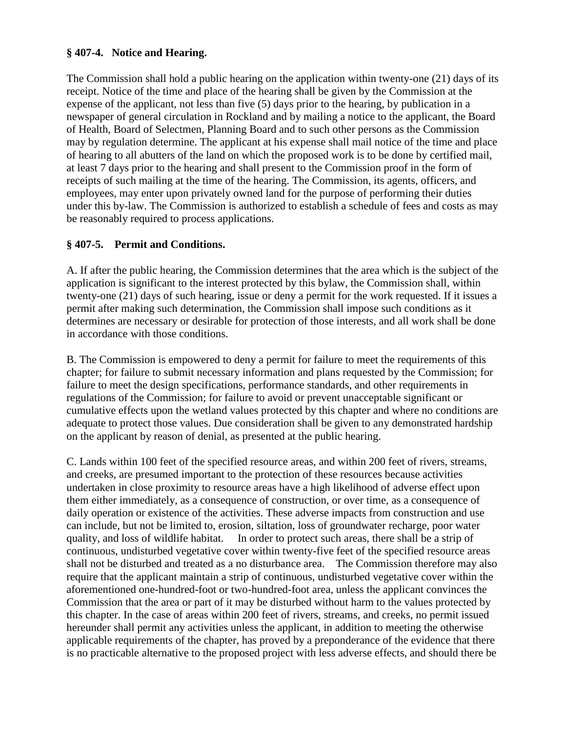#### **§ 407-4. Notice and Hearing.**

The Commission shall hold a public hearing on the application within twenty-one (21) days of its receipt. Notice of the time and place of the hearing shall be given by the Commission at the expense of the applicant, not less than five (5) days prior to the hearing, by publication in a newspaper of general circulation in Rockland and by mailing a notice to the applicant, the Board of Health, Board of Selectmen, Planning Board and to such other persons as the Commission may by regulation determine. The applicant at his expense shall mail notice of the time and place of hearing to all abutters of the land on which the proposed work is to be done by certified mail, at least 7 days prior to the hearing and shall present to the Commission proof in the form of receipts of such mailing at the time of the hearing. The Commission, its agents, officers, and employees, may enter upon privately owned land for the purpose of performing their duties under this by-law. The Commission is authorized to establish a schedule of fees and costs as may be reasonably required to process applications.

#### **§ 407-5. Permit and Conditions.**

A. If after the public hearing, the Commission determines that the area which is the subject of the application is significant to the interest protected by this bylaw, the Commission shall, within twenty-one (21) days of such hearing, issue or deny a permit for the work requested. If it issues a permit after making such determination, the Commission shall impose such conditions as it determines are necessary or desirable for protection of those interests, and all work shall be done in accordance with those conditions.

B. The Commission is empowered to deny a permit for failure to meet the requirements of this chapter; for failure to submit necessary information and plans requested by the Commission; for failure to meet the design specifications, performance standards, and other requirements in regulations of the Commission; for failure to avoid or prevent unacceptable significant or cumulative effects upon the wetland values protected by this chapter and where no conditions are adequate to protect those values. Due consideration shall be given to any demonstrated hardship on the applicant by reason of denial, as presented at the public hearing.

C. Lands within 100 feet of the specified resource areas, and within 200 feet of rivers, streams, and creeks, are presumed important to the protection of these resources because activities undertaken in close proximity to resource areas have a high likelihood of adverse effect upon them either immediately, as a consequence of construction, or over time, as a consequence of daily operation or existence of the activities. These adverse impacts from construction and use can include, but not be limited to, erosion, siltation, loss of groundwater recharge, poor water quality, and loss of wildlife habitat. In order to protect such areas, there shall be a strip of continuous, undisturbed vegetative cover within twenty-five feet of the specified resource areas shall not be disturbed and treated as a no disturbance area. The Commission therefore may also require that the applicant maintain a strip of continuous, undisturbed vegetative cover within the aforementioned one-hundred-foot or two-hundred-foot area, unless the applicant convinces the Commission that the area or part of it may be disturbed without harm to the values protected by this chapter. In the case of areas within 200 feet of rivers, streams, and creeks, no permit issued hereunder shall permit any activities unless the applicant, in addition to meeting the otherwise applicable requirements of the chapter, has proved by a preponderance of the evidence that there is no practicable alternative to the proposed project with less adverse effects, and should there be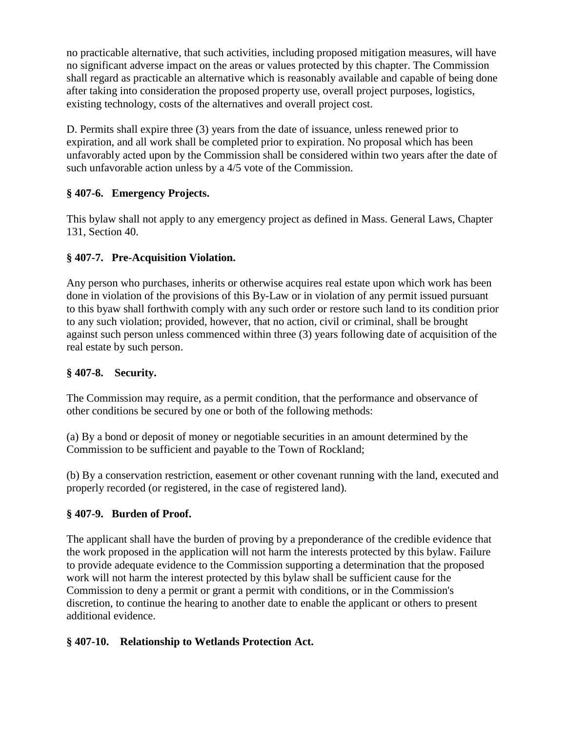no practicable alternative, that such activities, including proposed mitigation measures, will have no significant adverse impact on the areas or values protected by this chapter. The Commission shall regard as practicable an alternative which is reasonably available and capable of being done after taking into consideration the proposed property use, overall project purposes, logistics, existing technology, costs of the alternatives and overall project cost.

D. Permits shall expire three (3) years from the date of issuance, unless renewed prior to expiration, and all work shall be completed prior to expiration. No proposal which has been unfavorably acted upon by the Commission shall be considered within two years after the date of such unfavorable action unless by a 4/5 vote of the Commission.

### **§ 407-6. Emergency Projects.**

This bylaw shall not apply to any emergency project as defined in Mass. General Laws, Chapter 131, Section 40.

### **§ 407-7. Pre-Acquisition Violation.**

Any person who purchases, inherits or otherwise acquires real estate upon which work has been done in violation of the provisions of this By-Law or in violation of any permit issued pursuant to this byaw shall forthwith comply with any such order or restore such land to its condition prior to any such violation; provided, however, that no action, civil or criminal, shall be brought against such person unless commenced within three (3) years following date of acquisition of the real estate by such person.

#### **§ 407-8. Security.**

The Commission may require, as a permit condition, that the performance and observance of other conditions be secured by one or both of the following methods:

(a) By a bond or deposit of money or negotiable securities in an amount determined by the Commission to be sufficient and payable to the Town of Rockland;

(b) By a conservation restriction, easement or other covenant running with the land, executed and properly recorded (or registered, in the case of registered land).

#### **§ 407-9. Burden of Proof.**

The applicant shall have the burden of proving by a preponderance of the credible evidence that the work proposed in the application will not harm the interests protected by this bylaw. Failure to provide adequate evidence to the Commission supporting a determination that the proposed work will not harm the interest protected by this bylaw shall be sufficient cause for the Commission to deny a permit or grant a permit with conditions, or in the Commission's discretion, to continue the hearing to another date to enable the applicant or others to present additional evidence.

#### **§ 407-10. Relationship to Wetlands Protection Act.**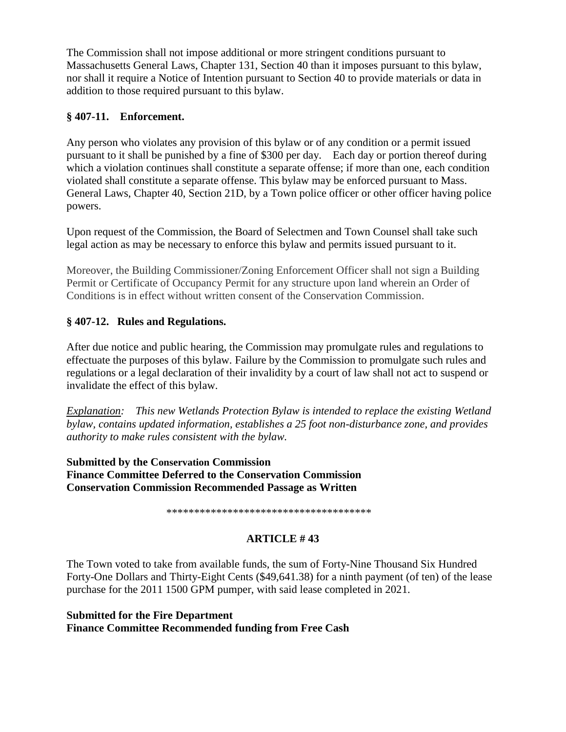The Commission shall not impose additional or more stringent conditions pursuant to Massachusetts General Laws, Chapter 131, Section 40 than it imposes pursuant to this bylaw, nor shall it require a Notice of Intention pursuant to Section 40 to provide materials or data in addition to those required pursuant to this bylaw.

### **§ 407-11. Enforcement.**

Any person who violates any provision of this bylaw or of any condition or a permit issued pursuant to it shall be punished by a fine of \$300 per day. Each day or portion thereof during which a violation continues shall constitute a separate offense; if more than one, each condition violated shall constitute a separate offense. This bylaw may be enforced pursuant to Mass. General Laws, Chapter 40, Section 21D, by a Town police officer or other officer having police powers.

Upon request of the Commission, the Board of Selectmen and Town Counsel shall take such legal action as may be necessary to enforce this bylaw and permits issued pursuant to it.

Moreover, the Building Commissioner/Zoning Enforcement Officer shall not sign a Building Permit or Certificate of Occupancy Permit for any structure upon land wherein an Order of Conditions is in effect without written consent of the Conservation Commission.

#### **§ 407-12. Rules and Regulations.**

After due notice and public hearing, the Commission may promulgate rules and regulations to effectuate the purposes of this bylaw. Failure by the Commission to promulgate such rules and regulations or a legal declaration of their invalidity by a court of law shall not act to suspend or invalidate the effect of this bylaw.

*Explanation: This new Wetlands Protection Bylaw is intended to replace the existing Wetland bylaw, contains updated information, establishes a 25 foot non-disturbance zone, and provides authority to make rules consistent with the bylaw.* 

**Submitted by the Conservation Commission Finance Committee Deferred to the Conservation Commission Conservation Commission Recommended Passage as Written**

\*\*\*\*\*\*\*\*\*\*\*\*\*\*\*\*\*\*\*\*\*\*\*\*\*\*\*\*\*\*\*\*\*\*\*\*\*

### **ARTICLE # 43**

The Town voted to take from available funds, the sum of Forty-Nine Thousand Six Hundred Forty-One Dollars and Thirty-Eight Cents (\$49,641.38) for a ninth payment (of ten) of the lease purchase for the 2011 1500 GPM pumper, with said lease completed in 2021.

#### **Submitted for the Fire Department Finance Committee Recommended funding from Free Cash**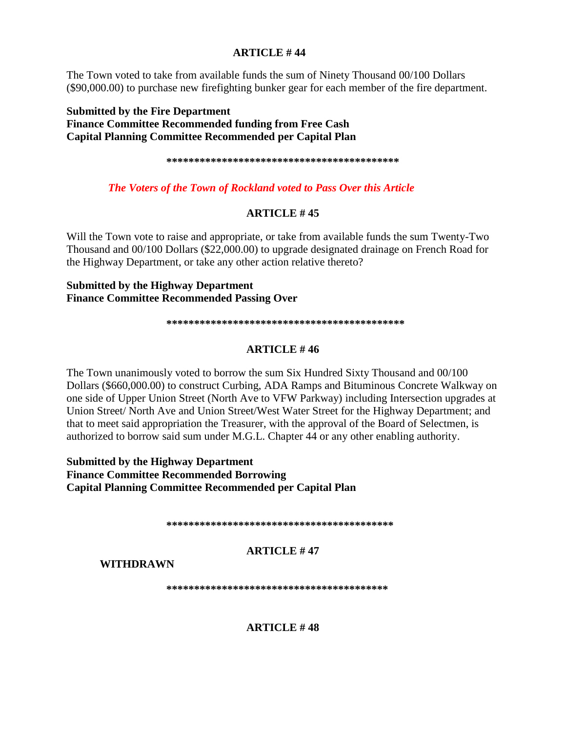#### $ARTICLE #44$

The Town voted to take from available funds the sum of Ninety Thousand 00/100 Dollars (\$90,000,00) to purchase new firefighting bunker gear for each member of the fire department.

**Submitted by the Fire Department Finance Committee Recommended funding from Free Cash Capital Planning Committee Recommended per Capital Plan** 

The Voters of the Town of Rockland voted to Pass Over this Article

#### **ARTICLE #45**

Will the Town vote to raise and appropriate, or take from available funds the sum Twenty-Two Thousand and 00/100 Dollars (\$22,000.00) to upgrade designated drainage on French Road for the Highway Department, or take any other action relative thereto?

#### **Submitted by the Highway Department Finance Committee Recommended Passing Over**

#### $ARTICLE #46$

The Town unanimously voted to borrow the sum Six Hundred Sixty Thousand and 00/100 Dollars (\$660,000.00) to construct Curbing, ADA Ramps and Bituminous Concrete Walkway on one side of Upper Union Street (North Ave to VFW Parkway) including Intersection upgrades at Union Street/North Ave and Union Street/West Water Street for the Highway Department; and that to meet said appropriation the Treasurer, with the approval of the Board of Selectmen, is authorized to borrow said sum under M.G.L. Chapter 44 or any other enabling authority.

**Submitted by the Highway Department Finance Committee Recommended Borrowing Capital Planning Committee Recommended per Capital Plan** 

#### **ARTICLE #47**

**WITHDRAWN** 

#### **ARTICLE #48**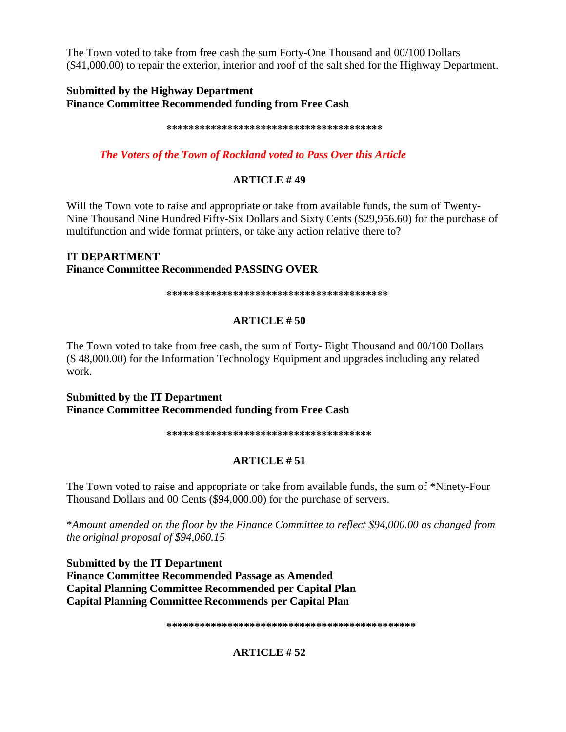The Town voted to take from free cash the sum Forty-One Thousand and 00/100 Dollars (\$41,000.00) to repair the exterior, interior and roof of the salt shed for the Highway Department.

#### **Submitted by the Highway Department Finance Committee Recommended funding from Free Cash**

The Voters of the Town of Rockland voted to Pass Over this Article

#### $ARTICLE #49$

Will the Town vote to raise and appropriate or take from available funds, the sum of Twenty-Nine Thousand Nine Hundred Fifty-Six Dollars and Sixty Cents (\$29,956.60) for the purchase of multifunction and wide format printers, or take any action relative there to?

#### **IT DEPARTMENT Finance Committee Recommended PASSING OVER**

#### **ARTICLE #50**

The Town voted to take from free cash, the sum of Forty- Eight Thousand and 00/100 Dollars (\$48,000.00) for the Information Technology Equipment and upgrades including any related work.

#### **Submitted by the IT Department Finance Committee Recommended funding from Free Cash**

#### $ARTICLE # 51$

The Town voted to raise and appropriate or take from available funds, the sum of \*Ninety-Four Thousand Dollars and 00 Cents (\$94,000.00) for the purchase of servers.

\*Amount amended on the floor by the Finance Committee to reflect \$94,000.00 as changed from the original proposal of \$94,060.15

**Submitted by the IT Department Finance Committee Recommended Passage as Amended Capital Planning Committee Recommended per Capital Plan Capital Planning Committee Recommends per Capital Plan** 

#### $ARTICLE # 52$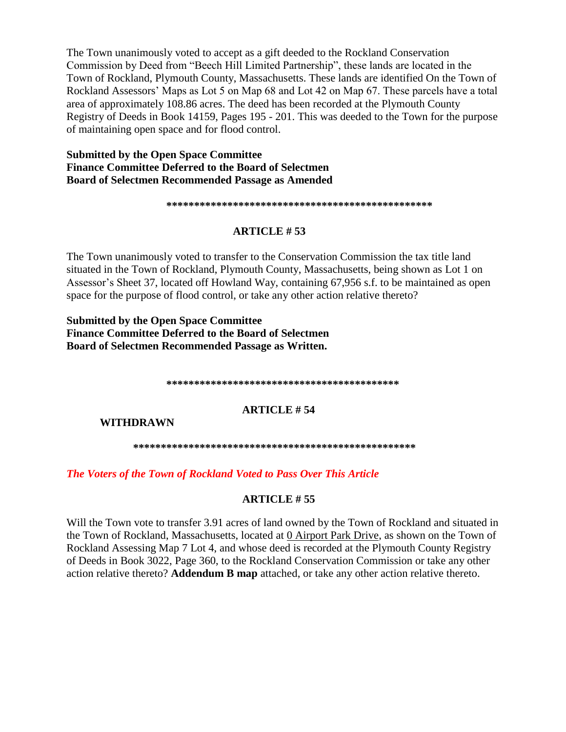The Town unanimously voted to accept as a gift deeded to the Rockland Conservation Commission by Deed from "Beech Hill Limited Partnership", these lands are located in the Town of Rockland, Plymouth County, Massachusetts. These lands are identified On the Town of Rockland Assessors' Maps as Lot 5 on Map 68 and Lot 42 on Map 67. These parcels have a total area of approximately 108.86 acres. The deed has been recorded at the Plymouth County Registry of Deeds in Book 14159, Pages 195 - 201. This was deeded to the Town for the purpose of maintaining open space and for flood control.

#### **Submitted by the Open Space Committee Finance Committee Deferred to the Board of Selectmen Board of Selectmen Recommended Passage as Amended**

#### $ARTICLE # 53$

The Town unanimously voted to transfer to the Conservation Commission the tax title land situated in the Town of Rockland, Plymouth County, Massachusetts, being shown as Lot 1 on Assessor's Sheet 37, located off Howland Way, containing 67,956 s.f. to be maintained as open space for the purpose of flood control, or take any other action relative thereto?

#### **Submitted by the Open Space Committee Finance Committee Deferred to the Board of Selectmen** Board of Selectmen Recommended Passage as Written.

#### **ARTICLE #54**

#### **WITHDRAWN**

#### The Voters of the Town of Rockland Voted to Pass Over This Article

#### $ARTICLE # 55$

Will the Town vote to transfer 3.91 acres of land owned by the Town of Rockland and situated in the Town of Rockland, Massachusetts, located at 0 Airport Park Drive, as shown on the Town of Rockland Assessing Map 7 Lot 4, and whose deed is recorded at the Plymouth County Registry of Deeds in Book 3022, Page 360, to the Rockland Conservation Commission or take any other action relative thereto? **Addendum B map** attached, or take any other action relative thereto.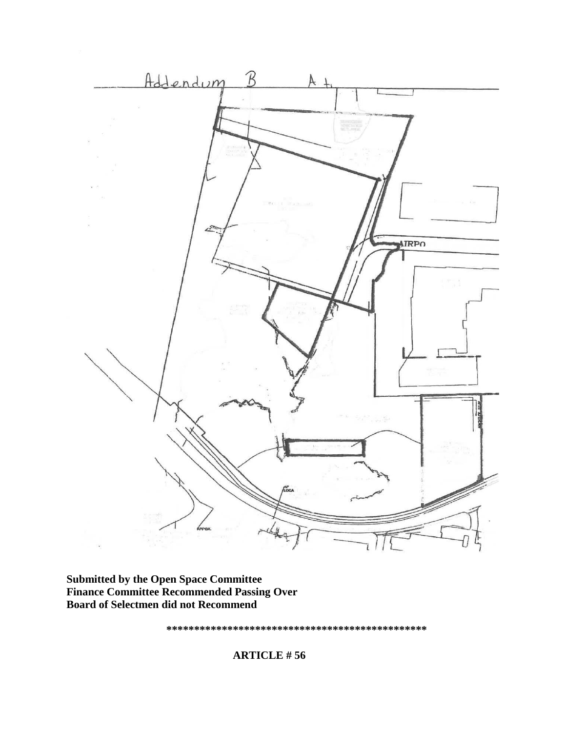

**Submitted by the Open Space Committee<br>Finance Committee Recommended Passing Over Board of Selectmen did not Recommend** 

**ARTICLE #56**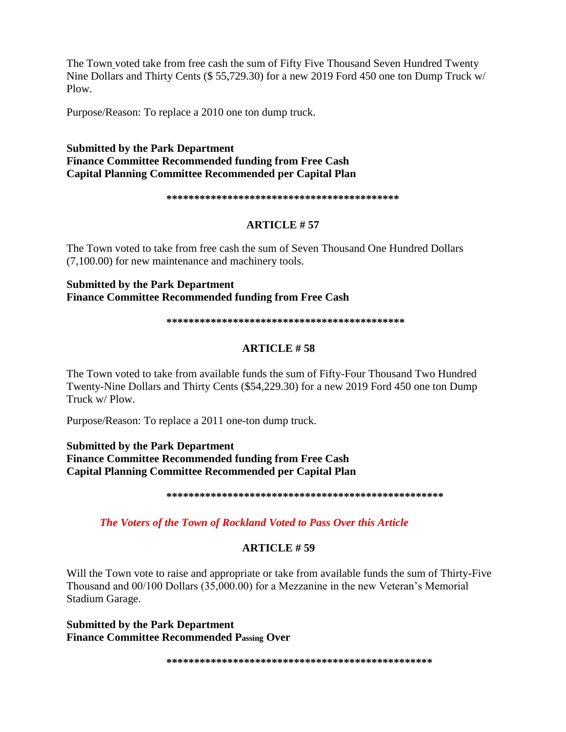The Town voted take from free cash the sum of Fifty Five Thousand Seven Hundred Twenty Nine Dollars and Thirty Cents (\$55,729.30) for a new 2019 Ford 450 one ton Dump Truck w/  $Plow$ 

Purpose/Reason: To replace a 2010 one ton dump truck.

#### **Submitted by the Park Department Finance Committee Recommended funding from Free Cash Capital Planning Committee Recommended per Capital Plan**

#### **ARTICLE #57**

The Town voted to take from free cash the sum of Seven Thousand One Hundred Dollars (7,100.00) for new maintenance and machinery tools.

#### **Submitted by the Park Department Finance Committee Recommended funding from Free Cash**

#### **ARTICLE #58**

The Town voted to take from available funds the sum of Fifty-Four Thousand Two Hundred Twenty-Nine Dollars and Thirty Cents (\$54,229.30) for a new 2019 Ford 450 one ton Dump Truck w/ Plow.

Purpose/Reason: To replace a 2011 one-ton dump truck.

**Submitted by the Park Department Finance Committee Recommended funding from Free Cash Capital Planning Committee Recommended per Capital Plan** 

**The Voters of the Town of Rockland Voted to Pass Over this Article** 

#### **ARTICLE #59**

Will the Town vote to raise and appropriate or take from available funds the sum of Thirty-Five Thousand and 00/100 Dollars (35,000.00) for a Mezzanine in the new Veteran's Memorial Stadium Garage.

**Submitted by the Park Department Finance Committee Recommended Passing Over**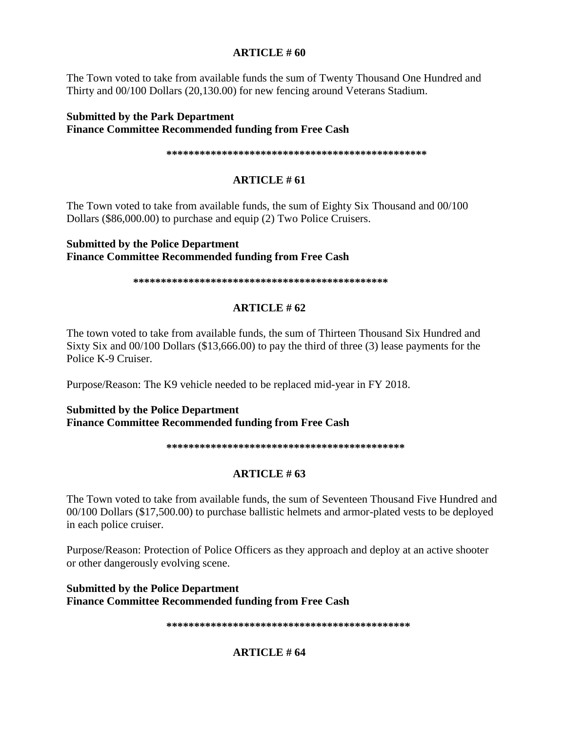#### $ARTICLE # 60$

The Town voted to take from available funds the sum of Twenty Thousand One Hundred and Thirty and 00/100 Dollars (20,130.00) for new fencing around Veterans Stadium.

#### **Submitted by the Park Department Finance Committee Recommended funding from Free Cash**

#### $ARTICLE # 61$

The Town voted to take from available funds, the sum of Eighty Six Thousand and 00/100 Dollars (\$86,000.00) to purchase and equip (2) Two Police Cruisers.

#### **Submitted by the Police Department Finance Committee Recommended funding from Free Cash**

#### $ARTICLE # 62$

The town voted to take from available funds, the sum of Thirteen Thousand Six Hundred and Sixty Six and  $00/100$  Dollars (\$13,666.00) to pay the third of three (3) lease payments for the Police K-9 Cruiser.

Purpose/Reason: The K9 vehicle needed to be replaced mid-year in FY 2018.

#### **Submitted by the Police Department Finance Committee Recommended funding from Free Cash**

#### $ARTICLE # 63$

The Town voted to take from available funds, the sum of Seventeen Thousand Five Hundred and 00/100 Dollars (\$17,500.00) to purchase ballistic helmets and armor-plated vests to be deployed in each police cruiser.

Purpose/Reason: Protection of Police Officers as they approach and deploy at an active shooter or other dangerously evolving scene.

#### **Submitted by the Police Department Finance Committee Recommended funding from Free Cash**

#### **ARTICLE #64**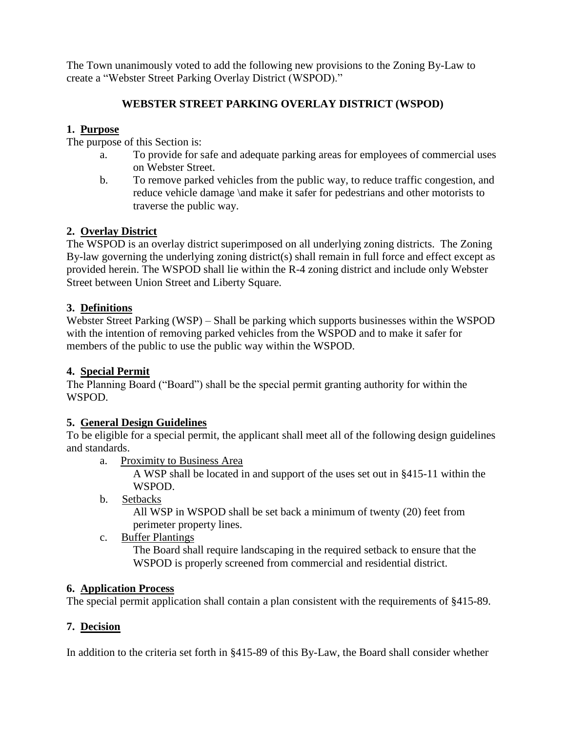The Town unanimously voted to add the following new provisions to the Zoning By-Law to create a "Webster Street Parking Overlay District (WSPOD)."

### **WEBSTER STREET PARKING OVERLAY DISTRICT (WSPOD)**

#### **1. Purpose**

The purpose of this Section is:

- a. To provide for safe and adequate parking areas for employees of commercial uses on Webster Street.
- b. To remove parked vehicles from the public way, to reduce traffic congestion, and reduce vehicle damage \and make it safer for pedestrians and other motorists to traverse the public way.

### **2. Overlay District**

The WSPOD is an overlay district superimposed on all underlying zoning districts. The Zoning By-law governing the underlying zoning district(s) shall remain in full force and effect except as provided herein. The WSPOD shall lie within the R-4 zoning district and include only Webster Street between Union Street and Liberty Square.

### **3. Definitions**

Webster Street Parking (WSP) – Shall be parking which supports businesses within the WSPOD with the intention of removing parked vehicles from the WSPOD and to make it safer for members of the public to use the public way within the WSPOD.

#### **4. Special Permit**

The Planning Board ("Board") shall be the special permit granting authority for within the WSPOD.

#### **5. General Design Guidelines**

To be eligible for a special permit, the applicant shall meet all of the following design guidelines and standards.

a. Proximity to Business Area

A WSP shall be located in and support of the uses set out in §415-11 within the WSPOD.

b. Setbacks

All WSP in WSPOD shall be set back a minimum of twenty (20) feet from perimeter property lines.

c. Buffer Plantings

The Board shall require landscaping in the required setback to ensure that the WSPOD is properly screened from commercial and residential district.

#### **6. Application Process**

The special permit application shall contain a plan consistent with the requirements of §415-89.

### **7. Decision**

In addition to the criteria set forth in §415-89 of this By-Law, the Board shall consider whether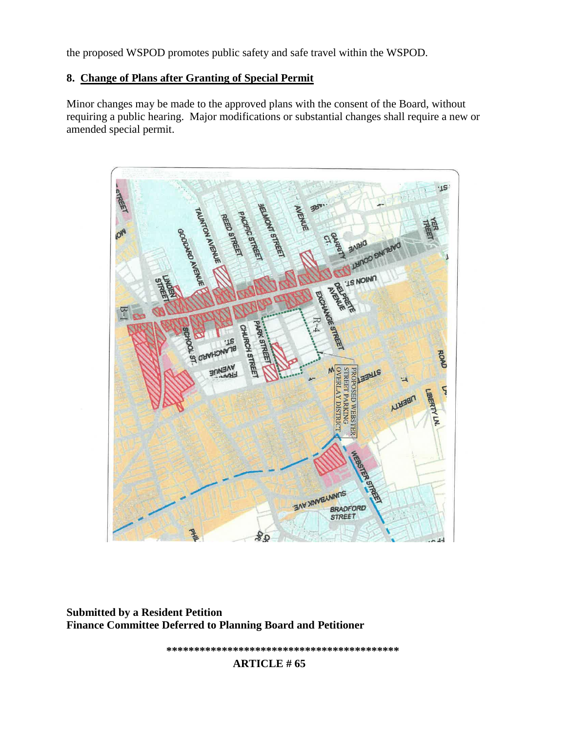the proposed WSPOD promotes public safety and safe travel within the WSPOD.

### 8. Change of Plans after Granting of Special Permit

Minor changes may be made to the approved plans with the consent of the Board, without requiring a public hearing. Major modifications or substantial changes shall require a new or amended special permit.



**Submitted by a Resident Petition Finance Committee Deferred to Planning Board and Petitioner** 

#### $ARTICLE # 65$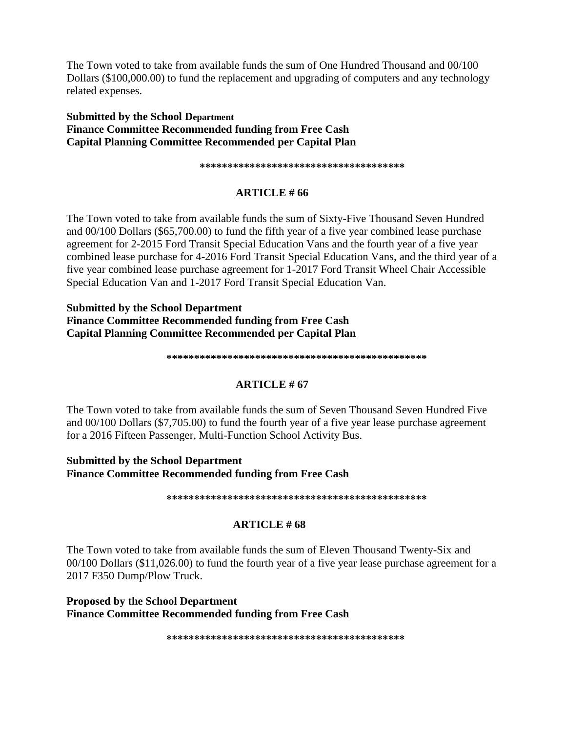The Town voted to take from available funds the sum of One Hundred Thousand and 00/100 Dollars (\$100,000.00) to fund the replacement and upgrading of computers and any technology related expenses.

#### **Submitted by the School Department Finance Committee Recommended funding from Free Cash Capital Planning Committee Recommended per Capital Plan**

**\*\*\*\*\*\*\*\*\*\*\*\*\*\*\*\*\*\*\*\*\*\*\*\*\*\*\*\*\*\*\*\*\*\*\*\*\***

#### **ARTICLE # 66**

The Town voted to take from available funds the sum of Sixty-Five Thousand Seven Hundred and 00/100 Dollars (\$65,700.00) to fund the fifth year of a five year combined lease purchase agreement for 2-2015 Ford Transit Special Education Vans and the fourth year of a five year combined lease purchase for 4-2016 Ford Transit Special Education Vans, and the third year of a five year combined lease purchase agreement for 1-2017 Ford Transit Wheel Chair Accessible Special Education Van and 1-2017 Ford Transit Special Education Van.

#### **Submitted by the School Department Finance Committee Recommended funding from Free Cash Capital Planning Committee Recommended per Capital Plan**

**\*\*\*\*\*\*\*\*\*\*\*\*\*\*\*\*\*\*\*\*\*\*\*\*\*\*\*\*\*\*\*\*\*\*\*\*\*\*\*\*\*\*\*\*\*\*\***

#### **ARTICLE # 67**

The Town voted to take from available funds the sum of Seven Thousand Seven Hundred Five and 00/100 Dollars (\$7,705.00) to fund the fourth year of a five year lease purchase agreement for a 2016 Fifteen Passenger, Multi-Function School Activity Bus.

#### **Submitted by the School Department Finance Committee Recommended funding from Free Cash**

**\*\*\*\*\*\*\*\*\*\*\*\*\*\*\*\*\*\*\*\*\*\*\*\*\*\*\*\*\*\*\*\*\*\*\*\*\*\*\*\*\*\*\*\*\*\*\***

#### **ARTICLE # 68**

The Town voted to take from available funds the sum of Eleven Thousand Twenty-Six and 00/100 Dollars (\$11,026.00) to fund the fourth year of a five year lease purchase agreement for a 2017 F350 Dump/Plow Truck.

**Proposed by the School Department Finance Committee Recommended funding from Free Cash**

**\*\*\*\*\*\*\*\*\*\*\*\*\*\*\*\*\*\*\*\*\*\*\*\*\*\*\*\*\*\*\*\*\*\*\*\*\*\*\*\*\*\*\***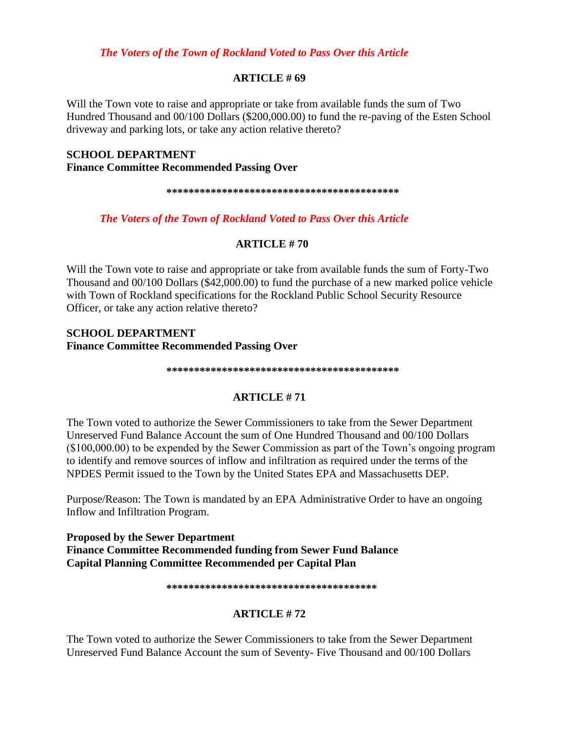#### The Voters of the Town of Rockland Voted to Pass Over this Article

#### **ARTICLE #69**

Will the Town vote to raise and appropriate or take from available funds the sum of Two Hundred Thousand and 00/100 Dollars (\$200,000.00) to fund the re-paving of the Esten School driveway and parking lots, or take any action relative thereto?

#### **SCHOOL DEPARTMENT Finance Committee Recommended Passing Over**

The Voters of the Town of Rockland Voted to Pass Over this Article

#### **ARTICLE #70**

Will the Town vote to raise and appropriate or take from available funds the sum of Forty-Two Thousand and 00/100 Dollars (\$42,000.00) to fund the purchase of a new marked police vehicle with Town of Rockland specifications for the Rockland Public School Security Resource Officer, or take any action relative thereto?

#### **SCHOOL DEPARTMENT Finance Committee Recommended Passing Over**

#### **ARTICLE #71**

The Town voted to authorize the Sewer Commissioners to take from the Sewer Department Unreserved Fund Balance Account the sum of One Hundred Thousand and 00/100 Dollars (\$100,000.00) to be expended by the Sewer Commission as part of the Town's ongoing program to identify and remove sources of inflow and infiltration as required under the terms of the NPDES Permit issued to the Town by the United States EPA and Massachusetts DEP.

Purpose/Reason: The Town is mandated by an EPA Administrative Order to have an ongoing Inflow and Infiltration Program.

**Proposed by the Sewer Department Finance Committee Recommended funding from Sewer Fund Balance Capital Planning Committee Recommended per Capital Plan** 

\*\*\*\*\*\*\*\*\*\*\*\*\*\*\*\*\*\*\*\*\*\*\*\*\*\*\*\*\*\*\*\*\*\*\*\*\*\*

#### **ARTICLE #72**

The Town voted to authorize the Sewer Commissioners to take from the Sewer Department Unreserved Fund Balance Account the sum of Seventy- Five Thousand and 00/100 Dollars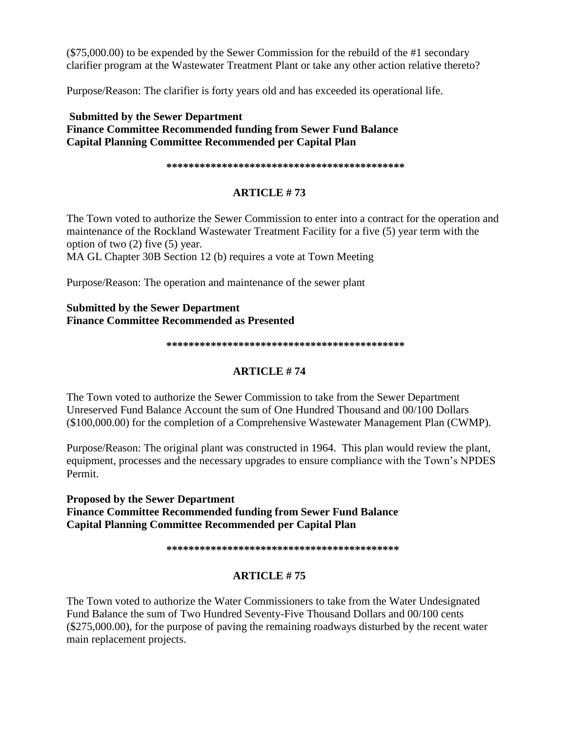$(\$75,000,00)$  to be expended by the Sewer Commission for the rebuild of the #1 secondary clarifier program at the Wastewater Treatment Plant or take any other action relative thereto?

Purpose/Reason: The clarifier is forty years old and has exceeded its operational life.

### **Submitted by the Sewer Department Finance Committee Recommended funding from Sewer Fund Balance Capital Planning Committee Recommended per Capital Plan**

### **ARTICLE #73**

The Town voted to authorize the Sewer Commission to enter into a contract for the operation and maintenance of the Rockland Wastewater Treatment Facility for a five (5) year term with the option of two  $(2)$  five  $(5)$  year.

MA GL Chapter 30B Section 12 (b) requires a vote at Town Meeting

Purpose/Reason: The operation and maintenance of the sewer plant

#### **Submitted by the Sewer Department Finance Committee Recommended as Presented**

### **ARTICLE #74**

The Town voted to authorize the Sewer Commission to take from the Sewer Department Unreserved Fund Balance Account the sum of One Hundred Thousand and 00/100 Dollars (\$100,000.00) for the completion of a Comprehensive Wastewater Management Plan (CWMP).

Purpose/Reason: The original plant was constructed in 1964. This plan would review the plant, equipment, processes and the necessary upgrades to ensure compliance with the Town's NPDES Permit.

**Proposed by the Sewer Department Finance Committee Recommended funding from Sewer Fund Balance Capital Planning Committee Recommended per Capital Plan** 

#### **ARTICLE #75**

The Town voted to authorize the Water Commissioners to take from the Water Undesignated Fund Balance the sum of Two Hundred Seventy-Five Thousand Dollars and 00/100 cents (\$275,000,00), for the purpose of paving the remaining roadways disturbed by the recent water main replacement projects.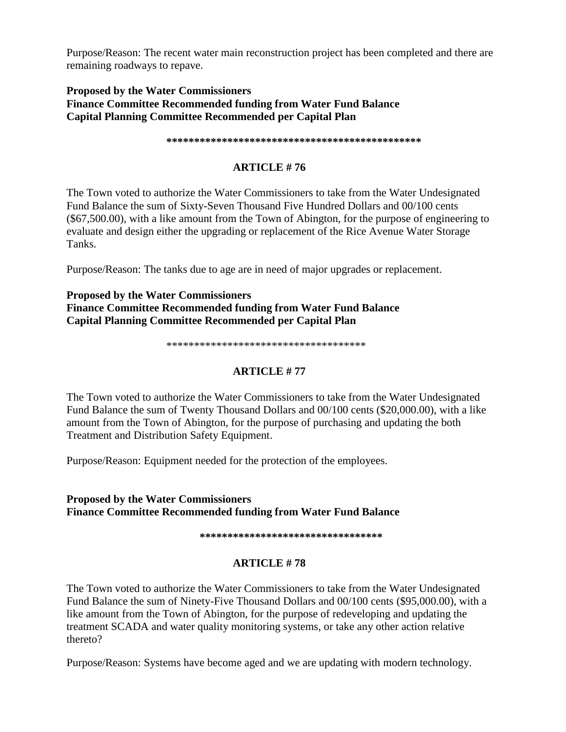Purpose/Reason: The recent water main reconstruction project has been completed and there are remaining roadways to repave.

#### **Proposed by the Water Commissioners Finance Committee Recommended funding from Water Fund Balance Capital Planning Committee Recommended per Capital Plan**

**\*\*\*\*\*\*\*\*\*\*\*\*\*\*\*\*\*\*\*\*\*\*\*\*\*\*\*\*\*\*\*\*\*\*\*\*\*\*\*\*\*\*\*\*\*\***

### **ARTICLE # 76**

The Town voted to authorize the Water Commissioners to take from the Water Undesignated Fund Balance the sum of Sixty-Seven Thousand Five Hundred Dollars and 00/100 cents (\$67,500.00), with a like amount from the Town of Abington, for the purpose of engineering to evaluate and design either the upgrading or replacement of the Rice Avenue Water Storage Tanks.

Purpose/Reason: The tanks due to age are in need of major upgrades or replacement.

#### **Proposed by the Water Commissioners Finance Committee Recommended funding from Water Fund Balance Capital Planning Committee Recommended per Capital Plan**

\*\*\*\*\*\*\*\*\*\*\*\*\*\*\*\*\*\*\*\*\*\*\*\*\*\*\*\*\*\*\*\*\*\*\*\*

#### **ARTICLE # 77**

The Town voted to authorize the Water Commissioners to take from the Water Undesignated Fund Balance the sum of Twenty Thousand Dollars and 00/100 cents (\$20,000.00), with a like amount from the Town of Abington, for the purpose of purchasing and updating the both Treatment and Distribution Safety Equipment.

Purpose/Reason: Equipment needed for the protection of the employees.

#### **Proposed by the Water Commissioners Finance Committee Recommended funding from Water Fund Balance**

**\*\*\*\*\*\*\*\*\*\*\*\*\*\*\*\*\*\*\*\*\*\*\*\*\*\*\*\*\*\*\*\*\***

#### **ARTICLE # 78**

The Town voted to authorize the Water Commissioners to take from the Water Undesignated Fund Balance the sum of Ninety-Five Thousand Dollars and 00/100 cents (\$95,000.00), with a like amount from the Town of Abington, for the purpose of redeveloping and updating the treatment SCADA and water quality monitoring systems, or take any other action relative thereto?

Purpose/Reason: Systems have become aged and we are updating with modern technology.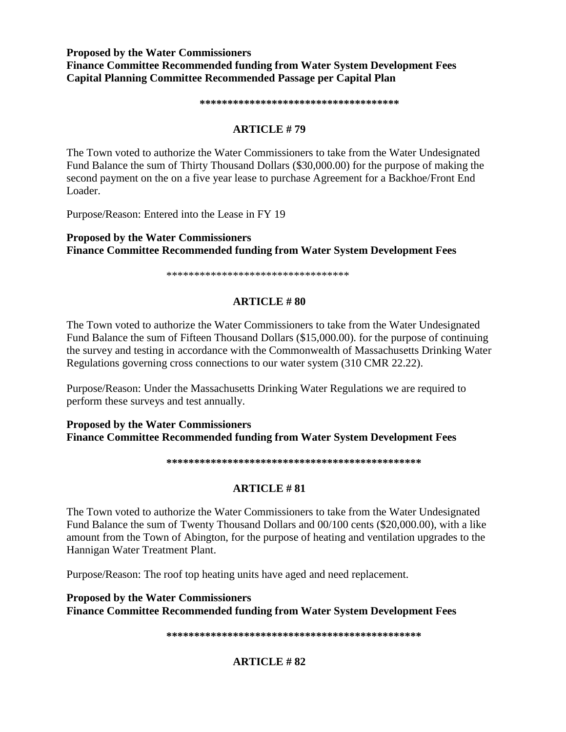**Proposed by the Water Commissioners Finance Committee Recommended funding from Water System Development Fees** Capital Planning Committee Recommended Passage per Capital Plan

\*\*\*\*\*\*\*\*\*\*\*\*\*\*\*\*\*\*\*\*\*\*\*\*\*\*\*\*\*\*\*\*\*\*\*\*

#### **ARTICLE #79**

The Town voted to authorize the Water Commissioners to take from the Water Undesignated Fund Balance the sum of Thirty Thousand Dollars (\$30,000.00) for the purpose of making the second payment on the on a five year lease to purchase Agreement for a Backhoe/Front End Loader.

Purpose/Reason: Entered into the Lease in FY 19

#### **Proposed by the Water Commissioners** Finance Committee Recommended funding from Water System Development Fees

\*\*\*\*\*\*\*\*\*\*\*\*\*\*\*\*\*\*\*\*\*\*\*\*\*\*\*\*\*\*\*\*\*\*

#### **ARTICLE #80**

The Town voted to authorize the Water Commissioners to take from the Water Undesignated Fund Balance the sum of Fifteen Thousand Dollars (\$15,000.00), for the purpose of continuing the survey and testing in accordance with the Commonwealth of Massachusetts Drinking Water Regulations governing cross connections to our water system (310 CMR 22.22).

Purpose/Reason: Under the Massachusetts Drinking Water Regulations we are required to perform these surveys and test annually.

**Proposed by the Water Commissioners** Finance Committee Recommended funding from Water System Development Fees

#### **ARTICLE #81**

The Town voted to authorize the Water Commissioners to take from the Water Undesignated Fund Balance the sum of Twenty Thousand Dollars and 00/100 cents (\$20,000.00), with a like amount from the Town of Abington, for the purpose of heating and ventilation upgrades to the Hannigan Water Treatment Plant.

Purpose/Reason: The roof top heating units have aged and need replacement.

**Proposed by the Water Commissioners** Finance Committee Recommended funding from Water System Development Fees

#### $ARTICLE # 82$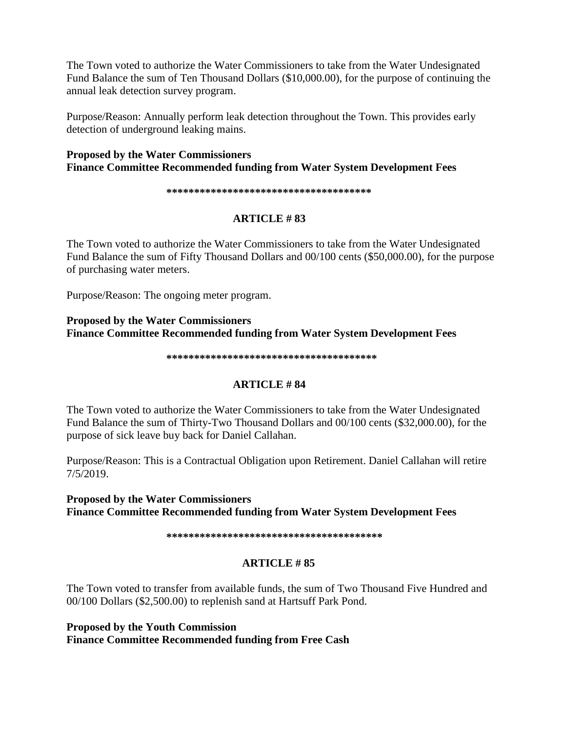The Town voted to authorize the Water Commissioners to take from the Water Undesignated Fund Balance the sum of Ten Thousand Dollars (\$10,000.00), for the purpose of continuing the annual leak detection survey program.

Purpose/Reason: Annually perform leak detection throughout the Town. This provides early detection of underground leaking mains.

#### **Proposed by the Water Commissioners** Finance Committee Recommended funding from Water System Development Fees

\*\*\*\*\*\*\*\*\*\*\*\*\*\*\*\*\*\*\*\*\*\*\*\*\*\*\*\*\*\*\*\*\*\*\*\*\*

### **ARTICLE #83**

The Town voted to authorize the Water Commissioners to take from the Water Undesignated Fund Balance the sum of Fifty Thousand Dollars and 00/100 cents (\$50,000.00), for the purpose of purchasing water meters.

Purpose/Reason: The ongoing meter program.

#### **Proposed by the Water Commissioners Finance Committee Recommended funding from Water System Development Fees**

\*\*\*\*\*\*\*\*\*\*\*\*\*\*\*\*\*\*\*\*\*\*\*\*\*\*\*\*\*\*\*\*\*\*\*\*\*\*

### **ARTICLE #84**

The Town voted to authorize the Water Commissioners to take from the Water Undesignated Fund Balance the sum of Thirty-Two Thousand Dollars and 00/100 cents (\$32,000.00), for the purpose of sick leave buy back for Daniel Callahan.

Purpose/Reason: This is a Contractual Obligation upon Retirement. Daniel Callahan will retire  $7/5/2019$ .

**Proposed by the Water Commissioners** Finance Committee Recommended funding from Water System Development Fees

### **ARTICLE #85**

The Town voted to transfer from available funds, the sum of Two Thousand Five Hundred and 00/100 Dollars (\$2,500.00) to replenish sand at Hartsuff Park Pond.

#### **Proposed by the Youth Commission Finance Committee Recommended funding from Free Cash**